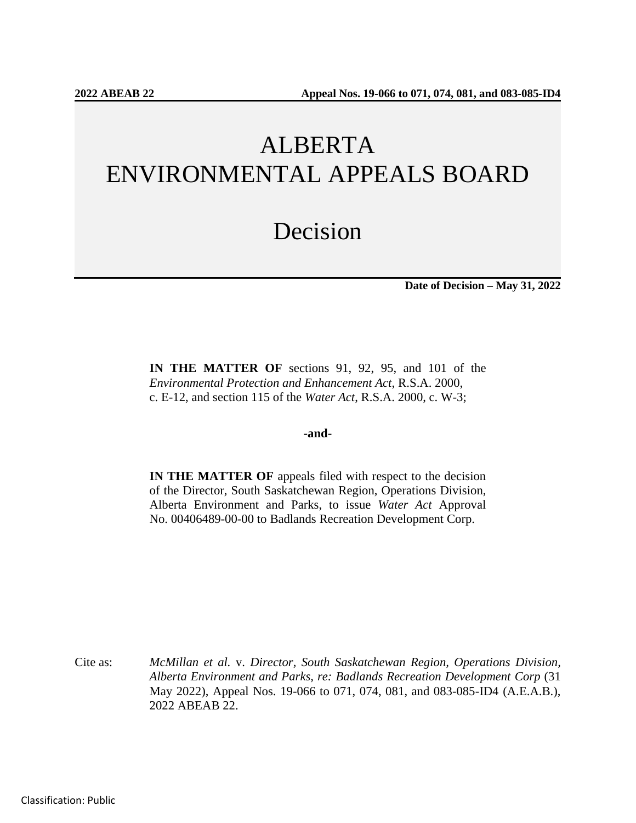# ALBERTA ENVIRONMENTAL APPEALS BOARD

## Decision

**Date of Decision – May 31, 2022**

**IN THE MATTER OF** sections 91, 92, 95, and 101 of the *Environmental Protection and Enhancement Act*, R.S.A. 2000, c. E-12, and section 115 of the *Water Act*, R.S.A. 2000, c. W-3;

#### **-and-**

**IN THE MATTER OF** appeals filed with respect to the decision of the Director, South Saskatchewan Region, Operations Division, Alberta Environment and Parks, to issue *Water Act* Approval No. 00406489-00-00 to Badlands Recreation Development Corp.

Cite as: *McMillan et al.* v. *Director, South Saskatchewan Region, Operations Division, Alberta Environment and Parks, re: Badlands Recreation Development Corp* (31 May 2022), Appeal Nos. 19-066 to 071, 074, 081, and 083-085-ID4 (A.E.A.B.), 2022 ABEAB 22.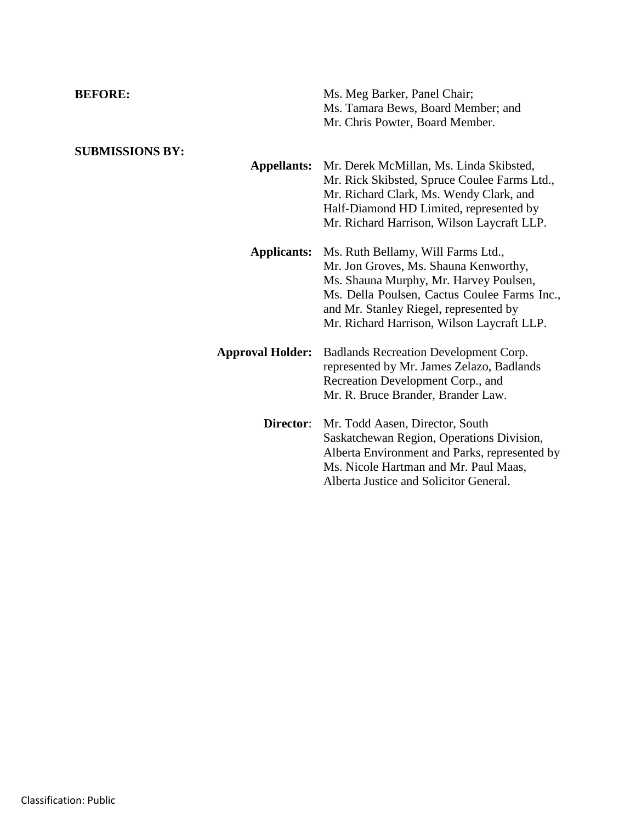| <b>BEFORE:</b>                               | Ms. Meg Barker, Panel Chair;<br>Ms. Tamara Bews, Board Member; and<br>Mr. Chris Powter, Board Member.                                                                                                                                                         |
|----------------------------------------------|---------------------------------------------------------------------------------------------------------------------------------------------------------------------------------------------------------------------------------------------------------------|
| <b>SUBMISSIONS BY:</b><br><b>Appellants:</b> | Mr. Derek McMillan, Ms. Linda Skibsted,<br>Mr. Rick Skibsted, Spruce Coulee Farms Ltd.,<br>Mr. Richard Clark, Ms. Wendy Clark, and<br>Half-Diamond HD Limited, represented by<br>Mr. Richard Harrison, Wilson Laycraft LLP.                                   |
| <b>Applicants:</b>                           | Ms. Ruth Bellamy, Will Farms Ltd.,<br>Mr. Jon Groves, Ms. Shauna Kenworthy,<br>Ms. Shauna Murphy, Mr. Harvey Poulsen,<br>Ms. Della Poulsen, Cactus Coulee Farms Inc.,<br>and Mr. Stanley Riegel, represented by<br>Mr. Richard Harrison, Wilson Laycraft LLP. |
| <b>Approval Holder:</b>                      | Badlands Recreation Development Corp.<br>represented by Mr. James Zelazo, Badlands<br>Recreation Development Corp., and<br>Mr. R. Bruce Brander, Brander Law.                                                                                                 |
| Director:                                    | Mr. Todd Aasen, Director, South<br>Saskatchewan Region, Operations Division,<br>Alberta Environment and Parks, represented by<br>Ms. Nicole Hartman and Mr. Paul Maas,<br>Alberta Justice and Solicitor General.                                              |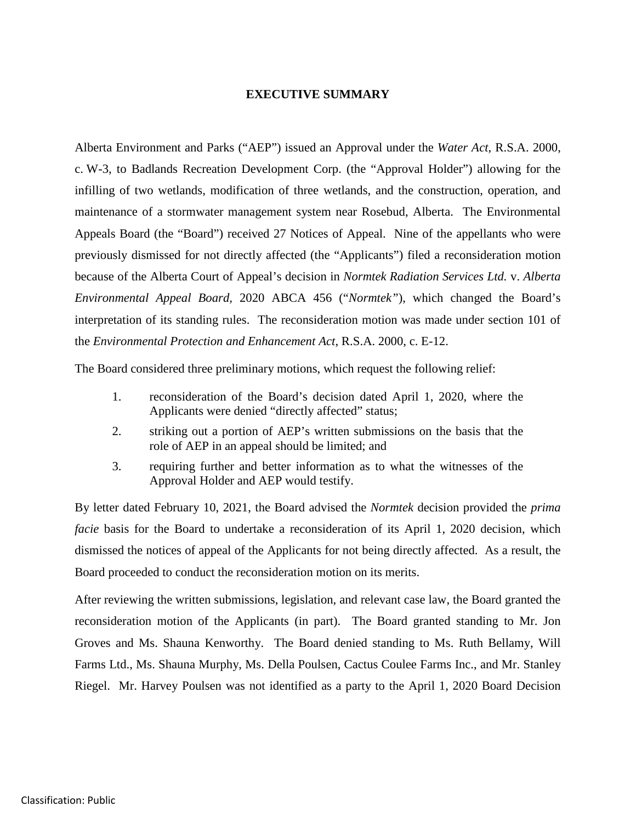#### **EXECUTIVE SUMMARY**

Alberta Environment and Parks ("AEP") issued an Approval under the *Water Act*, R.S.A. 2000, c. W-3, to Badlands Recreation Development Corp. (the "Approval Holder") allowing for the infilling of two wetlands, modification of three wetlands, and the construction, operation, and maintenance of a stormwater management system near Rosebud, Alberta. The Environmental Appeals Board (the "Board") received 27 Notices of Appeal. Nine of the appellants who were previously dismissed for not directly affected (the "Applicants") filed a reconsideration motion because of the Alberta Court of Appeal's decision in *Normtek Radiation Services Ltd.* v. *Alberta Environmental Appeal Board,* 2020 ABCA 456 ("*Normtek"*), which changed the Board's interpretation of its standing rules. The reconsideration motion was made under section 101 of the *Environmental Protection and Enhancement Act*, R.S.A. 2000, c. E-12.

The Board considered three preliminary motions, which request the following relief:

- 1. reconsideration of the Board's decision dated April 1, 2020, where the Applicants were denied "directly affected" status;
- 2. striking out a portion of AEP's written submissions on the basis that the role of AEP in an appeal should be limited; and
- 3. requiring further and better information as to what the witnesses of the Approval Holder and AEP would testify.

By letter dated February 10, 2021, the Board advised the *Normtek* decision provided the *prima facie* basis for the Board to undertake a reconsideration of its April 1, 2020 decision, which dismissed the notices of appeal of the Applicants for not being directly affected. As a result, the Board proceeded to conduct the reconsideration motion on its merits.

After reviewing the written submissions, legislation, and relevant case law, the Board granted the reconsideration motion of the Applicants (in part). The Board granted standing to Mr. Jon Groves and Ms. Shauna Kenworthy. The Board denied standing to Ms. Ruth Bellamy, Will Farms Ltd., Ms. Shauna Murphy, Ms. Della Poulsen, Cactus Coulee Farms Inc., and Mr. Stanley Riegel. Mr. Harvey Poulsen was not identified as a party to the April 1, 2020 Board Decision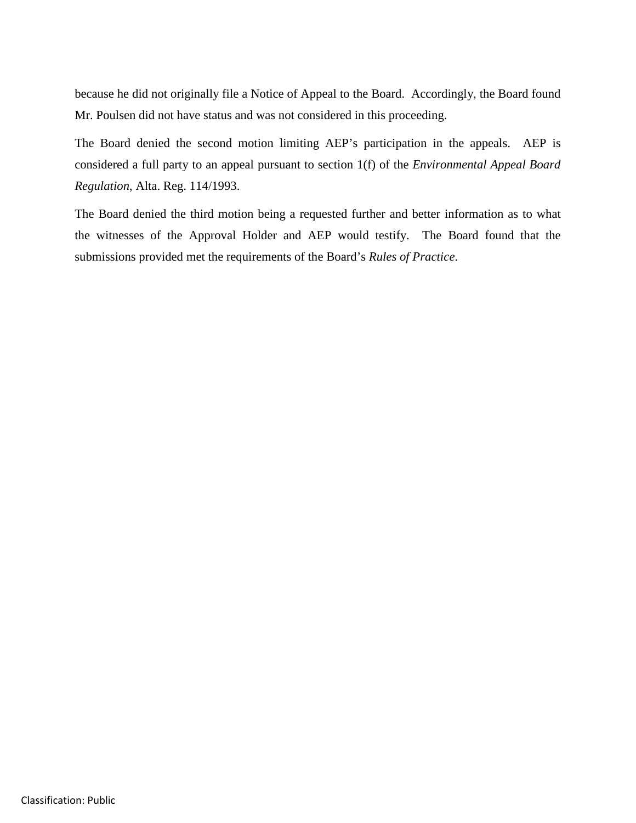because he did not originally file a Notice of Appeal to the Board. Accordingly, the Board found Mr. Poulsen did not have status and was not considered in this proceeding.

The Board denied the second motion limiting AEP's participation in the appeals. AEP is considered a full party to an appeal pursuant to section 1(f) of the *Environmental Appeal Board Regulation*, Alta. Reg. 114/1993.

The Board denied the third motion being a requested further and better information as to what the witnesses of the Approval Holder and AEP would testify. The Board found that the submissions provided met the requirements of the Board's *Rules of Practice*.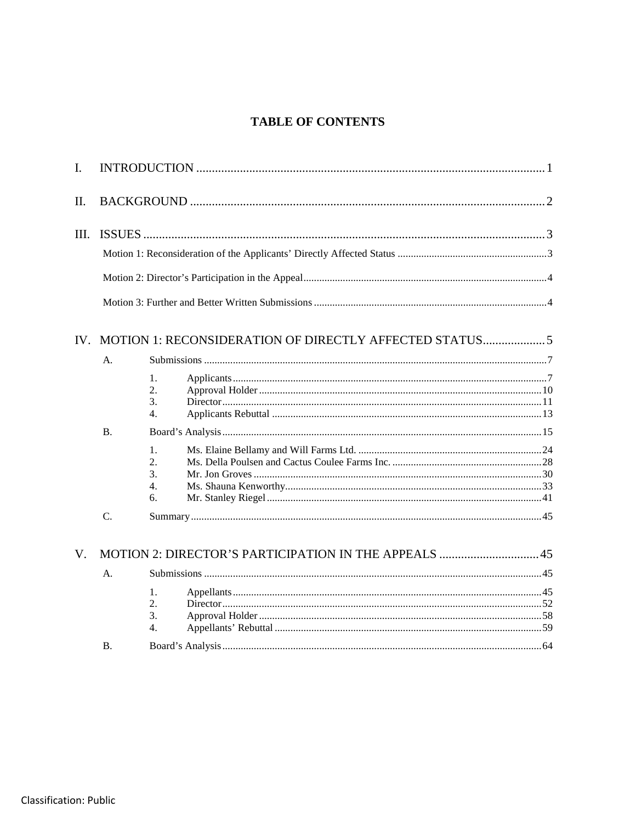## **TABLE OF CONTENTS**

| $\mathbf{I}$ . |                 |                             |  |  |
|----------------|-----------------|-----------------------------|--|--|
| Π.             |                 |                             |  |  |
| III.           |                 |                             |  |  |
|                |                 |                             |  |  |
|                |                 |                             |  |  |
|                | A.              |                             |  |  |
|                |                 | 1.<br>2.<br>3.<br>4.        |  |  |
|                | <b>B.</b>       |                             |  |  |
|                |                 | 1.<br>2.5<br>3.<br>4.<br>6. |  |  |
|                | $\mathcal{C}$ . |                             |  |  |
| V.             |                 |                             |  |  |
|                | A.              |                             |  |  |
|                |                 | 1.<br>2.<br>3.<br>4.        |  |  |
|                | <b>B.</b>       |                             |  |  |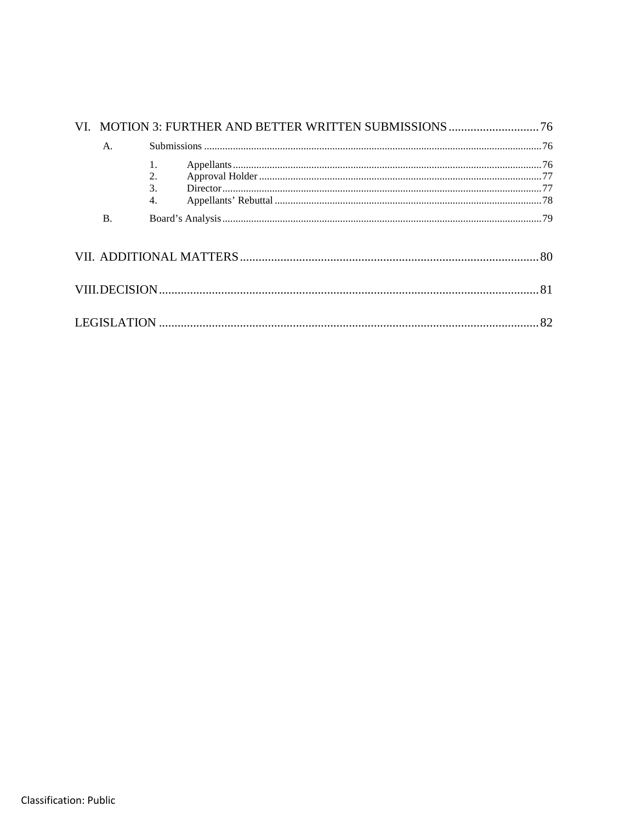|  | A.        |                                         |    |  |
|--|-----------|-----------------------------------------|----|--|
|  |           | 2.<br>$\mathcal{F}$<br>$\overline{4}$ . |    |  |
|  | <b>B.</b> |                                         |    |  |
|  |           |                                         |    |  |
|  |           |                                         |    |  |
|  |           |                                         | 82 |  |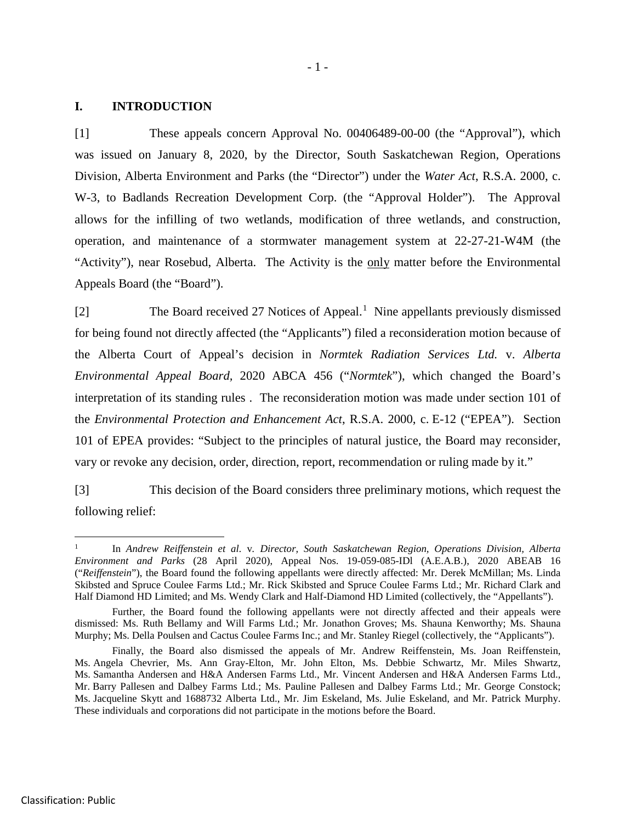#### **I. INTRODUCTION**

[1] These appeals concern Approval No. 00406489-00-00 (the "Approval"), which was issued on January 8, 2020, by the Director, South Saskatchewan Region, Operations Division, Alberta Environment and Parks (the "Director") under the *Water Act*, R.S.A. 2000, c. W-3, to Badlands Recreation Development Corp. (the "Approval Holder"). The Approval allows for the infilling of two wetlands, modification of three wetlands, and construction, operation, and maintenance of a stormwater management system at 22-27-21-W4M (the "Activity"), near Rosebud, Alberta. The Activity is the only matter before the Environmental Appeals Board (the "Board").

[2] The Board received 27 Notices of Appeal.<sup>[1](#page-6-0)</sup> Nine appellants previously dismissed for being found not directly affected (the "Applicants") filed a reconsideration motion because of the Alberta Court of Appeal's decision in *Normtek Radiation Services Ltd.* v. *Alberta Environmental Appeal Board,* 2020 ABCA 456 ("*Normtek*"), which changed the Board's interpretation of its standing rules . The reconsideration motion was made under section 101 of the *Environmental Protection and Enhancement Act*, R.S.A. 2000, c. E-12 ("EPEA"). Section 101 of EPEA provides: "Subject to the principles of natural justice, the Board may reconsider, vary or revoke any decision, order, direction, report, recommendation or ruling made by it."

[3] This decision of the Board considers three preliminary motions, which request the following relief:

<span id="page-6-0"></span> <sup>1</sup> In *Andrew Reiffenstein et al.* v*. Director, South Saskatchewan Region, Operations Division, Alberta Environment and Parks* (28 April 2020), Appeal Nos. 19-059-085-IDl (A.E.A.B.), 2020 ABEAB 16 ("*Reiffenstein*"), the Board found the following appellants were directly affected: Mr. Derek McMillan; Ms. Linda Skibsted and Spruce Coulee Farms Ltd.; Mr. Rick Skibsted and Spruce Coulee Farms Ltd.; Mr. Richard Clark and Half Diamond HD Limited; and Ms. Wendy Clark and Half-Diamond HD Limited (collectively, the "Appellants").

Further, the Board found the following appellants were not directly affected and their appeals were dismissed: Ms. Ruth Bellamy and Will Farms Ltd.; Mr. Jonathon Groves; Ms. Shauna Kenworthy; Ms. Shauna Murphy; Ms. Della Poulsen and Cactus Coulee Farms Inc.; and Mr. Stanley Riegel (collectively, the "Applicants").

Finally, the Board also dismissed the appeals of Mr. Andrew Reiffenstein, Ms. Joan Reiffenstein, Ms. Angela Chevrier, Ms. Ann Gray-Elton, Mr. John Elton, Ms. Debbie Schwartz, Mr. Miles Shwartz, Ms. Samantha Andersen and H&A Andersen Farms Ltd., Mr. Vincent Andersen and H&A Andersen Farms Ltd., Mr. Barry Pallesen and Dalbey Farms Ltd.; Ms. Pauline Pallesen and Dalbey Farms Ltd.; Mr. George Constock; Ms. Jacqueline Skytt and 1688732 Alberta Ltd., Mr. Jim Eskeland, Ms. Julie Eskeland, and Mr. Patrick Murphy. These individuals and corporations did not participate in the motions before the Board.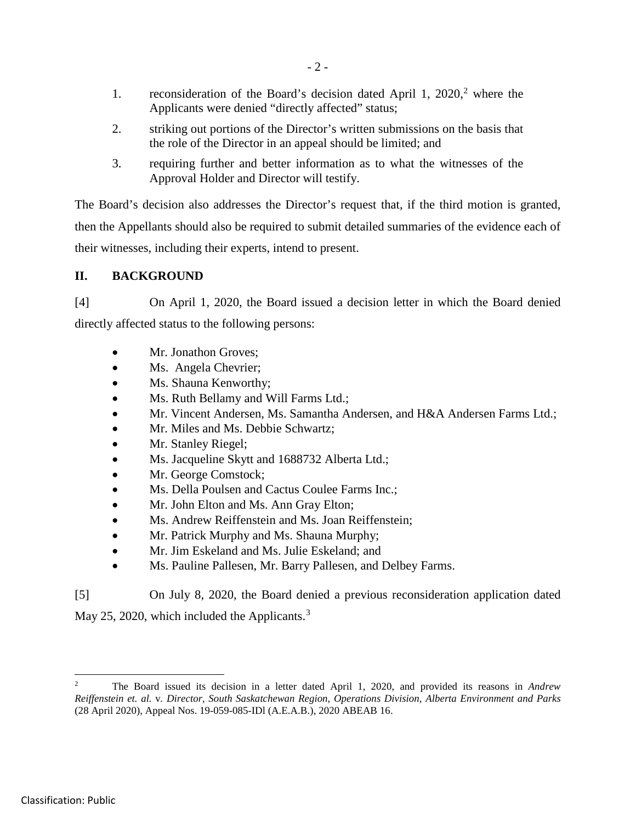- 1. reconsideration of the Board's decision dated April 1,  $2020$  $2020$ , where the Applicants were denied "directly affected" status;
- 2. striking out portions of the Director's written submissions on the basis that the role of the Director in an appeal should be limited; and
- 3. requiring further and better information as to what the witnesses of the Approval Holder and Director will testify.

The Board's decision also addresses the Director's request that, if the third motion is granted, then the Appellants should also be required to submit detailed summaries of the evidence each of their witnesses, including their experts, intend to present.

## **II. BACKGROUND**

[4] On April 1, 2020, the Board issued a decision letter in which the Board denied directly affected status to the following persons:

- Mr. Jonathon Groves;
- Ms. Angela Chevrier;
- Ms. Shauna Kenworthy;
- Ms. Ruth Bellamy and Will Farms Ltd.;
- Mr. Vincent Andersen, Ms. Samantha Andersen, and H&A Andersen Farms Ltd.;
- Mr. Miles and Ms. Debbie Schwartz;
- Mr. Stanley Riegel;
- Ms. Jacqueline Skytt and 1688732 Alberta Ltd.;
- Mr. George Comstock;
- Ms. Della Poulsen and Cactus Coulee Farms Inc.;
- Mr. John Elton and Ms. Ann Gray Elton;
- Ms. Andrew Reiffenstein and Ms. Joan Reiffenstein;
- Mr. Patrick Murphy and Ms. Shauna Murphy;
- Mr. Jim Eskeland and Ms. Julie Eskeland; and
- Ms. Pauline Pallesen, Mr. Barry Pallesen, and Delbey Farms.

[5] On July 8, 2020, the Board denied a previous reconsideration application dated

May 25, 2020, which included the Applicants.<sup>[3](#page-7-0)</sup>

<span id="page-7-0"></span> <sup>2</sup> The Board issued its decision in a letter dated April 1, 2020, and provided its reasons in *Andrew Reiffenstein et. al.* v*. Director, South Saskatchewan Region, Operations Division, Alberta Environment and Parks*  (28 April 2020), Appeal Nos. 19-059-085-IDl (A.E.A.B.), 2020 ABEAB 16.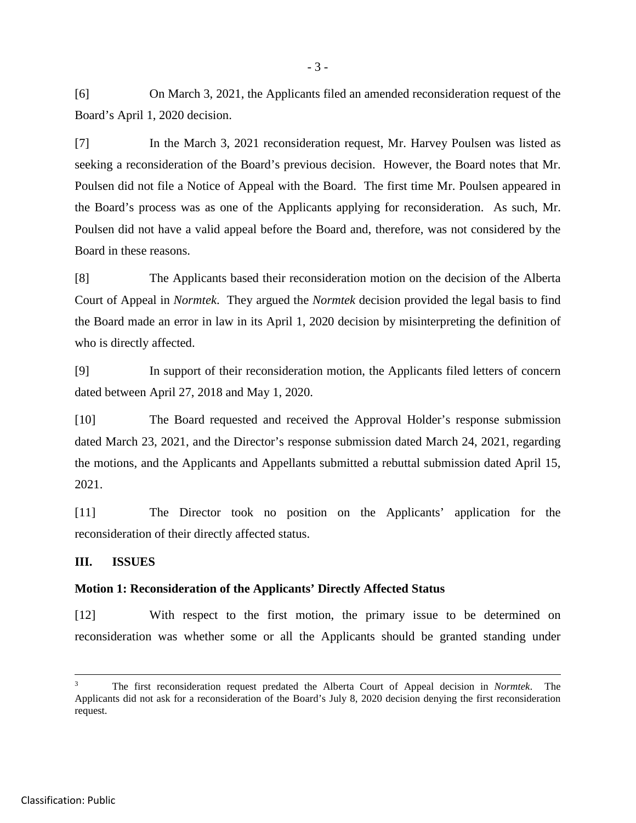[6] On March 3, 2021, the Applicants filed an amended reconsideration request of the Board's April 1, 2020 decision.

[7] In the March 3, 2021 reconsideration request, Mr. Harvey Poulsen was listed as seeking a reconsideration of the Board's previous decision. However, the Board notes that Mr. Poulsen did not file a Notice of Appeal with the Board. The first time Mr. Poulsen appeared in the Board's process was as one of the Applicants applying for reconsideration. As such, Mr. Poulsen did not have a valid appeal before the Board and, therefore, was not considered by the Board in these reasons.

[8] The Applicants based their reconsideration motion on the decision of the Alberta Court of Appeal in *Normtek*. They argued the *Normtek* decision provided the legal basis to find the Board made an error in law in its April 1, 2020 decision by misinterpreting the definition of who is directly affected.

[9] In support of their reconsideration motion, the Applicants filed letters of concern dated between April 27, 2018 and May 1, 2020.

[10] The Board requested and received the Approval Holder's response submission dated March 23, 2021, and the Director's response submission dated March 24, 2021, regarding the motions, and the Applicants and Appellants submitted a rebuttal submission dated April 15, 2021.

[11] The Director took no position on the Applicants' application for the reconsideration of their directly affected status.

#### **III. ISSUES**

#### **Motion 1: Reconsideration of the Applicants' Directly Affected Status**

[12] With respect to the first motion, the primary issue to be determined on reconsideration was whether some or all the Applicants should be granted standing under

 <sup>3</sup> The first reconsideration request predated the Alberta Court of Appeal decision in *Normtek*. The Applicants did not ask for a reconsideration of the Board's July 8, 2020 decision denying the first reconsideration request.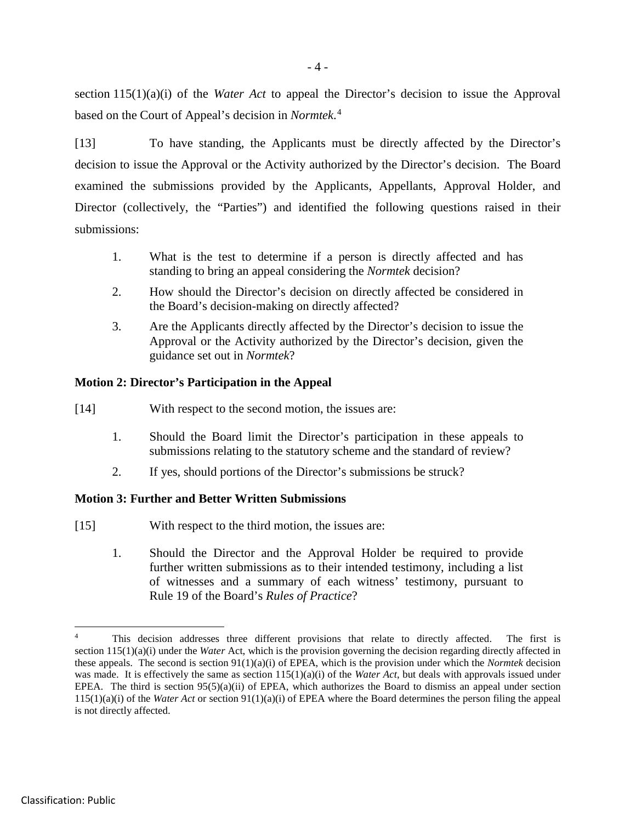section 115(1)(a)(i) of the *Water Act* to appeal the Director's decision to issue the Approval based on the Court of Appeal's decision in *Normtek*. [4](#page-9-0)

[13] To have standing, the Applicants must be directly affected by the Director's decision to issue the Approval or the Activity authorized by the Director's decision. The Board examined the submissions provided by the Applicants, Appellants, Approval Holder, and Director (collectively, the "Parties") and identified the following questions raised in their submissions:

- 1. What is the test to determine if a person is directly affected and has standing to bring an appeal considering the *Normtek* decision?
- 2. How should the Director's decision on directly affected be considered in the Board's decision-making on directly affected?
- 3. Are the Applicants directly affected by the Director's decision to issue the Approval or the Activity authorized by the Director's decision, given the guidance set out in *Normtek*?

#### **Motion 2: Director's Participation in the Appeal**

- [14] With respect to the second motion, the issues are:
	- 1. Should the Board limit the Director's participation in these appeals to submissions relating to the statutory scheme and the standard of review?
	- 2. If yes, should portions of the Director's submissions be struck?

## **Motion 3: Further and Better Written Submissions**

- [15] With respect to the third motion, the issues are:
	- 1. Should the Director and the Approval Holder be required to provide further written submissions as to their intended testimony, including a list of witnesses and a summary of each witness' testimony, pursuant to Rule 19 of the Board's *Rules of Practice*?

<span id="page-9-0"></span>This decision addresses three different provisions that relate to directly affected. The first is section 115(1)(a)(i) under the *Water* Act, which is the provision governing the decision regarding directly affected in these appeals. The second is section 91(1)(a)(i) of EPEA, which is the provision under which the *Normtek* decision was made. It is effectively the same as section 115(1)(a)(i) of the *Water Act*, but deals with approvals issued under EPEA. The third is section 95(5)(a)(ii) of EPEA, which authorizes the Board to dismiss an appeal under section 115(1)(a)(i) of the *Water Act* or section 91(1)(a)(i) of EPEA where the Board determines the person filing the appeal is not directly affected.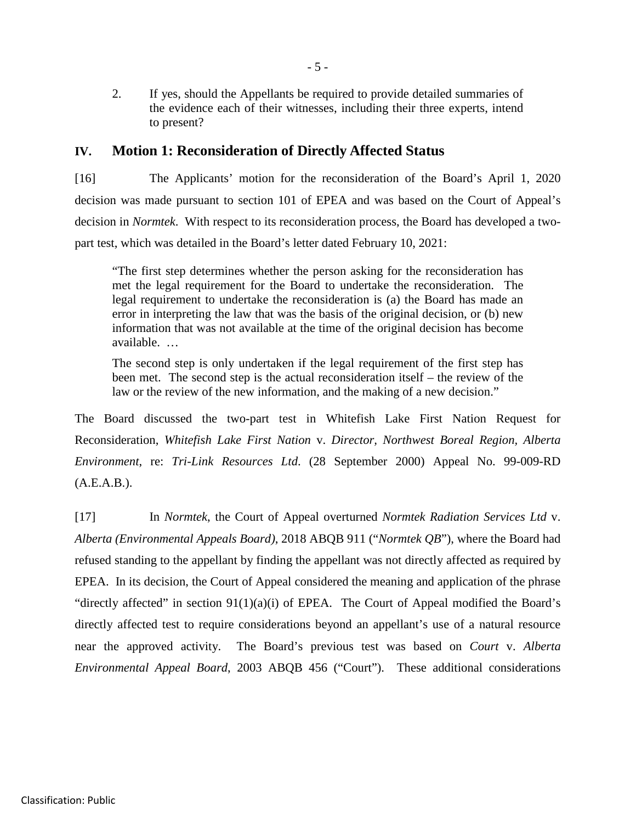2. If yes, should the Appellants be required to provide detailed summaries of the evidence each of their witnesses, including their three experts, intend to present?

## **IV. Motion 1: Reconsideration of Directly Affected Status**

[16] The Applicants' motion for the reconsideration of the Board's April 1, 2020 decision was made pursuant to section 101 of EPEA and was based on the Court of Appeal's decision in *Normtek*. With respect to its reconsideration process, the Board has developed a twopart test, which was detailed in the Board's letter dated February 10, 2021:

"The first step determines whether the person asking for the reconsideration has met the legal requirement for the Board to undertake the reconsideration. The legal requirement to undertake the reconsideration is (a) the Board has made an error in interpreting the law that was the basis of the original decision, or (b) new information that was not available at the time of the original decision has become available. …

The second step is only undertaken if the legal requirement of the first step has been met. The second step is the actual reconsideration itself – the review of the law or the review of the new information, and the making of a new decision."

The Board discussed the two-part test in Whitefish Lake First Nation Request for Reconsideration, *Whitefish Lake First Nation* v. *Director, Northwest Boreal Region, Alberta Environment*, re: *Tri-Link Resources Ltd*. (28 September 2000) Appeal No. 99-009-RD  $(A.E.A.B.).$ 

[17] In *Normtek*, the Court of Appeal overturned *Normtek Radiation Services Ltd* v. *Alberta (Environmental Appeals Board)*, 2018 ABQB 911 ("*Normtek QB*"), where the Board had refused standing to the appellant by finding the appellant was not directly affected as required by EPEA. In its decision, the Court of Appeal considered the meaning and application of the phrase "directly affected" in section 91(1)(a)(i) of EPEA. The Court of Appeal modified the Board's directly affected test to require considerations beyond an appellant's use of a natural resource near the approved activity. The Board's previous test was based on *Court* v. *Alberta Environmental Appeal Board*, 2003 ABQB 456 ("Court"). These additional considerations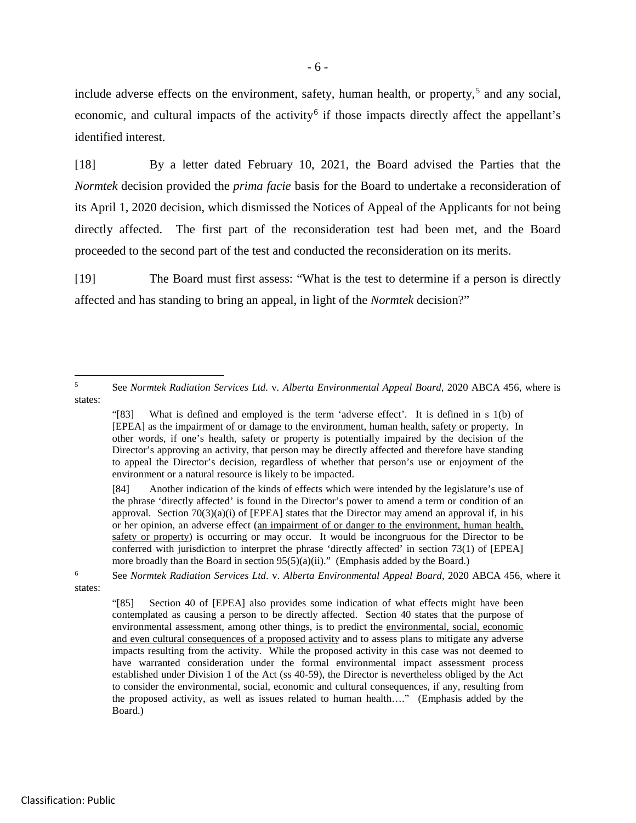- 6 -

include adverse effects on the environment, safety, human health, or property,  $5$  and any social, economic, and cultural impacts of the activity<sup>[6](#page-11-1)</sup> if those impacts directly affect the appellant's identified interest.

[18] By a letter dated February 10, 2021, the Board advised the Parties that the *Normtek* decision provided the *prima facie* basis for the Board to undertake a reconsideration of its April 1, 2020 decision, which dismissed the Notices of Appeal of the Applicants for not being directly affected. The first part of the reconsideration test had been met, and the Board proceeded to the second part of the test and conducted the reconsideration on its merits.

[19] The Board must first assess: "What is the test to determine if a person is directly affected and has standing to bring an appeal, in light of the *Normtek* decision?"

<span id="page-11-0"></span> <sup>5</sup> See *Normtek Radiation Services Ltd.* v*. Alberta Environmental Appeal Board,* 2020 ABCA 456, where is states:

<sup>&</sup>quot;[83] What is defined and employed is the term 'adverse effect'. It is defined in s 1(b) of [EPEA] as the impairment of or damage to the environment, human health, safety or property. In other words, if one's health, safety or property is potentially impaired by the decision of the Director's approving an activity, that person may be directly affected and therefore have standing to appeal the Director's decision, regardless of whether that person's use or enjoyment of the environment or a natural resource is likely to be impacted.

<sup>[84]</sup> Another indication of the kinds of effects which were intended by the legislature's use of the phrase 'directly affected' is found in the Director's power to amend a term or condition of an approval. Section  $70(3)(a)(i)$  of [EPEA] states that the Director may amend an approval if, in his or her opinion, an adverse effect (an impairment of or danger to the environment, human health, safety or property) is occurring or may occur. It would be incongruous for the Director to be conferred with jurisdiction to interpret the phrase 'directly affected' in section 73(1) of [EPEA] more broadly than the Board in section  $95(5)(a)(ii)$ ." (Emphasis added by the Board.)

<span id="page-11-1"></span><sup>6</sup> See *Normtek Radiation Services Ltd*. v. *Alberta Environmental Appeal Board*, 2020 ABCA 456, where it states:

<sup>&</sup>quot;[85] Section 40 of [EPEA] also provides some indication of what effects might have been contemplated as causing a person to be directly affected. Section 40 states that the purpose of environmental assessment, among other things, is to predict the environmental, social, economic and even cultural consequences of a proposed activity and to assess plans to mitigate any adverse impacts resulting from the activity. While the proposed activity in this case was not deemed to have warranted consideration under the formal environmental impact assessment process established under Division 1 of the Act (ss 40-59), the Director is nevertheless obliged by the Act to consider the environmental, social, economic and cultural consequences, if any, resulting from the proposed activity, as well as issues related to human health…." (Emphasis added by the Board.)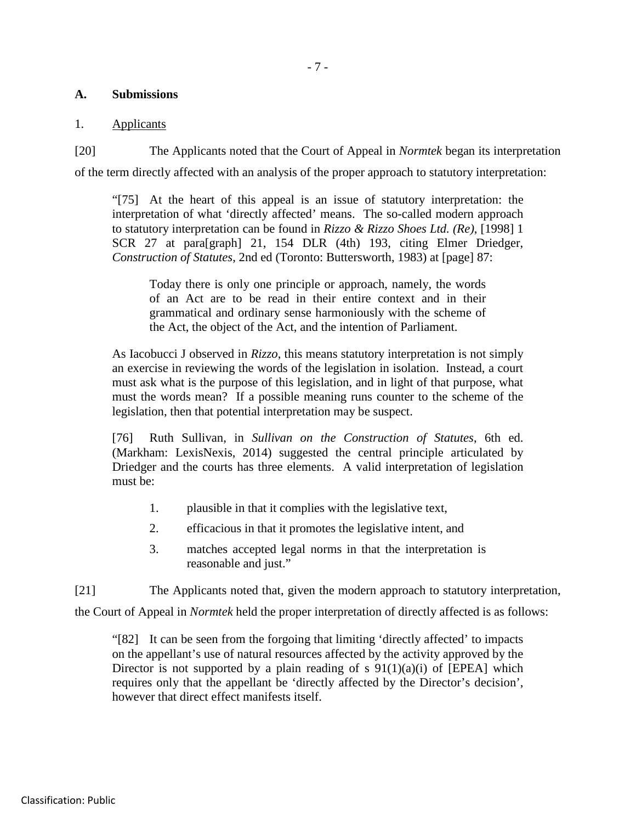#### - 7 -

#### **A. Submissions**

#### 1. Applicants

[20] The Applicants noted that the Court of Appeal in *Normtek* began its interpretation of the term directly affected with an analysis of the proper approach to statutory interpretation:

"[75] At the heart of this appeal is an issue of statutory interpretation: the interpretation of what 'directly affected' means. The so-called modern approach to statutory interpretation can be found in *Rizzo & Rizzo Shoes Ltd. (Re)*, [1998] 1 SCR 27 at para[graph] 21, 154 DLR (4th) 193, citing Elmer Driedger, *Construction of Statutes*, 2nd ed (Toronto: Buttersworth, 1983) at [page] 87:

Today there is only one principle or approach, namely, the words of an Act are to be read in their entire context and in their grammatical and ordinary sense harmoniously with the scheme of the Act, the object of the Act, and the intention of Parliament.

As Iacobucci J observed in *Rizzo*, this means statutory interpretation is not simply an exercise in reviewing the words of the legislation in isolation. Instead, a court must ask what is the purpose of this legislation, and in light of that purpose, what must the words mean? If a possible meaning runs counter to the scheme of the legislation, then that potential interpretation may be suspect.

[76] Ruth Sullivan, in *Sullivan on the Construction of Statutes*, 6th ed. (Markham: LexisNexis, 2014) suggested the central principle articulated by Driedger and the courts has three elements. A valid interpretation of legislation must be:

- 1. plausible in that it complies with the legislative text,
- 2. efficacious in that it promotes the legislative intent, and
- 3. matches accepted legal norms in that the interpretation is reasonable and just."

[21] The Applicants noted that, given the modern approach to statutory interpretation,

the Court of Appeal in *Normtek* held the proper interpretation of directly affected is as follows:

"[82] It can be seen from the forgoing that limiting 'directly affected' to impacts on the appellant's use of natural resources affected by the activity approved by the Director is not supported by a plain reading of  $s \theta(1)(a)(i)$  of [EPEA] which requires only that the appellant be 'directly affected by the Director's decision', however that direct effect manifests itself.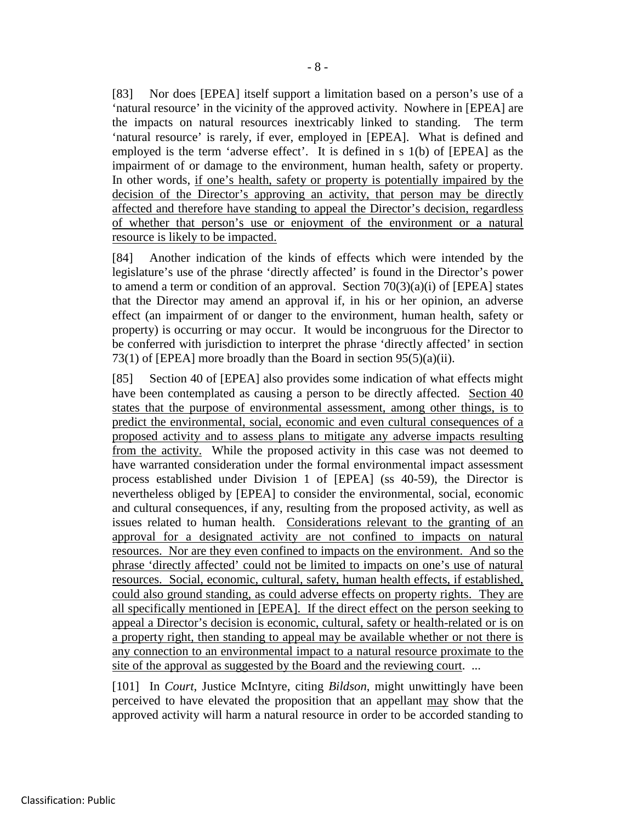[83] Nor does [EPEA] itself support a limitation based on a person's use of a 'natural resource' in the vicinity of the approved activity. Nowhere in [EPEA] are the impacts on natural resources inextricably linked to standing. The term 'natural resource' is rarely, if ever, employed in [EPEA]. What is defined and employed is the term 'adverse effect'. It is defined in s 1(b) of [EPEA] as the impairment of or damage to the environment, human health, safety or property. In other words, if one's health, safety or property is potentially impaired by the decision of the Director's approving an activity, that person may be directly affected and therefore have standing to appeal the Director's decision, regardless of whether that person's use or enjoyment of the environment or a natural resource is likely to be impacted.

[84] Another indication of the kinds of effects which were intended by the legislature's use of the phrase 'directly affected' is found in the Director's power to amend a term or condition of an approval. Section  $70(3)(a)(i)$  of [EPEA] states that the Director may amend an approval if, in his or her opinion, an adverse effect (an impairment of or danger to the environment, human health, safety or property) is occurring or may occur. It would be incongruous for the Director to be conferred with jurisdiction to interpret the phrase 'directly affected' in section 73(1) of [EPEA] more broadly than the Board in section  $95(5)(a)(ii)$ .

[85] Section 40 of [EPEA] also provides some indication of what effects might have been contemplated as causing a person to be directly affected. Section 40 states that the purpose of environmental assessment, among other things, is to predict the environmental, social, economic and even cultural consequences of a proposed activity and to assess plans to mitigate any adverse impacts resulting from the activity. While the proposed activity in this case was not deemed to have warranted consideration under the formal environmental impact assessment process established under Division 1 of [EPEA] (ss 40-59), the Director is nevertheless obliged by [EPEA] to consider the environmental, social, economic and cultural consequences, if any, resulting from the proposed activity, as well as issues related to human health. Considerations relevant to the granting of an approval for a designated activity are not confined to impacts on natural resources. Nor are they even confined to impacts on the environment. And so the phrase 'directly affected' could not be limited to impacts on one's use of natural resources. Social, economic, cultural, safety, human health effects, if established, could also ground standing, as could adverse effects on property rights. They are all specifically mentioned in [EPEA]. If the direct effect on the person seeking to appeal a Director's decision is economic, cultural, safety or health-related or is on a property right, then standing to appeal may be available whether or not there is any connection to an environmental impact to a natural resource proximate to the site of the approval as suggested by the Board and the reviewing court. ...

[101] In *Court*, Justice McIntyre, citing *Bildson*, might unwittingly have been perceived to have elevated the proposition that an appellant may show that the approved activity will harm a natural resource in order to be accorded standing to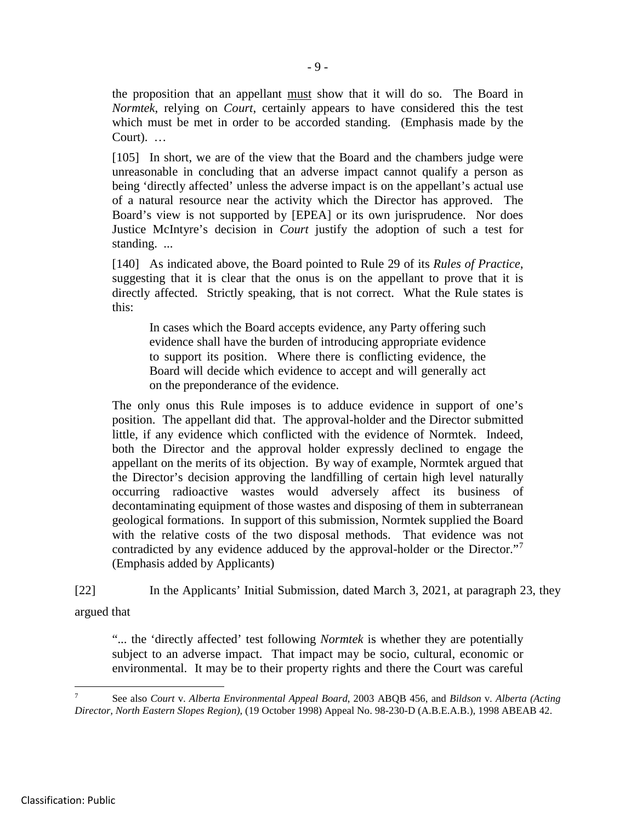the proposition that an appellant must show that it will do so. The Board in *Normtek*, relying on *Court*, certainly appears to have considered this the test which must be met in order to be accorded standing. (Emphasis made by the Court). …

[105] In short, we are of the view that the Board and the chambers judge were unreasonable in concluding that an adverse impact cannot qualify a person as being 'directly affected' unless the adverse impact is on the appellant's actual use of a natural resource near the activity which the Director has approved. The Board's view is not supported by [EPEA] or its own jurisprudence. Nor does Justice McIntyre's decision in *Court* justify the adoption of such a test for standing. ...

[140] As indicated above, the Board pointed to Rule 29 of its *Rules of Practice*, suggesting that it is clear that the onus is on the appellant to prove that it is directly affected. Strictly speaking, that is not correct. What the Rule states is this:

In cases which the Board accepts evidence, any Party offering such evidence shall have the burden of introducing appropriate evidence to support its position. Where there is conflicting evidence, the Board will decide which evidence to accept and will generally act on the preponderance of the evidence.

The only onus this Rule imposes is to adduce evidence in support of one's position. The appellant did that. The approval-holder and the Director submitted little, if any evidence which conflicted with the evidence of Normtek. Indeed, both the Director and the approval holder expressly declined to engage the appellant on the merits of its objection. By way of example, Normtek argued that the Director's decision approving the landfilling of certain high level naturally occurring radioactive wastes would adversely affect its business of decontaminating equipment of those wastes and disposing of them in subterranean geological formations. In support of this submission, Normtek supplied the Board with the relative costs of the two disposal methods. That evidence was not contradicted by any evidence adduced by the approval-holder or the Director."<sup>[7](#page-14-0)</sup> (Emphasis added by Applicants)

[22] In the Applicants' Initial Submission, dated March 3, 2021, at paragraph 23, they argued that

"... the 'directly affected' test following *Normtek* is whether they are potentially subject to an adverse impact. That impact may be socio, cultural, economic or environmental. It may be to their property rights and there the Court was careful

<span id="page-14-0"></span> <sup>7</sup> See also *Court* v. *Alberta Environmental Appeal Board*, 2003 ABQB 456, and *Bildson* v. *Alberta (Acting Director, North Eastern Slopes Region)*, (19 October 1998) Appeal No. 98-230-D (A.B.E.A.B.), 1998 ABEAB 42.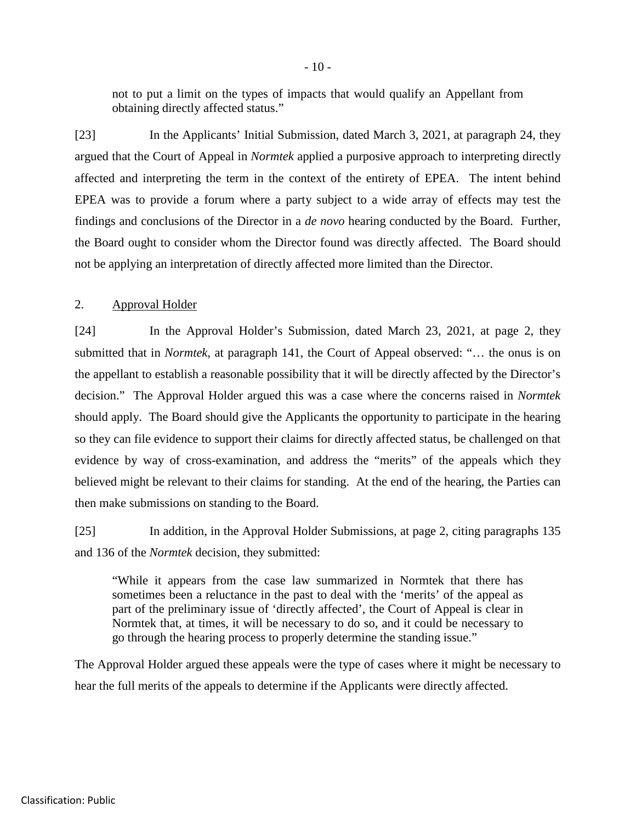not to put a limit on the types of impacts that would qualify an Appellant from obtaining directly affected status."

[23] In the Applicants' Initial Submission, dated March 3, 2021, at paragraph 24, they argued that the Court of Appeal in *Normtek* applied a purposive approach to interpreting directly affected and interpreting the term in the context of the entirety of EPEA. The intent behind EPEA was to provide a forum where a party subject to a wide array of effects may test the findings and conclusions of the Director in a *de novo* hearing conducted by the Board. Further, the Board ought to consider whom the Director found was directly affected. The Board should not be applying an interpretation of directly affected more limited than the Director.

#### 2. Approval Holder

[24] In the Approval Holder's Submission, dated March 23, 2021, at page 2, they submitted that in *Normtek*, at paragraph 141, the Court of Appeal observed: "… the onus is on the appellant to establish a reasonable possibility that it will be directly affected by the Director's decision." The Approval Holder argued this was a case where the concerns raised in *Normtek* should apply. The Board should give the Applicants the opportunity to participate in the hearing so they can file evidence to support their claims for directly affected status, be challenged on that evidence by way of cross-examination, and address the "merits" of the appeals which they believed might be relevant to their claims for standing. At the end of the hearing, the Parties can then make submissions on standing to the Board.

[25] In addition, in the Approval Holder Submissions, at page 2, citing paragraphs 135 and 136 of the *Normtek* decision, they submitted:

"While it appears from the case law summarized in Normtek that there has sometimes been a reluctance in the past to deal with the 'merits' of the appeal as part of the preliminary issue of 'directly affected', the Court of Appeal is clear in Normtek that, at times, it will be necessary to do so, and it could be necessary to go through the hearing process to properly determine the standing issue."

The Approval Holder argued these appeals were the type of cases where it might be necessary to hear the full merits of the appeals to determine if the Applicants were directly affected.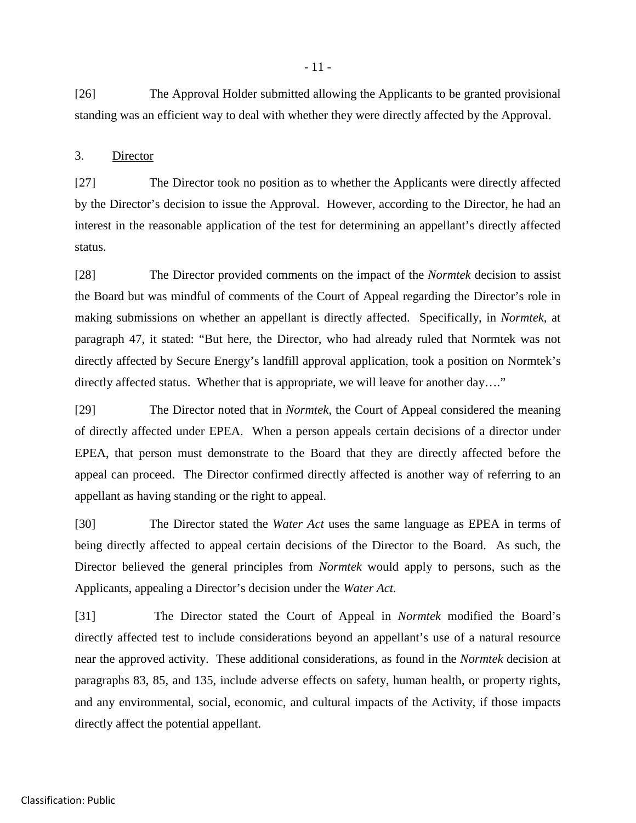[26] The Approval Holder submitted allowing the Applicants to be granted provisional standing was an efficient way to deal with whether they were directly affected by the Approval.

#### 3. Director

[27] The Director took no position as to whether the Applicants were directly affected by the Director's decision to issue the Approval. However, according to the Director, he had an interest in the reasonable application of the test for determining an appellant's directly affected status.

[28] The Director provided comments on the impact of the *Normtek* decision to assist the Board but was mindful of comments of the Court of Appeal regarding the Director's role in making submissions on whether an appellant is directly affected. Specifically, in *Normtek*, at paragraph 47, it stated: "But here, the Director, who had already ruled that Normtek was not directly affected by Secure Energy's landfill approval application, took a position on Normtek's directly affected status. Whether that is appropriate, we will leave for another day...."

[29] The Director noted that in *Normtek,* the Court of Appeal considered the meaning of directly affected under EPEA. When a person appeals certain decisions of a director under EPEA, that person must demonstrate to the Board that they are directly affected before the appeal can proceed. The Director confirmed directly affected is another way of referring to an appellant as having standing or the right to appeal.

[30] The Director stated the *Water Act* uses the same language as EPEA in terms of being directly affected to appeal certain decisions of the Director to the Board. As such, the Director believed the general principles from *Normtek* would apply to persons, such as the Applicants, appealing a Director's decision under the *Water Act.*

[31] The Director stated the Court of Appeal in *Normtek* modified the Board's directly affected test to include considerations beyond an appellant's use of a natural resource near the approved activity. These additional considerations, as found in the *Normtek* decision at paragraphs 83, 85, and 135, include adverse effects on safety, human health, or property rights, and any environmental, social, economic, and cultural impacts of the Activity, if those impacts directly affect the potential appellant.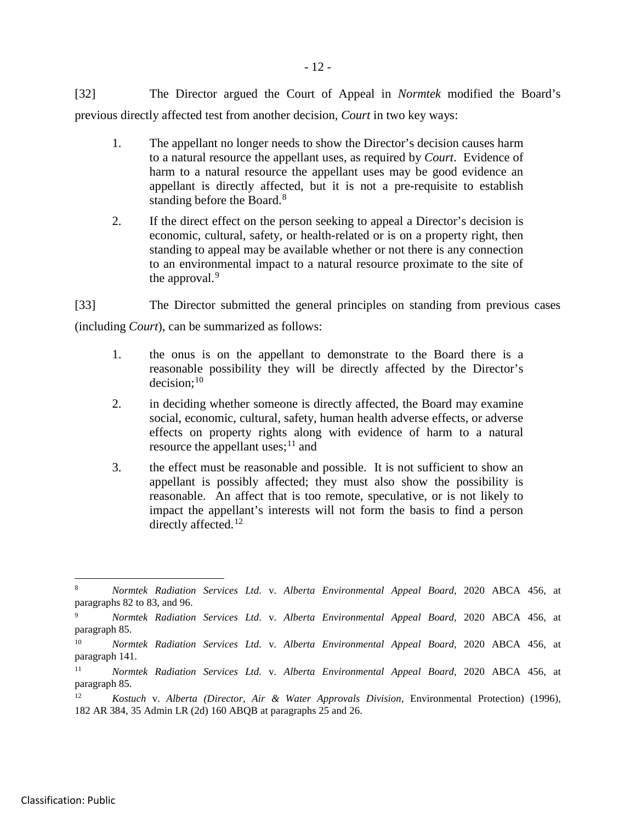[32] The Director argued the Court of Appeal in *Normtek* modified the Board's previous directly affected test from another decision, *Court* in two key ways:

- 1. The appellant no longer needs to show the Director's decision causes harm to a natural resource the appellant uses, as required by *Court*. Evidence of harm to a natural resource the appellant uses may be good evidence an appellant is directly affected, but it is not a pre-requisite to establish standing before the Board.<sup>[8](#page-17-0)</sup>
- 2. If the direct effect on the person seeking to appeal a Director's decision is economic, cultural, safety, or health-related or is on a property right, then standing to appeal may be available whether or not there is any connection to an environmental impact to a natural resource proximate to the site of the approval.<sup>[9](#page-17-1)</sup>

[33] The Director submitted the general principles on standing from previous cases (including *Court*), can be summarized as follows:

- 1. the onus is on the appellant to demonstrate to the Board there is a reasonable possibility they will be directly affected by the Director's  $decision:$ <sup>[10](#page-17-2)</sup>
- 2. in deciding whether someone is directly affected, the Board may examine social, economic, cultural, safety, human health adverse effects, or adverse effects on property rights along with evidence of harm to a natural resource the appellant uses; $^{11}$  $^{11}$  $^{11}$  and
- 3. the effect must be reasonable and possible. It is not sufficient to show an appellant is possibly affected; they must also show the possibility is reasonable. An affect that is too remote, speculative, or is not likely to impact the appellant's interests will not form the basis to find a person directly affected.<sup>[12](#page-17-4)</sup>

<span id="page-17-0"></span> <sup>8</sup> *Normtek Radiation Services Ltd.* v*. Alberta Environmental Appeal Board,* 2020 ABCA 456, at paragraphs 82 to 83, and 96.

<span id="page-17-1"></span><sup>9</sup> *Normtek Radiation Services Ltd.* v*. Alberta Environmental Appeal Board,* 2020 ABCA 456, at paragraph 85.

<span id="page-17-2"></span><sup>10</sup> *Normtek Radiation Services Ltd.* v*. Alberta Environmental Appeal Board,* 2020 ABCA 456, at paragraph 141.

<span id="page-17-3"></span><sup>11</sup> *Normtek Radiation Services Ltd.* v*. Alberta Environmental Appeal Board,* 2020 ABCA 456, at paragraph 85.

<span id="page-17-4"></span><sup>12</sup> *Kostuch* v. *Alberta (Director, Air & Water Approvals Division*, Environmental Protection) (1996), 182 AR 384, 35 Admin LR (2d) 160 ABQB at paragraphs 25 and 26.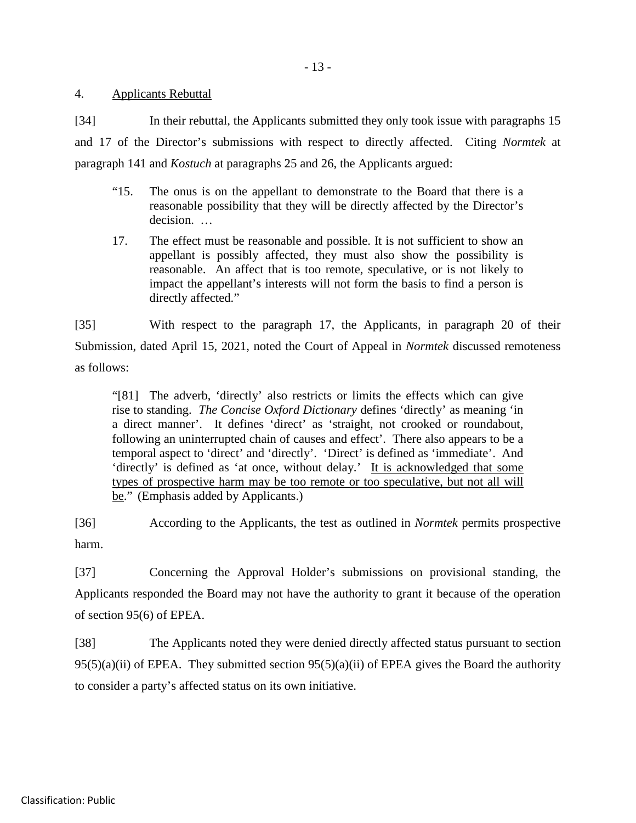4. Applicants Rebuttal

[34] In their rebuttal, the Applicants submitted they only took issue with paragraphs 15 and 17 of the Director's submissions with respect to directly affected. Citing *Normtek* at paragraph 141 and *Kostuch* at paragraphs 25 and 26, the Applicants argued:

- "15. The onus is on the appellant to demonstrate to the Board that there is a reasonable possibility that they will be directly affected by the Director's decision. …
- 17. The effect must be reasonable and possible. It is not sufficient to show an appellant is possibly affected, they must also show the possibility is reasonable. An affect that is too remote, speculative, or is not likely to impact the appellant's interests will not form the basis to find a person is directly affected."

[35] With respect to the paragraph 17, the Applicants, in paragraph 20 of their Submission, dated April 15, 2021, noted the Court of Appeal in *Normtek* discussed remoteness as follows:

"[81] The adverb, 'directly' also restricts or limits the effects which can give rise to standing. *The Concise Oxford Dictionary* defines 'directly' as meaning 'in a direct manner'. It defines 'direct' as 'straight, not crooked or roundabout, following an uninterrupted chain of causes and effect'. There also appears to be a temporal aspect to 'direct' and 'directly'. 'Direct' is defined as 'immediate'. And 'directly' is defined as 'at once, without delay.' It is acknowledged that some types of prospective harm may be too remote or too speculative, but not all will be." (Emphasis added by Applicants.)

[36] According to the Applicants, the test as outlined in *Normtek* permits prospective harm.

[37] Concerning the Approval Holder's submissions on provisional standing, the Applicants responded the Board may not have the authority to grant it because of the operation of section 95(6) of EPEA.

[38] The Applicants noted they were denied directly affected status pursuant to section  $95(5)(a)(ii)$  of EPEA. They submitted section  $95(5)(a)(ii)$  of EPEA gives the Board the authority to consider a party's affected status on its own initiative.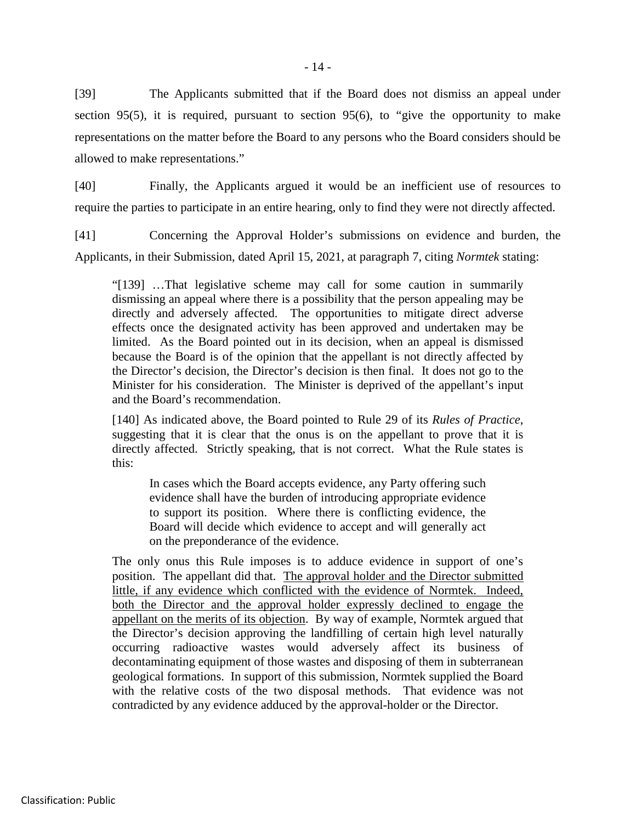[39] The Applicants submitted that if the Board does not dismiss an appeal under section 95(5), it is required, pursuant to section 95(6), to "give the opportunity to make representations on the matter before the Board to any persons who the Board considers should be allowed to make representations."

[40] Finally, the Applicants argued it would be an inefficient use of resources to require the parties to participate in an entire hearing, only to find they were not directly affected.

[41] Concerning the Approval Holder's submissions on evidence and burden, the Applicants, in their Submission, dated April 15, 2021, at paragraph 7, citing *Normtek* stating:

"[139] …That legislative scheme may call for some caution in summarily dismissing an appeal where there is a possibility that the person appealing may be directly and adversely affected. The opportunities to mitigate direct adverse effects once the designated activity has been approved and undertaken may be limited. As the Board pointed out in its decision, when an appeal is dismissed because the Board is of the opinion that the appellant is not directly affected by the Director's decision, the Director's decision is then final. It does not go to the Minister for his consideration. The Minister is deprived of the appellant's input and the Board's recommendation.

[140] As indicated above, the Board pointed to Rule 29 of its *Rules of Practice*, suggesting that it is clear that the onus is on the appellant to prove that it is directly affected. Strictly speaking, that is not correct. What the Rule states is this:

In cases which the Board accepts evidence, any Party offering such evidence shall have the burden of introducing appropriate evidence to support its position. Where there is conflicting evidence, the Board will decide which evidence to accept and will generally act on the preponderance of the evidence.

The only onus this Rule imposes is to adduce evidence in support of one's position. The appellant did that. The approval holder and the Director submitted little, if any evidence which conflicted with the evidence of Normtek. Indeed, both the Director and the approval holder expressly declined to engage the appellant on the merits of its objection. By way of example, Normtek argued that the Director's decision approving the landfilling of certain high level naturally occurring radioactive wastes would adversely affect its business of decontaminating equipment of those wastes and disposing of them in subterranean geological formations. In support of this submission, Normtek supplied the Board with the relative costs of the two disposal methods. That evidence was not contradicted by any evidence adduced by the approval-holder or the Director.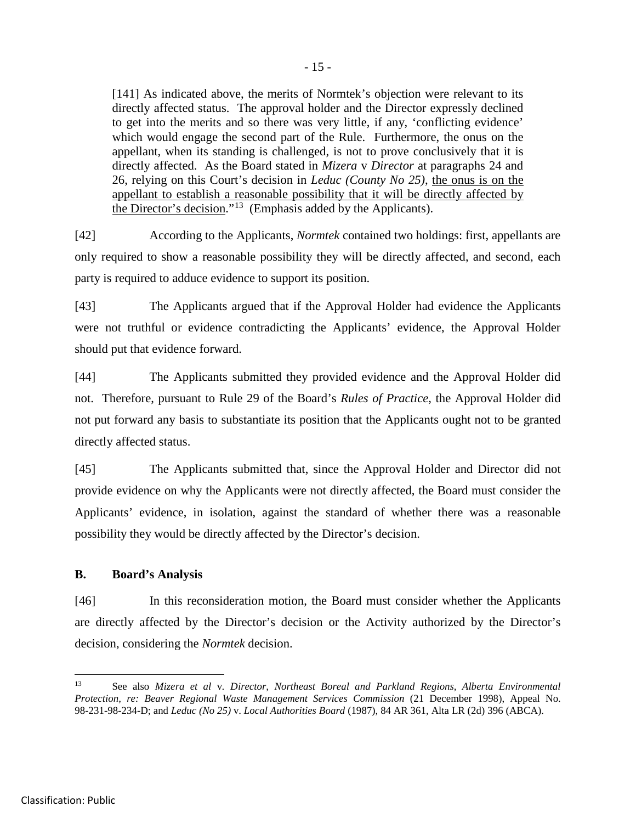[141] As indicated above, the merits of Normtek's objection were relevant to its directly affected status. The approval holder and the Director expressly declined to get into the merits and so there was very little, if any, 'conflicting evidence' which would engage the second part of the Rule. Furthermore, the onus on the appellant, when its standing is challenged, is not to prove conclusively that it is directly affected. As the Board stated in *Mizera* v *Director* at paragraphs 24 and 26, relying on this Court's decision in *Leduc (County No 25)*, the onus is on the appellant to establish a reasonable possibility that it will be directly affected by the Director's decision."[13](#page-20-0) (Emphasis added by the Applicants).

[42] According to the Applicants, *Normtek* contained two holdings: first, appellants are only required to show a reasonable possibility they will be directly affected, and second, each party is required to adduce evidence to support its position.

[43] The Applicants argued that if the Approval Holder had evidence the Applicants were not truthful or evidence contradicting the Applicants' evidence, the Approval Holder should put that evidence forward.

[44] The Applicants submitted they provided evidence and the Approval Holder did not. Therefore, pursuant to Rule 29 of the Board's *Rules of Practice*, the Approval Holder did not put forward any basis to substantiate its position that the Applicants ought not to be granted directly affected status.

[45] The Applicants submitted that, since the Approval Holder and Director did not provide evidence on why the Applicants were not directly affected, the Board must consider the Applicants' evidence, in isolation, against the standard of whether there was a reasonable possibility they would be directly affected by the Director's decision.

## **B. Board's Analysis**

[46] In this reconsideration motion, the Board must consider whether the Applicants are directly affected by the Director's decision or the Activity authorized by the Director's decision, considering the *Normtek* decision.

<span id="page-20-0"></span> <sup>13</sup> See also *Mizera et al* v*. Director, Northeast Boreal and Parkland Regions, Alberta Environmental Protection, re: Beaver Regional Waste Management Services Commission* (21 December 1998), Appeal No. 98-231-98-234-D; and *Leduc (No 25)* v. *Local Authorities Board* (1987), 84 AR 361, Alta LR (2d) 396 (ABCA).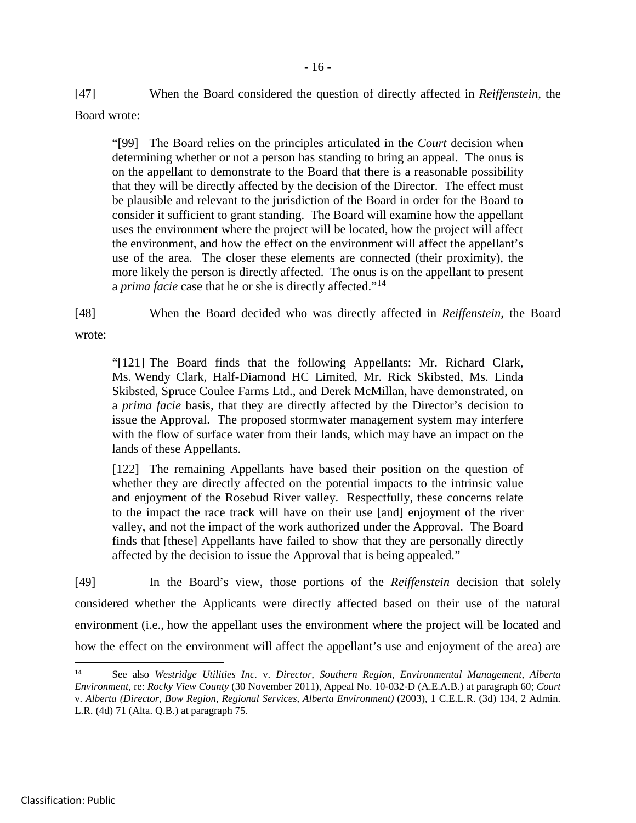[47] When the Board considered the question of directly affected in *Reiffenstein,* the Board wrote:

"[99] The Board relies on the principles articulated in the *Court* decision when determining whether or not a person has standing to bring an appeal. The onus is on the appellant to demonstrate to the Board that there is a reasonable possibility that they will be directly affected by the decision of the Director. The effect must be plausible and relevant to the jurisdiction of the Board in order for the Board to consider it sufficient to grant standing. The Board will examine how the appellant uses the environment where the project will be located, how the project will affect the environment, and how the effect on the environment will affect the appellant's use of the area. The closer these elements are connected (their proximity), the more likely the person is directly affected. The onus is on the appellant to present a *prima facie* case that he or she is directly affected."<sup>[14](#page-21-0)</sup>

[48] When the Board decided who was directly affected in *Reiffenstein,* the Board

wrote:

"[121] The Board finds that the following Appellants: Mr. Richard Clark, Ms. Wendy Clark, Half-Diamond HC Limited, Mr. Rick Skibsted, Ms. Linda Skibsted, Spruce Coulee Farms Ltd., and Derek McMillan, have demonstrated, on a *prima facie* basis, that they are directly affected by the Director's decision to issue the Approval. The proposed stormwater management system may interfere with the flow of surface water from their lands, which may have an impact on the lands of these Appellants.

[122] The remaining Appellants have based their position on the question of whether they are directly affected on the potential impacts to the intrinsic value and enjoyment of the Rosebud River valley. Respectfully, these concerns relate to the impact the race track will have on their use [and] enjoyment of the river valley, and not the impact of the work authorized under the Approval. The Board finds that [these] Appellants have failed to show that they are personally directly affected by the decision to issue the Approval that is being appealed."

[49] In the Board's view, those portions of the *Reiffenstein* decision that solely considered whether the Applicants were directly affected based on their use of the natural environment (i.e., how the appellant uses the environment where the project will be located and how the effect on the environment will affect the appellant's use and enjoyment of the area) are

<span id="page-21-0"></span> <sup>14</sup> See also *Westridge Utilities Inc.* v. *Director, Southern Region, Environmental Management, Alberta Environment*, re: *Rocky View County* (30 November 2011), Appeal No. 10-032-D (A.E.A.B.) at paragraph 60; *Court*  v. *Alberta (Director, Bow Region, Regional Services, Alberta Environment)* (2003), 1 C.E.L.R. (3d) 134, 2 Admin. L.R. (4d) 71 (Alta. Q.B.) at paragraph 75.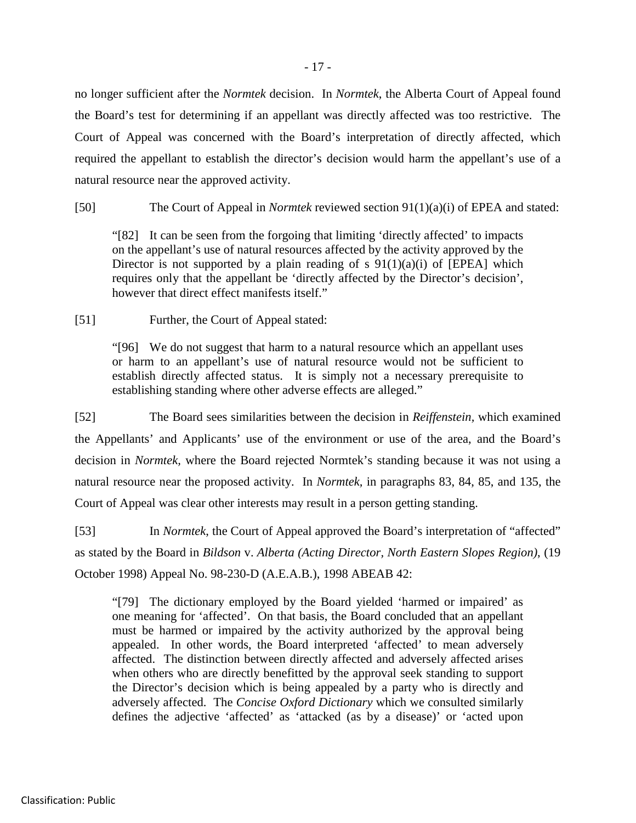no longer sufficient after the *Normtek* decision. In *Normtek*, the Alberta Court of Appeal found the Board's test for determining if an appellant was directly affected was too restrictive. The Court of Appeal was concerned with the Board's interpretation of directly affected, which required the appellant to establish the director's decision would harm the appellant's use of a natural resource near the approved activity.

[50] The Court of Appeal in *Normtek* reviewed section 91(1)(a)(i) of EPEA and stated:

"[82] It can be seen from the forgoing that limiting 'directly affected' to impacts on the appellant's use of natural resources affected by the activity approved by the Director is not supported by a plain reading of s  $91(1)(a)(i)$  of [EPEA] which requires only that the appellant be 'directly affected by the Director's decision', however that direct effect manifests itself."

[51] Further, the Court of Appeal stated:

"[96] We do not suggest that harm to a natural resource which an appellant uses or harm to an appellant's use of natural resource would not be sufficient to establish directly affected status. It is simply not a necessary prerequisite to establishing standing where other adverse effects are alleged."

[52] The Board sees similarities between the decision in *Reiffenstein,* which examined the Appellants' and Applicants' use of the environment or use of the area, and the Board's decision in *Normtek,* where the Board rejected Normtek's standing because it was not using a natural resource near the proposed activity. In *Normtek,* in paragraphs 83, 84, 85, and 135, the Court of Appeal was clear other interests may result in a person getting standing.

[53] In *Normtek*, the Court of Appeal approved the Board's interpretation of "affected" as stated by the Board in *Bildson* v. *Alberta (Acting Director, North Eastern Slopes Region)*, (19 October 1998) Appeal No. 98-230-D (A.E.A.B.), 1998 ABEAB 42:

"[79] The dictionary employed by the Board yielded 'harmed or impaired' as one meaning for 'affected'. On that basis, the Board concluded that an appellant must be harmed or impaired by the activity authorized by the approval being appealed. In other words, the Board interpreted 'affected' to mean adversely affected. The distinction between directly affected and adversely affected arises when others who are directly benefitted by the approval seek standing to support the Director's decision which is being appealed by a party who is directly and adversely affected. The *Concise Oxford Dictionary* which we consulted similarly defines the adjective 'affected' as 'attacked (as by a disease)' or 'acted upon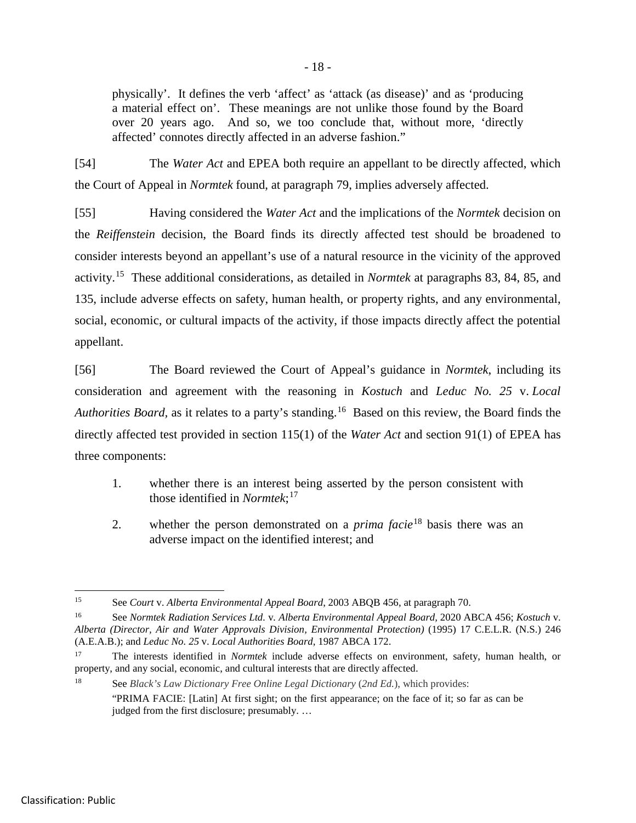physically'. It defines the verb 'affect' as 'attack (as disease)' and as 'producing a material effect on'. These meanings are not unlike those found by the Board over 20 years ago. And so, we too conclude that, without more, 'directly affected' connotes directly affected in an adverse fashion."

[54] The *Water Act* and EPEA both require an appellant to be directly affected, which the Court of Appeal in *Normtek* found, at paragraph 79, implies adversely affected.

[55] Having considered the *Water Act* and the implications of the *Normtek* decision on the *Reiffenstein* decision, the Board finds its directly affected test should be broadened to consider interests beyond an appellant's use of a natural resource in the vicinity of the approved activity. [15](#page-23-0) These additional considerations, as detailed in *Normtek* at paragraphs 83, 84, 85, and 135, include adverse effects on safety, human health, or property rights, and any environmental, social, economic, or cultural impacts of the activity, if those impacts directly affect the potential appellant.

[56] The Board reviewed the Court of Appeal's guidance in *Normtek*, including its consideration and agreement with the reasoning in *Kostuch* and *Leduc No. 25* v. *Local*  Authorities Board, as it relates to a party's standing.<sup>[16](#page-23-1)</sup> Based on this review, the Board finds the directly affected test provided in section 115(1) of the *Water Act* and section 91(1) of EPEA has three components:

- 1. whether there is an interest being asserted by the person consistent with those identified in *Normtek*; [17](#page-23-2)
- 2. whether the person demonstrated on a *prima facie*[18](#page-23-3) basis there was an adverse impact on the identified interest; and

<span id="page-23-0"></span> <sup>15</sup> See *Court* v. *Alberta Environmental Appeal Board*, 2003 ABQB 456, at paragraph 70.

<span id="page-23-1"></span><sup>16</sup> See *Normtek Radiation Services Ltd.* v*. Alberta Environmental Appeal Board,* 2020 ABCA 456; *Kostuch* v. Alberta (Director, Air and Water Approvals Division, Environmental Protection) (1995) 17 C.E.L.R. (N.S.) 246 (A.E.A.B.); and *Leduc No. 25* v. *Local Authorities Board*, 1987 ABCA 172.

<span id="page-23-2"></span><sup>17</sup> The interests identified in *Normtek* include adverse effects on environment, safety, human health, or property, and any social, economic, and cultural interests that are directly affected.

<span id="page-23-3"></span><sup>18</sup> See *Black's Law Dictionary Free Online Legal Dictionary* (*2nd Ed.*), which provides:

<sup>&</sup>quot;PRIMA FACIE: [Latin] At first sight; on the first appearance; on the face of it; so far as can be judged from the first disclosure; presumably. …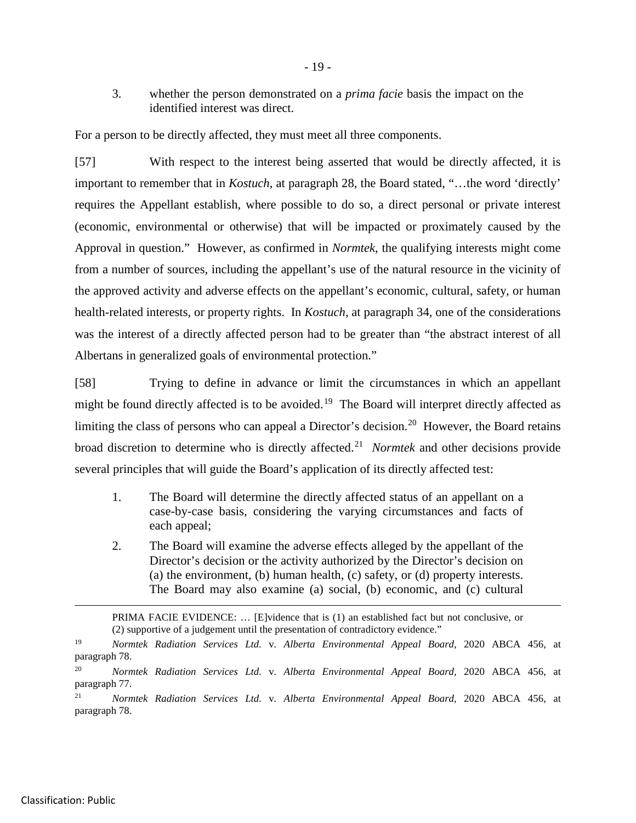3. whether the person demonstrated on a *prima facie* basis the impact on the identified interest was direct.

For a person to be directly affected, they must meet all three components.

[57] With respect to the interest being asserted that would be directly affected, it is important to remember that in *Kostuch*, at paragraph 28, the Board stated, "…the word 'directly' requires the Appellant establish, where possible to do so, a direct personal or private interest (economic, environmental or otherwise) that will be impacted or proximately caused by the Approval in question." However, as confirmed in *Normtek*, the qualifying interests might come from a number of sources, including the appellant's use of the natural resource in the vicinity of the approved activity and adverse effects on the appellant's economic, cultural, safety, or human health-related interests, or property rights. In *Kostuch*, at paragraph 34, one of the considerations was the interest of a directly affected person had to be greater than "the abstract interest of all Albertans in generalized goals of environmental protection."

[58] Trying to define in advance or limit the circumstances in which an appellant might be found directly affected is to be avoided.<sup>[19](#page-24-0)</sup> The Board will interpret directly affected as limiting the class of persons who can appeal a Director's decision.<sup>[20](#page-24-1)</sup> However, the Board retains broad discretion to determine who is directly affected.[21](#page-24-2) *Normtek* and other decisions provide several principles that will guide the Board's application of its directly affected test:

- 1. The Board will determine the directly affected status of an appellant on a case-by-case basis, considering the varying circumstances and facts of each appeal;
- 2. The Board will examine the adverse effects alleged by the appellant of the Director's decision or the activity authorized by the Director's decision on (a) the environment, (b) human health, (c) safety, or (d) property interests. The Board may also examine (a) social, (b) economic, and (c) cultural

 PRIMA FACIE EVIDENCE: … [E]vidence that is (1) an established fact but not conclusive, or (2) supportive of a judgement until the presentation of contradictory evidence."

<span id="page-24-0"></span><sup>19</sup> *Normtek Radiation Services Ltd.* v*. Alberta Environmental Appeal Board,* 2020 ABCA 456, at paragraph 78.

<span id="page-24-1"></span><sup>20</sup> *Normtek Radiation Services Ltd.* v*. Alberta Environmental Appeal Board,* 2020 ABCA 456, at paragraph 77.

<span id="page-24-2"></span><sup>21</sup> *Normtek Radiation Services Ltd.* v*. Alberta Environmental Appeal Board,* 2020 ABCA 456, at paragraph 78.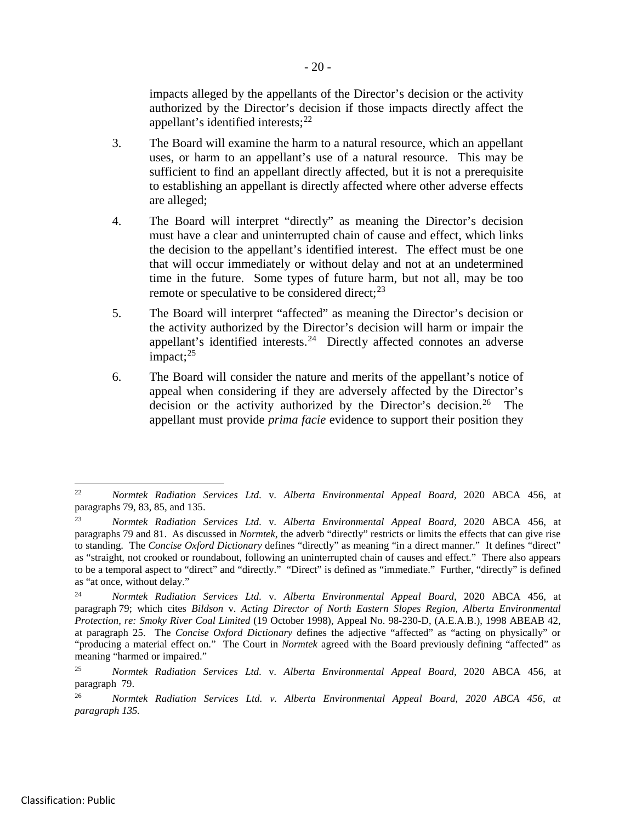impacts alleged by the appellants of the Director's decision or the activity authorized by the Director's decision if those impacts directly affect the appellant's identified interests;<sup>[22](#page-25-0)</sup>

- 3. The Board will examine the harm to a natural resource, which an appellant uses, or harm to an appellant's use of a natural resource. This may be sufficient to find an appellant directly affected, but it is not a prerequisite to establishing an appellant is directly affected where other adverse effects are alleged;
- 4. The Board will interpret "directly" as meaning the Director's decision must have a clear and uninterrupted chain of cause and effect, which links the decision to the appellant's identified interest. The effect must be one that will occur immediately or without delay and not at an undetermined time in the future. Some types of future harm, but not all, may be too remote or speculative to be considered direct;<sup>[23](#page-25-1)</sup>
- 5. The Board will interpret "affected" as meaning the Director's decision or the activity authorized by the Director's decision will harm or impair the appellant's identified interests.<sup>24</sup> Directly affected connotes an adverse impact; [25](#page-25-3)
- 6. The Board will consider the nature and merits of the appellant's notice of appeal when considering if they are adversely affected by the Director's decision or the activity authorized by the Director's decision.<sup>26</sup> The appellant must provide *prima facie* evidence to support their position they

<span id="page-25-0"></span> <sup>22</sup> *Normtek Radiation Services Ltd.* v*. Alberta Environmental Appeal Board,* 2020 ABCA 456, at paragraphs 79, 83, 85, and 135.

<span id="page-25-1"></span><sup>23</sup> *Normtek Radiation Services Ltd.* v*. Alberta Environmental Appeal Board,* 2020 ABCA 456, at paragraphs 79 and 81. As discussed in *Normtek*, the adverb "directly" restricts or limits the effects that can give rise to standing. The *Concise Oxford Dictionary* defines "directly" as meaning "in a direct manner." It defines "direct" as "straight, not crooked or roundabout, following an uninterrupted chain of causes and effect." There also appears to be a temporal aspect to "direct" and "directly." "Direct" is defined as "immediate." Further, "directly" is defined as "at once, without delay."

<span id="page-25-2"></span><sup>24</sup> *Normtek Radiation Services Ltd.* v*. Alberta Environmental Appeal Board,* 2020 ABCA 456, at paragraph 79; which cites *Bildson* v. *Acting Director of North Eastern Slopes Region, Alberta Environmental Protection, re: Smoky River Coal Limited* (19 October 1998), Appeal No. 98-230-D, (A.E.A.B.), 1998 ABEAB 42, at paragraph 25. The *Concise Oxford Dictionary* defines the adjective "affected" as "acting on physically" or "producing a material effect on." The Court in *Normtek* agreed with the Board previously defining "affected" as meaning "harmed or impaired."

<span id="page-25-3"></span><sup>25</sup> *Normtek Radiation Services Ltd.* v*. Alberta Environmental Appeal Board,* 2020 ABCA 456, at paragraph 79.

<span id="page-25-4"></span><sup>26</sup> *Normtek Radiation Services Ltd. v. Alberta Environmental Appeal Board, 2020 ABCA 456, at paragraph 135.*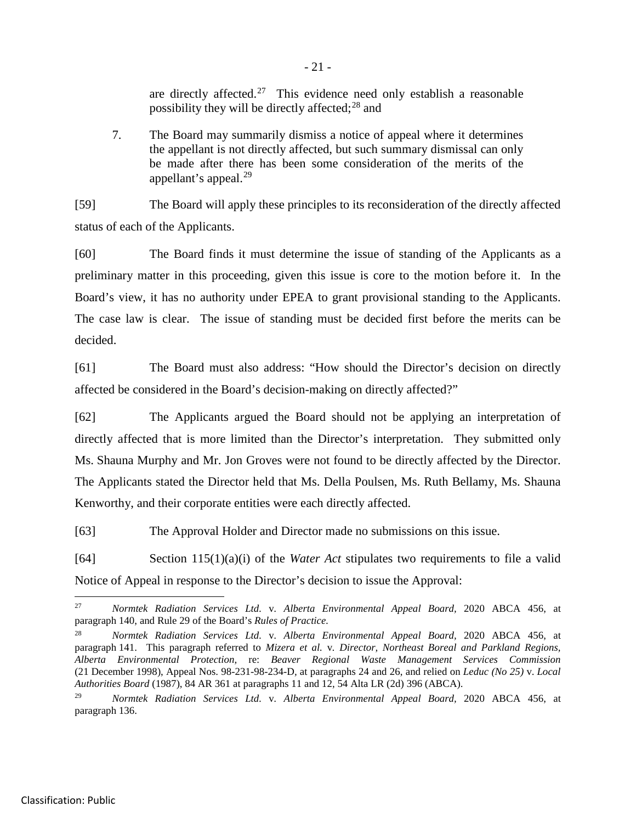are directly affected.<sup>27</sup> This evidence need only establish a reasonable possibility they will be directly affected;<sup>[28](#page-26-1)</sup> and

7. The Board may summarily dismiss a notice of appeal where it determines the appellant is not directly affected, but such summary dismissal can only be made after there has been some consideration of the merits of the appellant's appeal. $^{29}$  $^{29}$  $^{29}$ 

[59] The Board will apply these principles to its reconsideration of the directly affected status of each of the Applicants.

[60] The Board finds it must determine the issue of standing of the Applicants as a preliminary matter in this proceeding, given this issue is core to the motion before it. In the Board's view, it has no authority under EPEA to grant provisional standing to the Applicants. The case law is clear. The issue of standing must be decided first before the merits can be decided.

[61] The Board must also address: "How should the Director's decision on directly affected be considered in the Board's decision-making on directly affected?"

[62] The Applicants argued the Board should not be applying an interpretation of directly affected that is more limited than the Director's interpretation. They submitted only Ms. Shauna Murphy and Mr. Jon Groves were not found to be directly affected by the Director. The Applicants stated the Director held that Ms. Della Poulsen, Ms. Ruth Bellamy, Ms. Shauna Kenworthy, and their corporate entities were each directly affected.

[63] The Approval Holder and Director made no submissions on this issue.

[64] Section 115(1)(a)(i) of the *Water Act* stipulates two requirements to file a valid Notice of Appeal in response to the Director's decision to issue the Approval:

<span id="page-26-0"></span> <sup>27</sup> *Normtek Radiation Services Ltd.* v*. Alberta Environmental Appeal Board,* 2020 ABCA 456, at paragraph 140, and Rule 29 of the Board's *Rules of Practice.*

<span id="page-26-1"></span><sup>28</sup> *Normtek Radiation Services Ltd.* v*. Alberta Environmental Appeal Board,* 2020 ABCA 456, at paragraph 141. This paragraph referred to *Mizera et al.* v*. Director, Northeast Boreal and Parkland Regions, Alberta Environmental Protection,* re: *Beaver Regional Waste Management Services Commission*  (21 December 1998), Appeal Nos. 98-231-98-234-D*,* at paragraphs 24 and 26, and relied on *Leduc (No 25)* v. *Local Authorities Board* (1987), 84 AR 361 at paragraphs 11 and 12, 54 Alta LR (2d) 396 (ABCA).

<span id="page-26-2"></span><sup>29</sup> *Normtek Radiation Services Ltd.* v*. Alberta Environmental Appeal Board,* 2020 ABCA 456, at paragraph 136.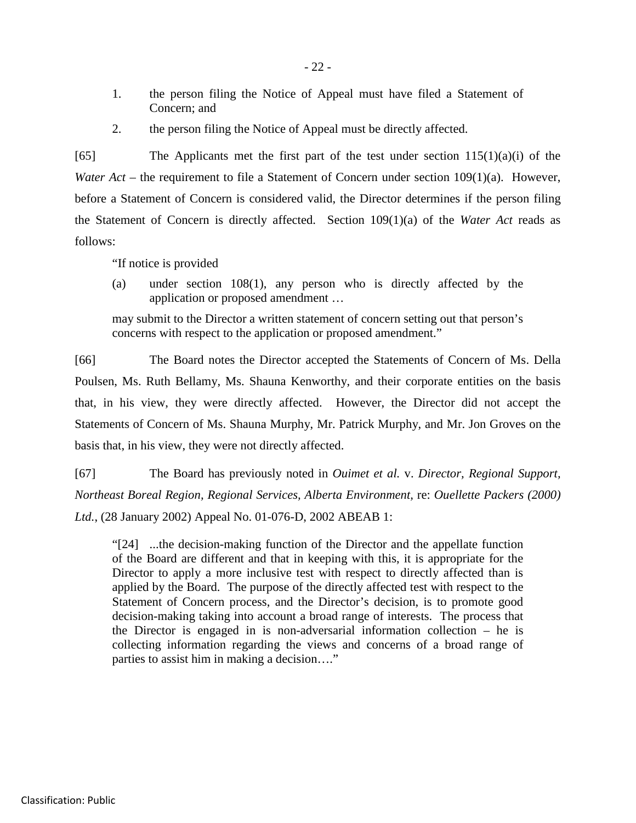- 1. the person filing the Notice of Appeal must have filed a Statement of Concern; and
- 2. the person filing the Notice of Appeal must be directly affected.

[65] The Applicants met the first part of the test under section  $115(1)(a)(i)$  of the *Water Act* – the requirement to file a Statement of Concern under section 109(1)(a). However, before a Statement of Concern is considered valid, the Director determines if the person filing the Statement of Concern is directly affected. Section 109(1)(a) of the *Water Act* reads as follows:

"If notice is provided

(a) under section 108(1), any person who is directly affected by the application or proposed amendment …

may submit to the Director a written statement of concern setting out that person's concerns with respect to the application or proposed amendment."

[66] The Board notes the Director accepted the Statements of Concern of Ms. Della Poulsen, Ms. Ruth Bellamy, Ms. Shauna Kenworthy, and their corporate entities on the basis that, in his view, they were directly affected. However, the Director did not accept the Statements of Concern of Ms. Shauna Murphy, Mr. Patrick Murphy, and Mr. Jon Groves on the basis that, in his view, they were not directly affected.

[67] The Board has previously noted in *Ouimet et al.* v. *Director, Regional Support, Northeast Boreal Region, Regional Services, Alberta Environment,* re: *Ouellette Packers (2000) Ltd.*, (28 January 2002) Appeal No. 01-076-D, 2002 ABEAB 1:

"[24] ...the decision-making function of the Director and the appellate function of the Board are different and that in keeping with this, it is appropriate for the Director to apply a more inclusive test with respect to directly affected than is applied by the Board. The purpose of the directly affected test with respect to the Statement of Concern process, and the Director's decision, is to promote good decision-making taking into account a broad range of interests. The process that the Director is engaged in is non-adversarial information collection – he is collecting information regarding the views and concerns of a broad range of parties to assist him in making a decision…."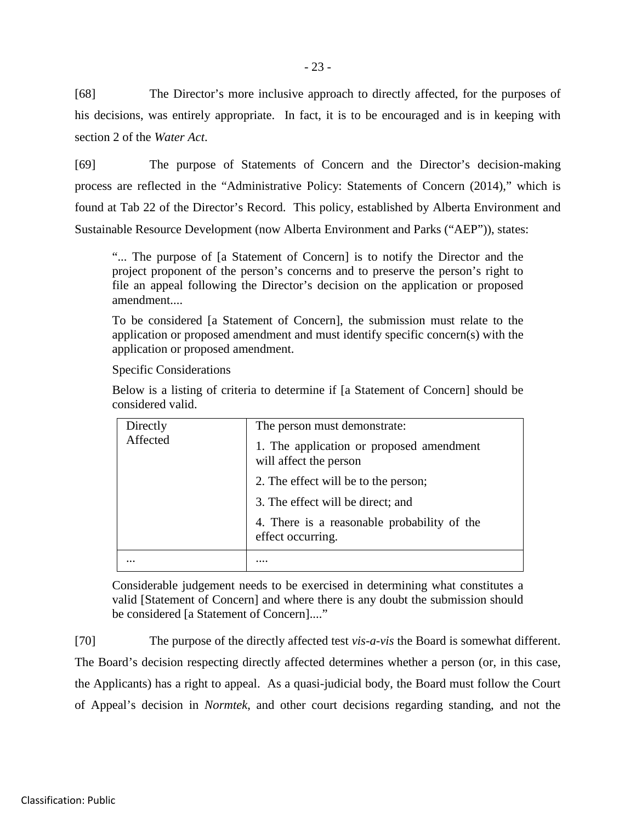[68] The Director's more inclusive approach to directly affected, for the purposes of his decisions, was entirely appropriate. In fact, it is to be encouraged and is in keeping with section 2 of the *Water Act*.

[69] The purpose of Statements of Concern and the Director's decision-making process are reflected in the "Administrative Policy: Statements of Concern (2014)," which is found at Tab 22 of the Director's Record. This policy, established by Alberta Environment and Sustainable Resource Development (now Alberta Environment and Parks ("AEP")), states:

"... The purpose of [a Statement of Concern] is to notify the Director and the project proponent of the person's concerns and to preserve the person's right to file an appeal following the Director's decision on the application or proposed amendment....

To be considered [a Statement of Concern], the submission must relate to the application or proposed amendment and must identify specific concern(s) with the application or proposed amendment.

Specific Considerations

Below is a listing of criteria to determine if [a Statement of Concern] should be considered valid.

| Directly<br>Affected | The person must demonstrate:<br>1. The application or proposed amendment<br>will affect the person<br>2. The effect will be to the person;<br>3. The effect will be direct; and<br>4. There is a reasonable probability of the<br>effect occurring. |
|----------------------|-----------------------------------------------------------------------------------------------------------------------------------------------------------------------------------------------------------------------------------------------------|
|                      |                                                                                                                                                                                                                                                     |

Considerable judgement needs to be exercised in determining what constitutes a valid [Statement of Concern] and where there is any doubt the submission should be considered [a Statement of Concern]...."

[70] The purpose of the directly affected test *vis-a-vis* the Board is somewhat different. The Board's decision respecting directly affected determines whether a person (or, in this case, the Applicants) has a right to appeal. As a quasi-judicial body, the Board must follow the Court of Appeal's decision in *Normtek*, and other court decisions regarding standing, and not the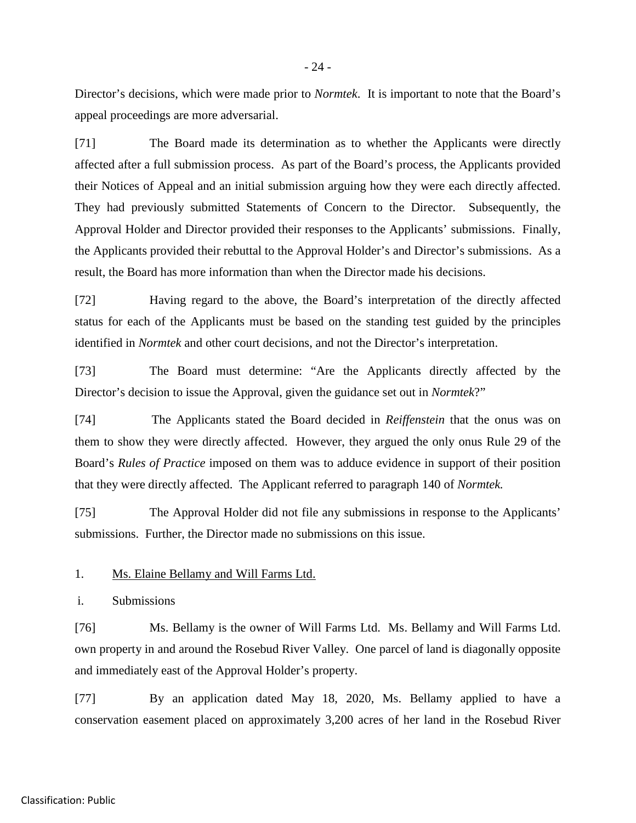Director's decisions, which were made prior to *Normtek*. It is important to note that the Board's appeal proceedings are more adversarial.

[71] The Board made its determination as to whether the Applicants were directly affected after a full submission process. As part of the Board's process, the Applicants provided their Notices of Appeal and an initial submission arguing how they were each directly affected. They had previously submitted Statements of Concern to the Director. Subsequently, the Approval Holder and Director provided their responses to the Applicants' submissions. Finally, the Applicants provided their rebuttal to the Approval Holder's and Director's submissions. As a result, the Board has more information than when the Director made his decisions.

[72] Having regard to the above, the Board's interpretation of the directly affected status for each of the Applicants must be based on the standing test guided by the principles identified in *Normtek* and other court decisions, and not the Director's interpretation.

[73] The Board must determine: "Are the Applicants directly affected by the Director's decision to issue the Approval, given the guidance set out in *Normtek*?"

[74] The Applicants stated the Board decided in *Reiffenstein* that the onus was on them to show they were directly affected. However, they argued the only onus Rule 29 of the Board's *Rules of Practice* imposed on them was to adduce evidence in support of their position that they were directly affected. The Applicant referred to paragraph 140 of *Normtek.*

[75] The Approval Holder did not file any submissions in response to the Applicants' submissions. Further, the Director made no submissions on this issue.

1. Ms. Elaine Bellamy and Will Farms Ltd.

i. Submissions

[76] Ms. Bellamy is the owner of Will Farms Ltd. Ms. Bellamy and Will Farms Ltd. own property in and around the Rosebud River Valley. One parcel of land is diagonally opposite and immediately east of the Approval Holder's property.

[77] By an application dated May 18, 2020, Ms. Bellamy applied to have a conservation easement placed on approximately 3,200 acres of her land in the Rosebud River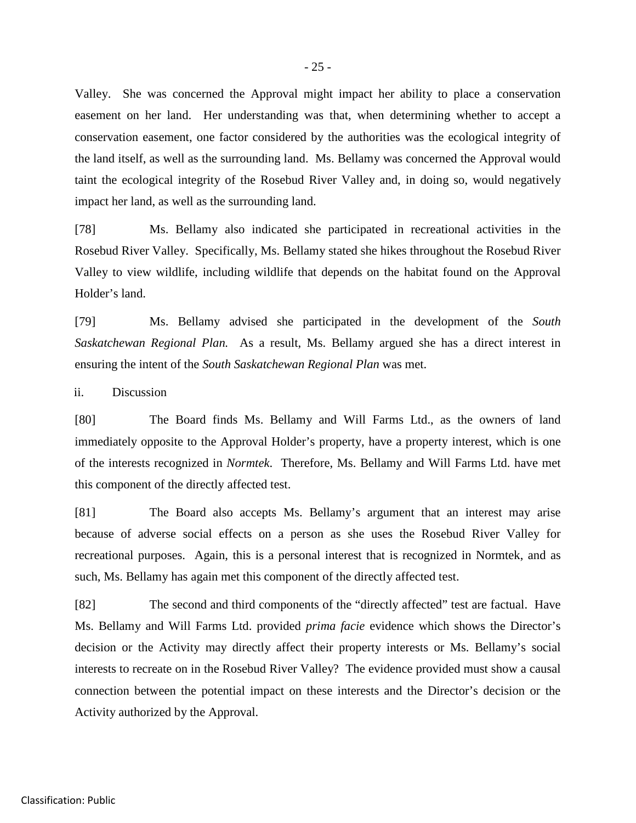Valley. She was concerned the Approval might impact her ability to place a conservation easement on her land. Her understanding was that, when determining whether to accept a conservation easement, one factor considered by the authorities was the ecological integrity of the land itself, as well as the surrounding land. Ms. Bellamy was concerned the Approval would taint the ecological integrity of the Rosebud River Valley and, in doing so, would negatively impact her land, as well as the surrounding land.

[78] Ms. Bellamy also indicated she participated in recreational activities in the Rosebud River Valley. Specifically, Ms. Bellamy stated she hikes throughout the Rosebud River Valley to view wildlife, including wildlife that depends on the habitat found on the Approval Holder's land.

[79] Ms. Bellamy advised she participated in the development of the *South Saskatchewan Regional Plan.* As a result, Ms. Bellamy argued she has a direct interest in ensuring the intent of the *South Saskatchewan Regional Plan* was met.

ii. Discussion

[80] The Board finds Ms. Bellamy and Will Farms Ltd., as the owners of land immediately opposite to the Approval Holder's property, have a property interest, which is one of the interests recognized in *Normtek*. Therefore, Ms. Bellamy and Will Farms Ltd. have met this component of the directly affected test.

[81] The Board also accepts Ms. Bellamy's argument that an interest may arise because of adverse social effects on a person as she uses the Rosebud River Valley for recreational purposes. Again, this is a personal interest that is recognized in Normtek, and as such, Ms. Bellamy has again met this component of the directly affected test.

[82] The second and third components of the "directly affected" test are factual. Have Ms. Bellamy and Will Farms Ltd. provided *prima facie* evidence which shows the Director's decision or the Activity may directly affect their property interests or Ms. Bellamy's social interests to recreate on in the Rosebud River Valley? The evidence provided must show a causal connection between the potential impact on these interests and the Director's decision or the Activity authorized by the Approval.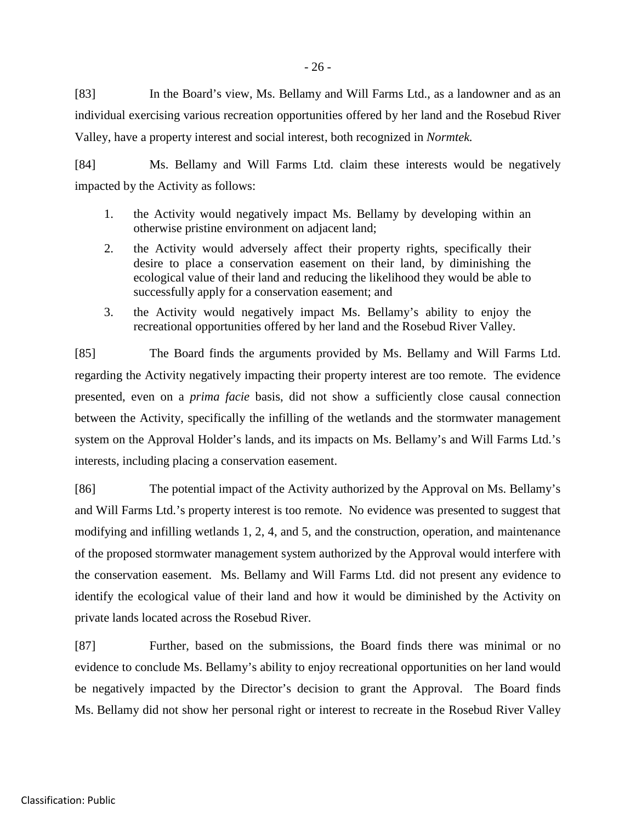[83] In the Board's view, Ms. Bellamy and Will Farms Ltd., as a landowner and as an individual exercising various recreation opportunities offered by her land and the Rosebud River Valley, have a property interest and social interest, both recognized in *Normtek.*

[84] Ms. Bellamy and Will Farms Ltd. claim these interests would be negatively impacted by the Activity as follows:

- 1. the Activity would negatively impact Ms. Bellamy by developing within an otherwise pristine environment on adjacent land;
- 2. the Activity would adversely affect their property rights, specifically their desire to place a conservation easement on their land, by diminishing the ecological value of their land and reducing the likelihood they would be able to successfully apply for a conservation easement; and
- 3. the Activity would negatively impact Ms. Bellamy's ability to enjoy the recreational opportunities offered by her land and the Rosebud River Valley.

[85] The Board finds the arguments provided by Ms. Bellamy and Will Farms Ltd. regarding the Activity negatively impacting their property interest are too remote. The evidence presented, even on a *prima facie* basis, did not show a sufficiently close causal connection between the Activity, specifically the infilling of the wetlands and the stormwater management system on the Approval Holder's lands, and its impacts on Ms. Bellamy's and Will Farms Ltd.'s interests, including placing a conservation easement.

[86] The potential impact of the Activity authorized by the Approval on Ms. Bellamy's and Will Farms Ltd.'s property interest is too remote. No evidence was presented to suggest that modifying and infilling wetlands 1, 2, 4, and 5, and the construction, operation, and maintenance of the proposed stormwater management system authorized by the Approval would interfere with the conservation easement. Ms. Bellamy and Will Farms Ltd. did not present any evidence to identify the ecological value of their land and how it would be diminished by the Activity on private lands located across the Rosebud River.

[87] Further, based on the submissions, the Board finds there was minimal or no evidence to conclude Ms. Bellamy's ability to enjoy recreational opportunities on her land would be negatively impacted by the Director's decision to grant the Approval. The Board finds Ms. Bellamy did not show her personal right or interest to recreate in the Rosebud River Valley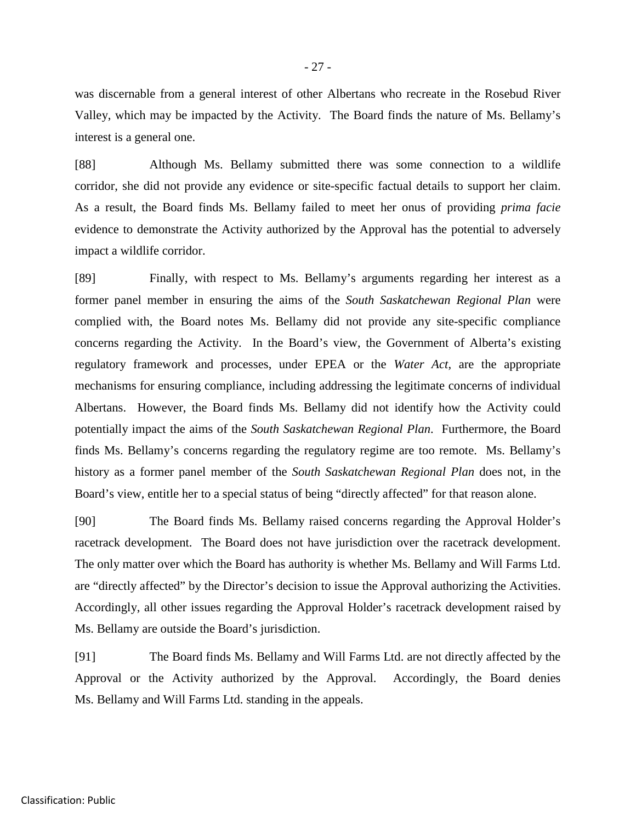was discernable from a general interest of other Albertans who recreate in the Rosebud River Valley, which may be impacted by the Activity. The Board finds the nature of Ms. Bellamy's interest is a general one.

[88] Although Ms. Bellamy submitted there was some connection to a wildlife corridor, she did not provide any evidence or site-specific factual details to support her claim. As a result, the Board finds Ms. Bellamy failed to meet her onus of providing *prima facie* evidence to demonstrate the Activity authorized by the Approval has the potential to adversely impact a wildlife corridor.

[89] Finally, with respect to Ms. Bellamy's arguments regarding her interest as a former panel member in ensuring the aims of the *South Saskatchewan Regional Plan* were complied with, the Board notes Ms. Bellamy did not provide any site-specific compliance concerns regarding the Activity. In the Board's view, the Government of Alberta's existing regulatory framework and processes, under EPEA or the *Water Act*, are the appropriate mechanisms for ensuring compliance, including addressing the legitimate concerns of individual Albertans. However, the Board finds Ms. Bellamy did not identify how the Activity could potentially impact the aims of the *South Saskatchewan Regional Plan*. Furthermore, the Board finds Ms. Bellamy's concerns regarding the regulatory regime are too remote. Ms. Bellamy's history as a former panel member of the *South Saskatchewan Regional Plan* does not, in the Board's view, entitle her to a special status of being "directly affected" for that reason alone.

[90] The Board finds Ms. Bellamy raised concerns regarding the Approval Holder's racetrack development. The Board does not have jurisdiction over the racetrack development. The only matter over which the Board has authority is whether Ms. Bellamy and Will Farms Ltd. are "directly affected" by the Director's decision to issue the Approval authorizing the Activities. Accordingly, all other issues regarding the Approval Holder's racetrack development raised by Ms. Bellamy are outside the Board's jurisdiction.

[91] The Board finds Ms. Bellamy and Will Farms Ltd. are not directly affected by the Approval or the Activity authorized by the Approval. Accordingly, the Board denies Ms. Bellamy and Will Farms Ltd. standing in the appeals.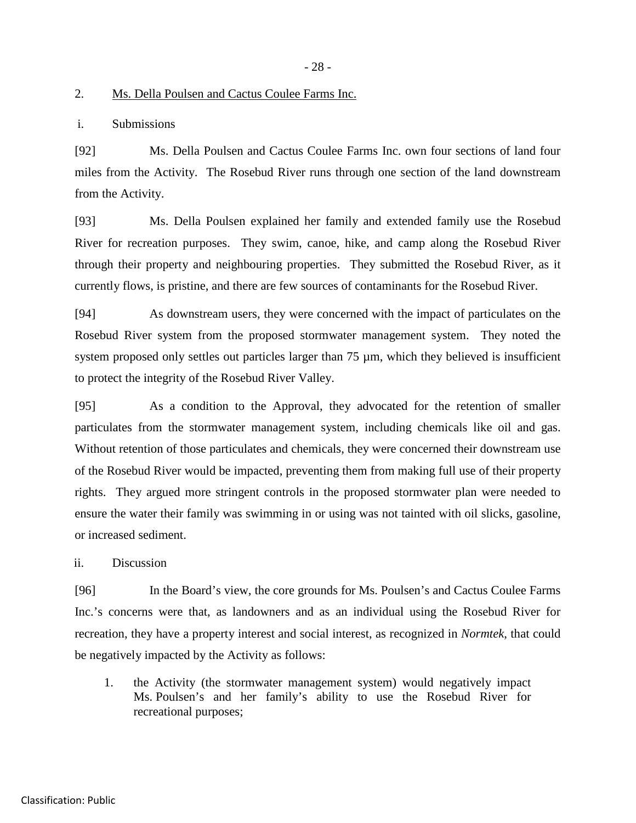- 28 -

#### 2. Ms. Della Poulsen and Cactus Coulee Farms Inc.

i. Submissions

[92] Ms. Della Poulsen and Cactus Coulee Farms Inc. own four sections of land four miles from the Activity. The Rosebud River runs through one section of the land downstream from the Activity.

[93] Ms. Della Poulsen explained her family and extended family use the Rosebud River for recreation purposes. They swim, canoe, hike, and camp along the Rosebud River through their property and neighbouring properties. They submitted the Rosebud River, as it currently flows, is pristine, and there are few sources of contaminants for the Rosebud River.

[94] As downstream users, they were concerned with the impact of particulates on the Rosebud River system from the proposed stormwater management system. They noted the system proposed only settles out particles larger than 75  $\mu$ m, which they believed is insufficient to protect the integrity of the Rosebud River Valley.

[95] As a condition to the Approval, they advocated for the retention of smaller particulates from the stormwater management system, including chemicals like oil and gas. Without retention of those particulates and chemicals, they were concerned their downstream use of the Rosebud River would be impacted, preventing them from making full use of their property rights. They argued more stringent controls in the proposed stormwater plan were needed to ensure the water their family was swimming in or using was not tainted with oil slicks, gasoline, or increased sediment.

ii. Discussion

[96] In the Board's view, the core grounds for Ms. Poulsen's and Cactus Coulee Farms Inc.'s concerns were that, as landowners and as an individual using the Rosebud River for recreation, they have a property interest and social interest, as recognized in *Normtek*, that could be negatively impacted by the Activity as follows:

1. the Activity (the stormwater management system) would negatively impact Ms. Poulsen's and her family's ability to use the Rosebud River for recreational purposes;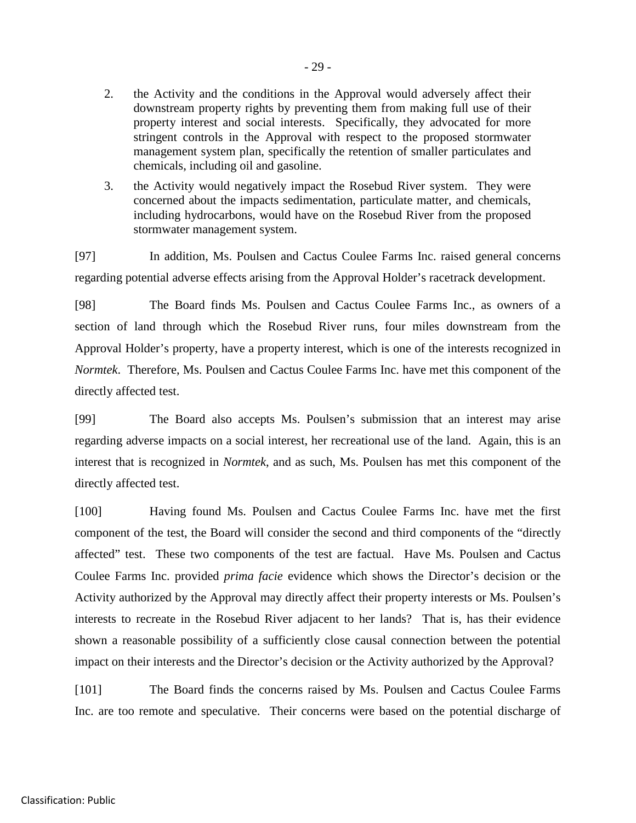- 2. the Activity and the conditions in the Approval would adversely affect their downstream property rights by preventing them from making full use of their property interest and social interests. Specifically, they advocated for more stringent controls in the Approval with respect to the proposed stormwater management system plan, specifically the retention of smaller particulates and chemicals, including oil and gasoline.
- 3. the Activity would negatively impact the Rosebud River system. They were concerned about the impacts sedimentation, particulate matter, and chemicals, including hydrocarbons, would have on the Rosebud River from the proposed stormwater management system.

[97] In addition, Ms. Poulsen and Cactus Coulee Farms Inc. raised general concerns regarding potential adverse effects arising from the Approval Holder's racetrack development.

[98] The Board finds Ms. Poulsen and Cactus Coulee Farms Inc., as owners of a section of land through which the Rosebud River runs, four miles downstream from the Approval Holder's property, have a property interest, which is one of the interests recognized in *Normtek*. Therefore, Ms. Poulsen and Cactus Coulee Farms Inc. have met this component of the directly affected test.

[99] The Board also accepts Ms. Poulsen's submission that an interest may arise regarding adverse impacts on a social interest, her recreational use of the land. Again, this is an interest that is recognized in *Normtek*, and as such, Ms. Poulsen has met this component of the directly affected test.

[100] Having found Ms. Poulsen and Cactus Coulee Farms Inc. have met the first component of the test, the Board will consider the second and third components of the "directly affected" test. These two components of the test are factual. Have Ms. Poulsen and Cactus Coulee Farms Inc. provided *prima facie* evidence which shows the Director's decision or the Activity authorized by the Approval may directly affect their property interests or Ms. Poulsen's interests to recreate in the Rosebud River adjacent to her lands? That is, has their evidence shown a reasonable possibility of a sufficiently close causal connection between the potential impact on their interests and the Director's decision or the Activity authorized by the Approval?

[101] The Board finds the concerns raised by Ms. Poulsen and Cactus Coulee Farms Inc. are too remote and speculative. Their concerns were based on the potential discharge of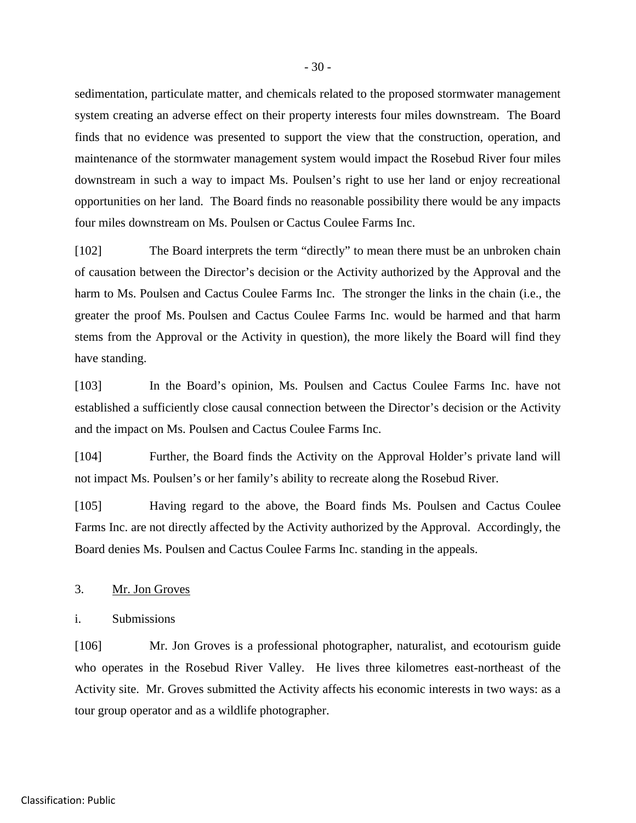sedimentation, particulate matter, and chemicals related to the proposed stormwater management system creating an adverse effect on their property interests four miles downstream. The Board finds that no evidence was presented to support the view that the construction, operation, and maintenance of the stormwater management system would impact the Rosebud River four miles downstream in such a way to impact Ms. Poulsen's right to use her land or enjoy recreational opportunities on her land. The Board finds no reasonable possibility there would be any impacts four miles downstream on Ms. Poulsen or Cactus Coulee Farms Inc.

[102] The Board interprets the term "directly" to mean there must be an unbroken chain of causation between the Director's decision or the Activity authorized by the Approval and the harm to Ms. Poulsen and Cactus Coulee Farms Inc. The stronger the links in the chain (i.e., the greater the proof Ms. Poulsen and Cactus Coulee Farms Inc. would be harmed and that harm stems from the Approval or the Activity in question), the more likely the Board will find they have standing.

[103] In the Board's opinion, Ms. Poulsen and Cactus Coulee Farms Inc. have not established a sufficiently close causal connection between the Director's decision or the Activity and the impact on Ms. Poulsen and Cactus Coulee Farms Inc.

[104] Further, the Board finds the Activity on the Approval Holder's private land will not impact Ms. Poulsen's or her family's ability to recreate along the Rosebud River.

[105] Having regard to the above, the Board finds Ms. Poulsen and Cactus Coulee Farms Inc. are not directly affected by the Activity authorized by the Approval. Accordingly, the Board denies Ms. Poulsen and Cactus Coulee Farms Inc. standing in the appeals.

#### 3. Mr. Jon Groves

i. Submissions

[106] Mr. Jon Groves is a professional photographer, naturalist, and ecotourism guide who operates in the Rosebud River Valley. He lives three kilometres east-northeast of the Activity site. Mr. Groves submitted the Activity affects his economic interests in two ways: as a tour group operator and as a wildlife photographer.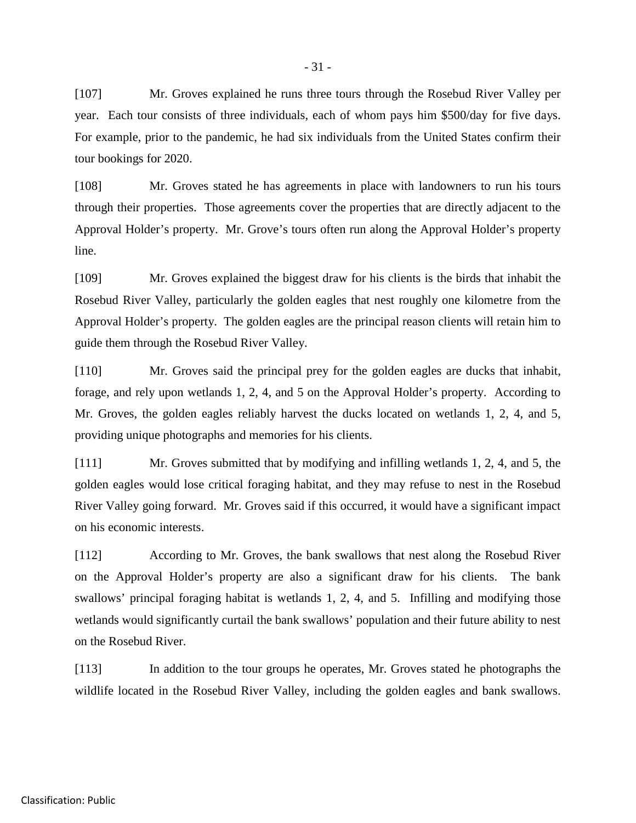[107] Mr. Groves explained he runs three tours through the Rosebud River Valley per year. Each tour consists of three individuals, each of whom pays him \$500/day for five days. For example, prior to the pandemic, he had six individuals from the United States confirm their tour bookings for 2020.

[108] Mr. Groves stated he has agreements in place with landowners to run his tours through their properties. Those agreements cover the properties that are directly adjacent to the Approval Holder's property. Mr. Grove's tours often run along the Approval Holder's property line.

[109] Mr. Groves explained the biggest draw for his clients is the birds that inhabit the Rosebud River Valley, particularly the golden eagles that nest roughly one kilometre from the Approval Holder's property. The golden eagles are the principal reason clients will retain him to guide them through the Rosebud River Valley.

[110] Mr. Groves said the principal prey for the golden eagles are ducks that inhabit, forage, and rely upon wetlands 1, 2, 4, and 5 on the Approval Holder's property. According to Mr. Groves, the golden eagles reliably harvest the ducks located on wetlands 1, 2, 4, and 5, providing unique photographs and memories for his clients.

[111] Mr. Groves submitted that by modifying and infilling wetlands 1, 2, 4, and 5, the golden eagles would lose critical foraging habitat, and they may refuse to nest in the Rosebud River Valley going forward. Mr. Groves said if this occurred, it would have a significant impact on his economic interests.

[112] According to Mr. Groves, the bank swallows that nest along the Rosebud River on the Approval Holder's property are also a significant draw for his clients. The bank swallows' principal foraging habitat is wetlands 1, 2, 4, and 5. Infilling and modifying those wetlands would significantly curtail the bank swallows' population and their future ability to nest on the Rosebud River.

[113] In addition to the tour groups he operates, Mr. Groves stated he photographs the wildlife located in the Rosebud River Valley, including the golden eagles and bank swallows.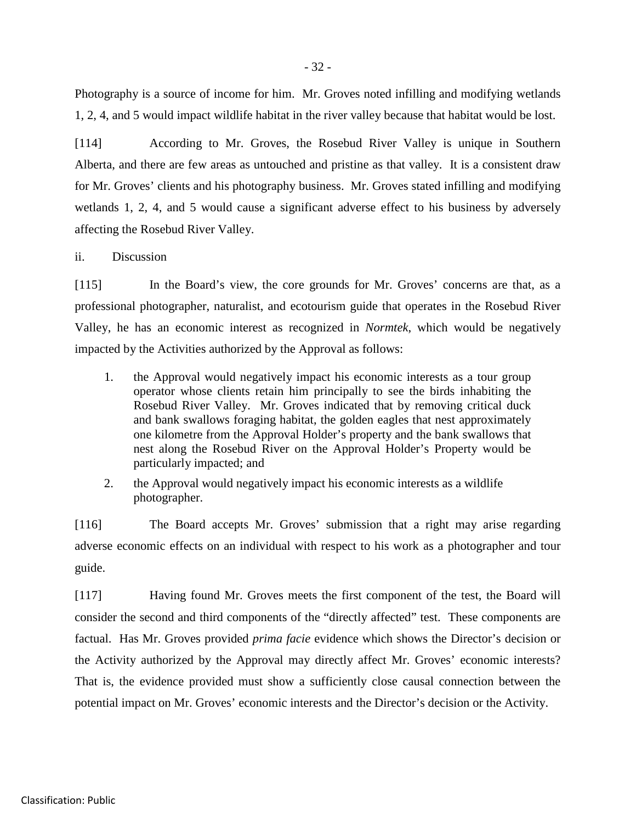Photography is a source of income for him. Mr. Groves noted infilling and modifying wetlands 1, 2, 4, and 5 would impact wildlife habitat in the river valley because that habitat would be lost.

[114] According to Mr. Groves, the Rosebud River Valley is unique in Southern Alberta, and there are few areas as untouched and pristine as that valley. It is a consistent draw for Mr. Groves' clients and his photography business. Mr. Groves stated infilling and modifying wetlands 1, 2, 4, and 5 would cause a significant adverse effect to his business by adversely affecting the Rosebud River Valley.

ii. Discussion

[115] In the Board's view, the core grounds for Mr. Groves' concerns are that, as a professional photographer, naturalist, and ecotourism guide that operates in the Rosebud River Valley, he has an economic interest as recognized in *Normtek*, which would be negatively impacted by the Activities authorized by the Approval as follows:

- 1. the Approval would negatively impact his economic interests as a tour group operator whose clients retain him principally to see the birds inhabiting the Rosebud River Valley. Mr. Groves indicated that by removing critical duck and bank swallows foraging habitat, the golden eagles that nest approximately one kilometre from the Approval Holder's property and the bank swallows that nest along the Rosebud River on the Approval Holder's Property would be particularly impacted; and
- 2. the Approval would negatively impact his economic interests as a wildlife photographer.

[116] The Board accepts Mr. Groves' submission that a right may arise regarding adverse economic effects on an individual with respect to his work as a photographer and tour guide.

[117] Having found Mr. Groves meets the first component of the test, the Board will consider the second and third components of the "directly affected" test. These components are factual. Has Mr. Groves provided *prima facie* evidence which shows the Director's decision or the Activity authorized by the Approval may directly affect Mr. Groves' economic interests? That is, the evidence provided must show a sufficiently close causal connection between the potential impact on Mr. Groves' economic interests and the Director's decision or the Activity.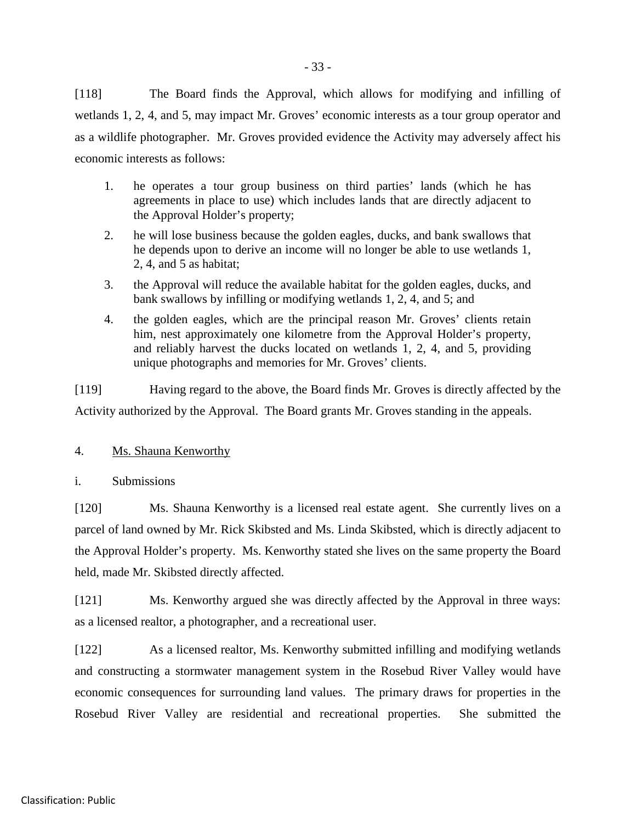[118] The Board finds the Approval, which allows for modifying and infilling of wetlands 1, 2, 4, and 5, may impact Mr. Groves' economic interests as a tour group operator and as a wildlife photographer. Mr. Groves provided evidence the Activity may adversely affect his economic interests as follows:

- 1. he operates a tour group business on third parties' lands (which he has agreements in place to use) which includes lands that are directly adjacent to the Approval Holder's property;
- 2. he will lose business because the golden eagles, ducks, and bank swallows that he depends upon to derive an income will no longer be able to use wetlands 1, 2, 4, and 5 as habitat;
- 3. the Approval will reduce the available habitat for the golden eagles, ducks, and bank swallows by infilling or modifying wetlands 1, 2, 4, and 5; and
- 4. the golden eagles, which are the principal reason Mr. Groves' clients retain him, nest approximately one kilometre from the Approval Holder's property, and reliably harvest the ducks located on wetlands 1, 2, 4, and 5, providing unique photographs and memories for Mr. Groves' clients.

[119] Having regard to the above, the Board finds Mr. Groves is directly affected by the Activity authorized by the Approval. The Board grants Mr. Groves standing in the appeals.

# 4. Ms. Shauna Kenworthy

i. Submissions

[120] Ms. Shauna Kenworthy is a licensed real estate agent. She currently lives on a parcel of land owned by Mr. Rick Skibsted and Ms. Linda Skibsted, which is directly adjacent to the Approval Holder's property. Ms. Kenworthy stated she lives on the same property the Board held, made Mr. Skibsted directly affected.

[121] Ms. Kenworthy argued she was directly affected by the Approval in three ways: as a licensed realtor, a photographer, and a recreational user.

[122] As a licensed realtor, Ms. Kenworthy submitted infilling and modifying wetlands and constructing a stormwater management system in the Rosebud River Valley would have economic consequences for surrounding land values. The primary draws for properties in the Rosebud River Valley are residential and recreational properties. She submitted the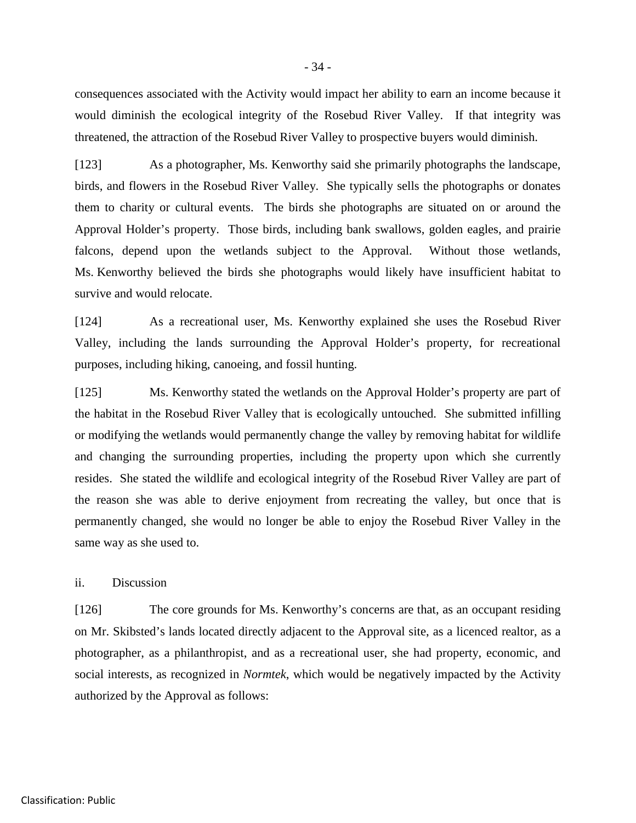consequences associated with the Activity would impact her ability to earn an income because it would diminish the ecological integrity of the Rosebud River Valley. If that integrity was threatened, the attraction of the Rosebud River Valley to prospective buyers would diminish.

[123] As a photographer, Ms. Kenworthy said she primarily photographs the landscape, birds, and flowers in the Rosebud River Valley. She typically sells the photographs or donates them to charity or cultural events. The birds she photographs are situated on or around the Approval Holder's property. Those birds, including bank swallows, golden eagles, and prairie falcons, depend upon the wetlands subject to the Approval. Without those wetlands, Ms. Kenworthy believed the birds she photographs would likely have insufficient habitat to survive and would relocate.

[124] As a recreational user, Ms. Kenworthy explained she uses the Rosebud River Valley, including the lands surrounding the Approval Holder's property, for recreational purposes, including hiking, canoeing, and fossil hunting.

[125] Ms. Kenworthy stated the wetlands on the Approval Holder's property are part of the habitat in the Rosebud River Valley that is ecologically untouched. She submitted infilling or modifying the wetlands would permanently change the valley by removing habitat for wildlife and changing the surrounding properties, including the property upon which she currently resides. She stated the wildlife and ecological integrity of the Rosebud River Valley are part of the reason she was able to derive enjoyment from recreating the valley, but once that is permanently changed, she would no longer be able to enjoy the Rosebud River Valley in the same way as she used to.

ii. Discussion

[126] The core grounds for Ms. Kenworthy's concerns are that, as an occupant residing on Mr. Skibsted's lands located directly adjacent to the Approval site, as a licenced realtor, as a photographer, as a philanthropist, and as a recreational user, she had property, economic, and social interests, as recognized in *Normtek*, which would be negatively impacted by the Activity authorized by the Approval as follows: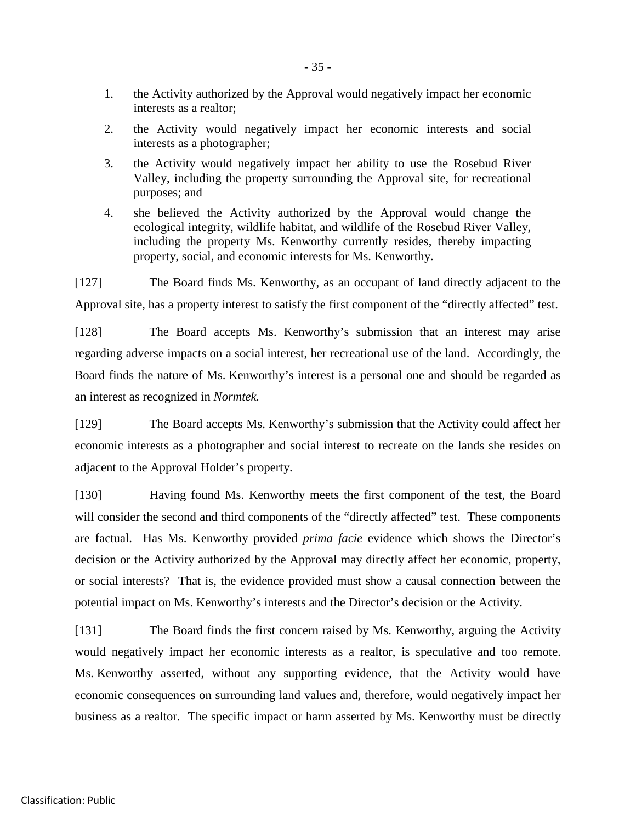- 1. the Activity authorized by the Approval would negatively impact her economic interests as a realtor;
- 2. the Activity would negatively impact her economic interests and social interests as a photographer;
- 3. the Activity would negatively impact her ability to use the Rosebud River Valley, including the property surrounding the Approval site, for recreational purposes; and
- 4. she believed the Activity authorized by the Approval would change the ecological integrity, wildlife habitat, and wildlife of the Rosebud River Valley, including the property Ms. Kenworthy currently resides, thereby impacting property, social, and economic interests for Ms. Kenworthy.

[127] The Board finds Ms. Kenworthy, as an occupant of land directly adjacent to the Approval site, has a property interest to satisfy the first component of the "directly affected" test.

[128] The Board accepts Ms. Kenworthy's submission that an interest may arise regarding adverse impacts on a social interest, her recreational use of the land. Accordingly, the Board finds the nature of Ms. Kenworthy's interest is a personal one and should be regarded as an interest as recognized in *Normtek.*

[129] The Board accepts Ms. Kenworthy's submission that the Activity could affect her economic interests as a photographer and social interest to recreate on the lands she resides on adjacent to the Approval Holder's property.

[130] Having found Ms. Kenworthy meets the first component of the test, the Board will consider the second and third components of the "directly affected" test. These components are factual. Has Ms. Kenworthy provided *prima facie* evidence which shows the Director's decision or the Activity authorized by the Approval may directly affect her economic, property, or social interests? That is, the evidence provided must show a causal connection between the potential impact on Ms. Kenworthy's interests and the Director's decision or the Activity.

[131] The Board finds the first concern raised by Ms. Kenworthy, arguing the Activity would negatively impact her economic interests as a realtor, is speculative and too remote. Ms. Kenworthy asserted, without any supporting evidence, that the Activity would have economic consequences on surrounding land values and, therefore, would negatively impact her business as a realtor. The specific impact or harm asserted by Ms. Kenworthy must be directly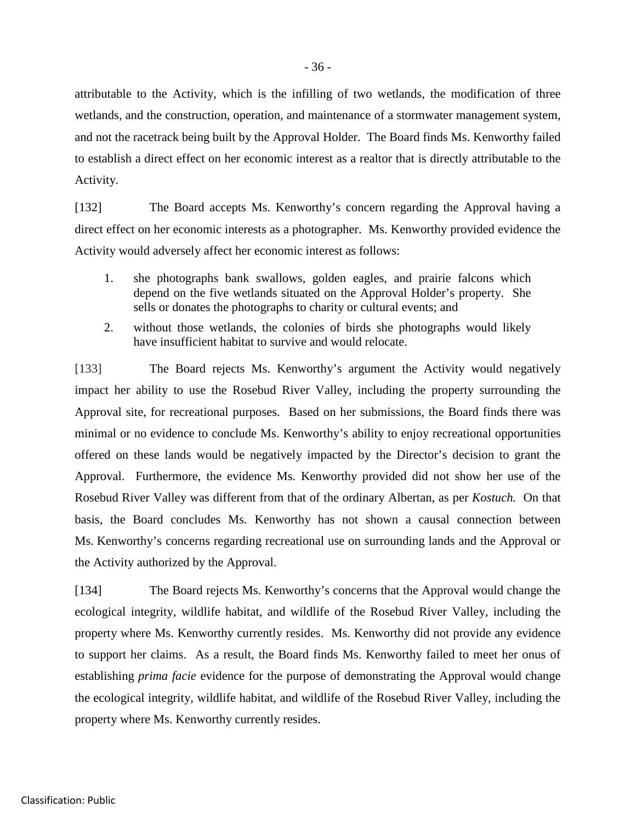attributable to the Activity, which is the infilling of two wetlands, the modification of three wetlands, and the construction, operation, and maintenance of a stormwater management system, and not the racetrack being built by the Approval Holder. The Board finds Ms. Kenworthy failed to establish a direct effect on her economic interest as a realtor that is directly attributable to the Activity.

[132] The Board accepts Ms. Kenworthy's concern regarding the Approval having a direct effect on her economic interests as a photographer. Ms. Kenworthy provided evidence the Activity would adversely affect her economic interest as follows:

- 1. she photographs bank swallows, golden eagles, and prairie falcons which depend on the five wetlands situated on the Approval Holder's property. She sells or donates the photographs to charity or cultural events; and
- 2. without those wetlands, the colonies of birds she photographs would likely have insufficient habitat to survive and would relocate.

[133] The Board rejects Ms. Kenworthy's argument the Activity would negatively impact her ability to use the Rosebud River Valley, including the property surrounding the Approval site, for recreational purposes. Based on her submissions, the Board finds there was minimal or no evidence to conclude Ms. Kenworthy's ability to enjoy recreational opportunities offered on these lands would be negatively impacted by the Director's decision to grant the Approval. Furthermore, the evidence Ms. Kenworthy provided did not show her use of the Rosebud River Valley was different from that of the ordinary Albertan, as per *Kostuch.* On that basis, the Board concludes Ms. Kenworthy has not shown a causal connection between Ms. Kenworthy's concerns regarding recreational use on surrounding lands and the Approval or the Activity authorized by the Approval.

[134] The Board rejects Ms. Kenworthy's concerns that the Approval would change the ecological integrity, wildlife habitat, and wildlife of the Rosebud River Valley, including the property where Ms. Kenworthy currently resides. Ms. Kenworthy did not provide any evidence to support her claims. As a result, the Board finds Ms. Kenworthy failed to meet her onus of establishing *prima facie* evidence for the purpose of demonstrating the Approval would change the ecological integrity, wildlife habitat, and wildlife of the Rosebud River Valley, including the property where Ms. Kenworthy currently resides.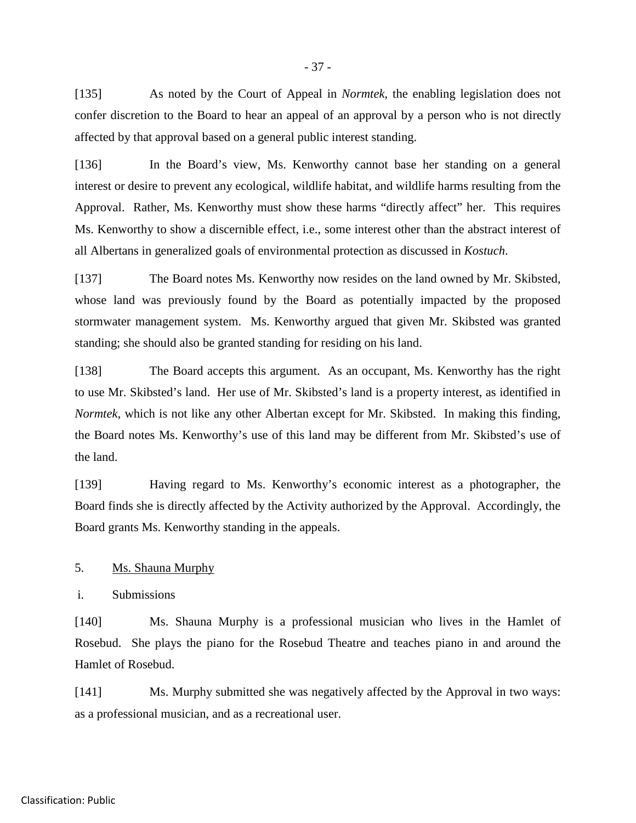[135] As noted by the Court of Appeal in *Normtek*, the enabling legislation does not confer discretion to the Board to hear an appeal of an approval by a person who is not directly affected by that approval based on a general public interest standing.

[136] In the Board's view, Ms. Kenworthy cannot base her standing on a general interest or desire to prevent any ecological, wildlife habitat, and wildlife harms resulting from the Approval. Rather, Ms. Kenworthy must show these harms "directly affect" her. This requires Ms. Kenworthy to show a discernible effect, i.e., some interest other than the abstract interest of all Albertans in generalized goals of environmental protection as discussed in *Kostuch*.

[137] The Board notes Ms. Kenworthy now resides on the land owned by Mr. Skibsted, whose land was previously found by the Board as potentially impacted by the proposed stormwater management system. Ms. Kenworthy argued that given Mr. Skibsted was granted standing; she should also be granted standing for residing on his land.

[138] The Board accepts this argument. As an occupant, Ms. Kenworthy has the right to use Mr. Skibsted's land. Her use of Mr. Skibsted's land is a property interest, as identified in *Normtek*, which is not like any other Albertan except for Mr. Skibsted. In making this finding, the Board notes Ms. Kenworthy's use of this land may be different from Mr. Skibsted's use of the land.

[139] Having regard to Ms. Kenworthy's economic interest as a photographer, the Board finds she is directly affected by the Activity authorized by the Approval. Accordingly, the Board grants Ms. Kenworthy standing in the appeals.

5. Ms. Shauna Murphy

i. Submissions

[140] Ms. Shauna Murphy is a professional musician who lives in the Hamlet of Rosebud. She plays the piano for the Rosebud Theatre and teaches piano in and around the Hamlet of Rosebud.

[141] Ms. Murphy submitted she was negatively affected by the Approval in two ways: as a professional musician, and as a recreational user.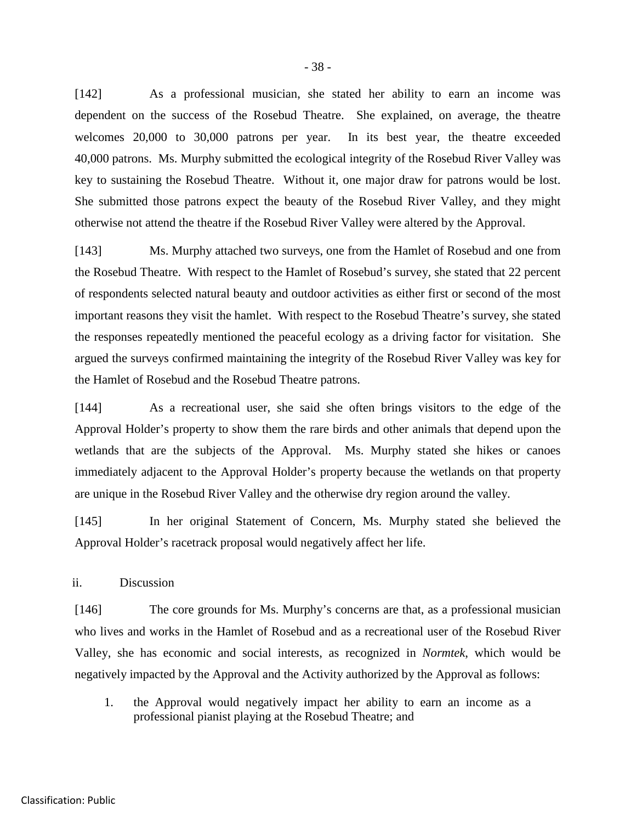[142] As a professional musician, she stated her ability to earn an income was dependent on the success of the Rosebud Theatre. She explained, on average, the theatre welcomes 20,000 to 30,000 patrons per year. In its best year, the theatre exceeded 40,000 patrons. Ms. Murphy submitted the ecological integrity of the Rosebud River Valley was key to sustaining the Rosebud Theatre. Without it, one major draw for patrons would be lost. She submitted those patrons expect the beauty of the Rosebud River Valley, and they might otherwise not attend the theatre if the Rosebud River Valley were altered by the Approval.

[143] Ms. Murphy attached two surveys, one from the Hamlet of Rosebud and one from the Rosebud Theatre. With respect to the Hamlet of Rosebud's survey, she stated that 22 percent of respondents selected natural beauty and outdoor activities as either first or second of the most important reasons they visit the hamlet. With respect to the Rosebud Theatre's survey, she stated the responses repeatedly mentioned the peaceful ecology as a driving factor for visitation. She argued the surveys confirmed maintaining the integrity of the Rosebud River Valley was key for the Hamlet of Rosebud and the Rosebud Theatre patrons.

[144] As a recreational user, she said she often brings visitors to the edge of the Approval Holder's property to show them the rare birds and other animals that depend upon the wetlands that are the subjects of the Approval. Ms. Murphy stated she hikes or canoes immediately adjacent to the Approval Holder's property because the wetlands on that property are unique in the Rosebud River Valley and the otherwise dry region around the valley.

[145] In her original Statement of Concern, Ms. Murphy stated she believed the Approval Holder's racetrack proposal would negatively affect her life.

ii. Discussion

[146] The core grounds for Ms. Murphy's concerns are that, as a professional musician who lives and works in the Hamlet of Rosebud and as a recreational user of the Rosebud River Valley, she has economic and social interests, as recognized in *Normtek*, which would be negatively impacted by the Approval and the Activity authorized by the Approval as follows:

1. the Approval would negatively impact her ability to earn an income as a professional pianist playing at the Rosebud Theatre; and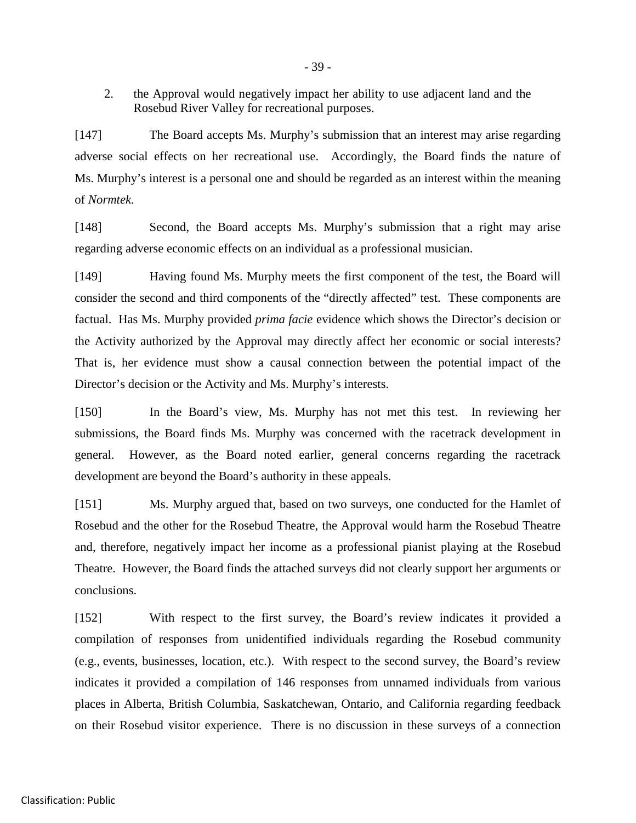2. the Approval would negatively impact her ability to use adjacent land and the Rosebud River Valley for recreational purposes.

[147] The Board accepts Ms. Murphy's submission that an interest may arise regarding adverse social effects on her recreational use. Accordingly, the Board finds the nature of Ms. Murphy's interest is a personal one and should be regarded as an interest within the meaning of *Normtek*.

[148] Second, the Board accepts Ms. Murphy's submission that a right may arise regarding adverse economic effects on an individual as a professional musician.

[149] Having found Ms. Murphy meets the first component of the test, the Board will consider the second and third components of the "directly affected" test. These components are factual. Has Ms. Murphy provided *prima facie* evidence which shows the Director's decision or the Activity authorized by the Approval may directly affect her economic or social interests? That is, her evidence must show a causal connection between the potential impact of the Director's decision or the Activity and Ms. Murphy's interests.

[150] In the Board's view, Ms. Murphy has not met this test. In reviewing her submissions, the Board finds Ms. Murphy was concerned with the racetrack development in general. However, as the Board noted earlier, general concerns regarding the racetrack development are beyond the Board's authority in these appeals.

[151] Ms. Murphy argued that, based on two surveys, one conducted for the Hamlet of Rosebud and the other for the Rosebud Theatre, the Approval would harm the Rosebud Theatre and, therefore, negatively impact her income as a professional pianist playing at the Rosebud Theatre. However, the Board finds the attached surveys did not clearly support her arguments or conclusions.

[152] With respect to the first survey, the Board's review indicates it provided a compilation of responses from unidentified individuals regarding the Rosebud community (e.g., events, businesses, location, etc.). With respect to the second survey, the Board's review indicates it provided a compilation of 146 responses from unnamed individuals from various places in Alberta, British Columbia, Saskatchewan, Ontario, and California regarding feedback on their Rosebud visitor experience. There is no discussion in these surveys of a connection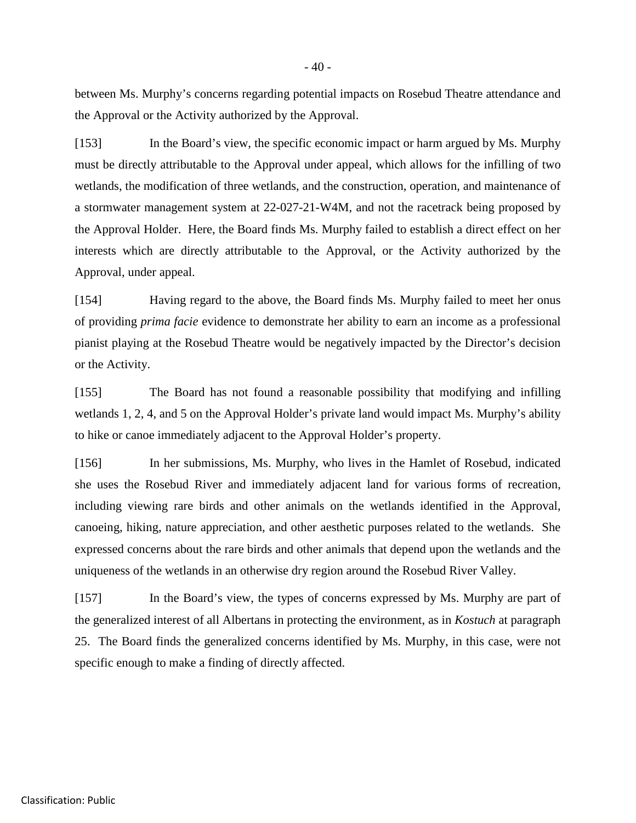between Ms. Murphy's concerns regarding potential impacts on Rosebud Theatre attendance and the Approval or the Activity authorized by the Approval.

[153] In the Board's view, the specific economic impact or harm argued by Ms. Murphy must be directly attributable to the Approval under appeal, which allows for the infilling of two wetlands, the modification of three wetlands, and the construction, operation, and maintenance of a stormwater management system at 22-027-21-W4M, and not the racetrack being proposed by the Approval Holder. Here, the Board finds Ms. Murphy failed to establish a direct effect on her interests which are directly attributable to the Approval, or the Activity authorized by the Approval, under appeal.

[154] Having regard to the above, the Board finds Ms. Murphy failed to meet her onus of providing *prima facie* evidence to demonstrate her ability to earn an income as a professional pianist playing at the Rosebud Theatre would be negatively impacted by the Director's decision or the Activity.

[155] The Board has not found a reasonable possibility that modifying and infilling wetlands 1, 2, 4, and 5 on the Approval Holder's private land would impact Ms. Murphy's ability to hike or canoe immediately adjacent to the Approval Holder's property.

[156] In her submissions, Ms. Murphy, who lives in the Hamlet of Rosebud, indicated she uses the Rosebud River and immediately adjacent land for various forms of recreation, including viewing rare birds and other animals on the wetlands identified in the Approval, canoeing, hiking, nature appreciation, and other aesthetic purposes related to the wetlands. She expressed concerns about the rare birds and other animals that depend upon the wetlands and the uniqueness of the wetlands in an otherwise dry region around the Rosebud River Valley.

[157] In the Board's view, the types of concerns expressed by Ms. Murphy are part of the generalized interest of all Albertans in protecting the environment, as in *Kostuch* at paragraph 25. The Board finds the generalized concerns identified by Ms. Murphy, in this case, were not specific enough to make a finding of directly affected.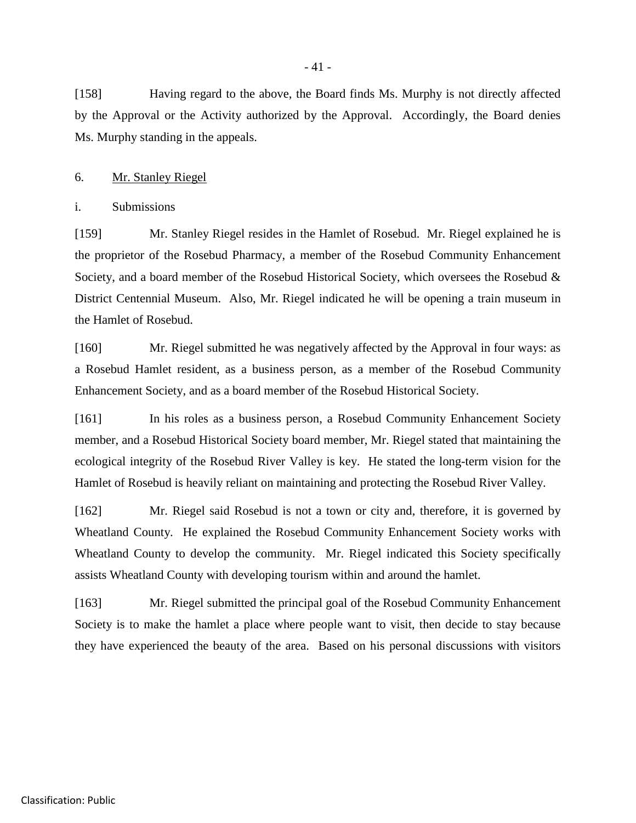[158] Having regard to the above, the Board finds Ms. Murphy is not directly affected by the Approval or the Activity authorized by the Approval. Accordingly, the Board denies Ms. Murphy standing in the appeals.

#### 6. Mr. Stanley Riegel

i. Submissions

[159] Mr. Stanley Riegel resides in the Hamlet of Rosebud. Mr. Riegel explained he is the proprietor of the Rosebud Pharmacy, a member of the Rosebud Community Enhancement Society, and a board member of the Rosebud Historical Society, which oversees the Rosebud & District Centennial Museum. Also, Mr. Riegel indicated he will be opening a train museum in the Hamlet of Rosebud.

[160] Mr. Riegel submitted he was negatively affected by the Approval in four ways: as a Rosebud Hamlet resident, as a business person, as a member of the Rosebud Community Enhancement Society, and as a board member of the Rosebud Historical Society.

[161] In his roles as a business person, a Rosebud Community Enhancement Society member, and a Rosebud Historical Society board member, Mr. Riegel stated that maintaining the ecological integrity of the Rosebud River Valley is key. He stated the long-term vision for the Hamlet of Rosebud is heavily reliant on maintaining and protecting the Rosebud River Valley.

[162] Mr. Riegel said Rosebud is not a town or city and, therefore, it is governed by Wheatland County. He explained the Rosebud Community Enhancement Society works with Wheatland County to develop the community. Mr. Riegel indicated this Society specifically assists Wheatland County with developing tourism within and around the hamlet.

[163] Mr. Riegel submitted the principal goal of the Rosebud Community Enhancement Society is to make the hamlet a place where people want to visit, then decide to stay because they have experienced the beauty of the area. Based on his personal discussions with visitors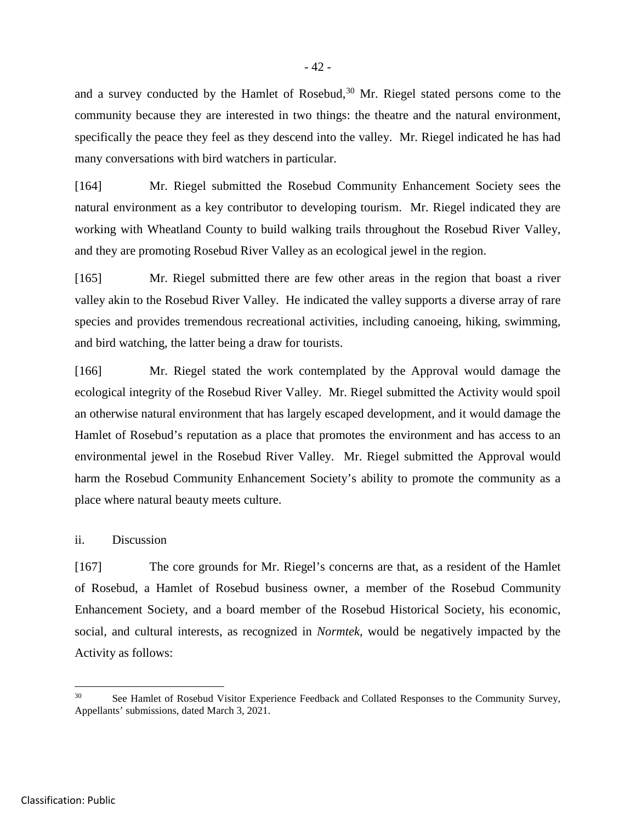and a survey conducted by the Hamlet of Rosebud,  $30$  Mr. Riegel stated persons come to the community because they are interested in two things: the theatre and the natural environment, specifically the peace they feel as they descend into the valley. Mr. Riegel indicated he has had many conversations with bird watchers in particular.

[164] Mr. Riegel submitted the Rosebud Community Enhancement Society sees the natural environment as a key contributor to developing tourism. Mr. Riegel indicated they are working with Wheatland County to build walking trails throughout the Rosebud River Valley, and they are promoting Rosebud River Valley as an ecological jewel in the region.

[165] Mr. Riegel submitted there are few other areas in the region that boast a river valley akin to the Rosebud River Valley. He indicated the valley supports a diverse array of rare species and provides tremendous recreational activities, including canoeing, hiking, swimming, and bird watching, the latter being a draw for tourists.

[166] Mr. Riegel stated the work contemplated by the Approval would damage the ecological integrity of the Rosebud River Valley. Mr. Riegel submitted the Activity would spoil an otherwise natural environment that has largely escaped development, and it would damage the Hamlet of Rosebud's reputation as a place that promotes the environment and has access to an environmental jewel in the Rosebud River Valley. Mr. Riegel submitted the Approval would harm the Rosebud Community Enhancement Society's ability to promote the community as a place where natural beauty meets culture.

## ii. Discussion

[167] The core grounds for Mr. Riegel's concerns are that, as a resident of the Hamlet of Rosebud, a Hamlet of Rosebud business owner, a member of the Rosebud Community Enhancement Society, and a board member of the Rosebud Historical Society, his economic, social, and cultural interests, as recognized in *Normtek*, would be negatively impacted by the Activity as follows:

<span id="page-47-0"></span>See Hamlet of Rosebud Visitor Experience Feedback and Collated Responses to the Community Survey, Appellants' submissions, dated March 3, 2021.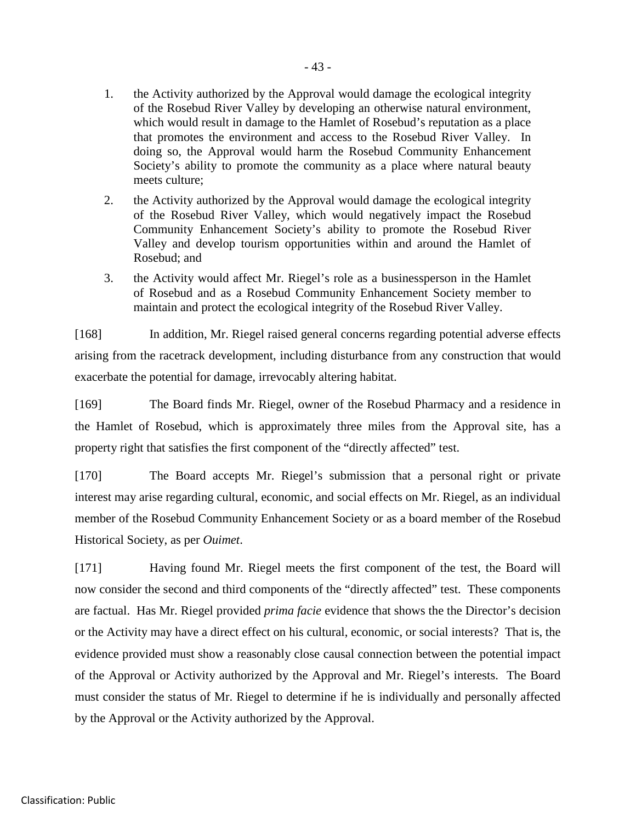- 1. the Activity authorized by the Approval would damage the ecological integrity of the Rosebud River Valley by developing an otherwise natural environment, which would result in damage to the Hamlet of Rosebud's reputation as a place that promotes the environment and access to the Rosebud River Valley. In doing so, the Approval would harm the Rosebud Community Enhancement Society's ability to promote the community as a place where natural beauty meets culture;
- 2. the Activity authorized by the Approval would damage the ecological integrity of the Rosebud River Valley, which would negatively impact the Rosebud Community Enhancement Society's ability to promote the Rosebud River Valley and develop tourism opportunities within and around the Hamlet of Rosebud; and
- 3. the Activity would affect Mr. Riegel's role as a businessperson in the Hamlet of Rosebud and as a Rosebud Community Enhancement Society member to maintain and protect the ecological integrity of the Rosebud River Valley.

[168] In addition, Mr. Riegel raised general concerns regarding potential adverse effects arising from the racetrack development, including disturbance from any construction that would exacerbate the potential for damage, irrevocably altering habitat.

[169] The Board finds Mr. Riegel, owner of the Rosebud Pharmacy and a residence in the Hamlet of Rosebud, which is approximately three miles from the Approval site, has a property right that satisfies the first component of the "directly affected" test.

[170] The Board accepts Mr. Riegel's submission that a personal right or private interest may arise regarding cultural, economic, and social effects on Mr. Riegel, as an individual member of the Rosebud Community Enhancement Society or as a board member of the Rosebud Historical Society, as per *Ouimet*.

[171] Having found Mr. Riegel meets the first component of the test, the Board will now consider the second and third components of the "directly affected" test. These components are factual. Has Mr. Riegel provided *prima facie* evidence that shows the the Director's decision or the Activity may have a direct effect on his cultural, economic, or social interests? That is, the evidence provided must show a reasonably close causal connection between the potential impact of the Approval or Activity authorized by the Approval and Mr. Riegel's interests. The Board must consider the status of Mr. Riegel to determine if he is individually and personally affected by the Approval or the Activity authorized by the Approval.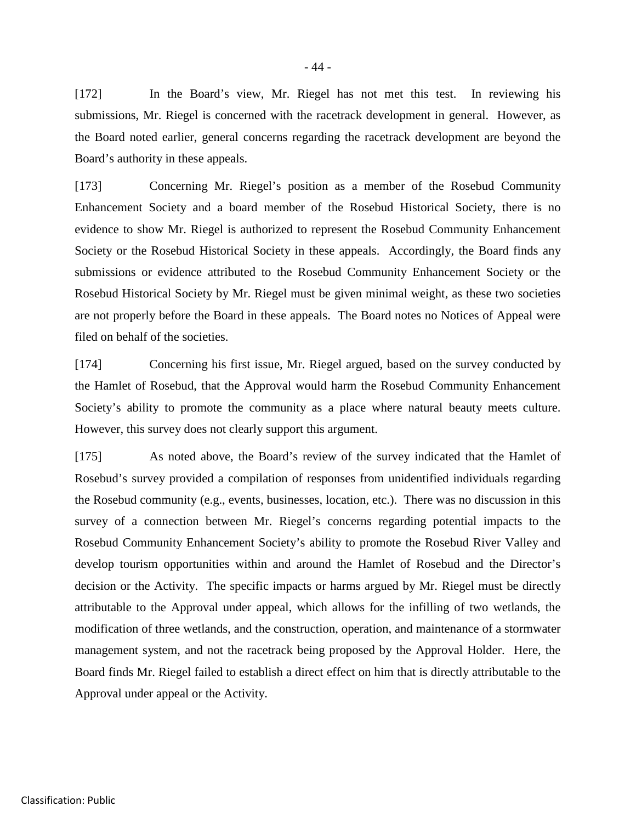[172] In the Board's view, Mr. Riegel has not met this test. In reviewing his submissions, Mr. Riegel is concerned with the racetrack development in general. However, as the Board noted earlier, general concerns regarding the racetrack development are beyond the Board's authority in these appeals.

[173] Concerning Mr. Riegel's position as a member of the Rosebud Community Enhancement Society and a board member of the Rosebud Historical Society, there is no evidence to show Mr. Riegel is authorized to represent the Rosebud Community Enhancement Society or the Rosebud Historical Society in these appeals. Accordingly, the Board finds any submissions or evidence attributed to the Rosebud Community Enhancement Society or the Rosebud Historical Society by Mr. Riegel must be given minimal weight, as these two societies are not properly before the Board in these appeals. The Board notes no Notices of Appeal were filed on behalf of the societies.

[174] Concerning his first issue, Mr. Riegel argued, based on the survey conducted by the Hamlet of Rosebud, that the Approval would harm the Rosebud Community Enhancement Society's ability to promote the community as a place where natural beauty meets culture. However, this survey does not clearly support this argument.

[175] As noted above, the Board's review of the survey indicated that the Hamlet of Rosebud's survey provided a compilation of responses from unidentified individuals regarding the Rosebud community (e.g., events, businesses, location, etc.). There was no discussion in this survey of a connection between Mr. Riegel's concerns regarding potential impacts to the Rosebud Community Enhancement Society's ability to promote the Rosebud River Valley and develop tourism opportunities within and around the Hamlet of Rosebud and the Director's decision or the Activity. The specific impacts or harms argued by Mr. Riegel must be directly attributable to the Approval under appeal, which allows for the infilling of two wetlands, the modification of three wetlands, and the construction, operation, and maintenance of a stormwater management system, and not the racetrack being proposed by the Approval Holder. Here, the Board finds Mr. Riegel failed to establish a direct effect on him that is directly attributable to the Approval under appeal or the Activity.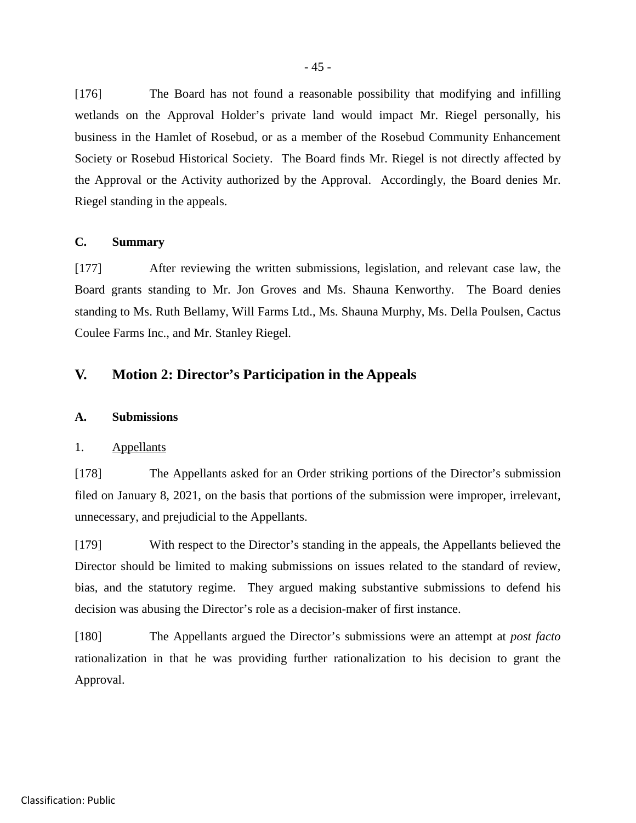[176] The Board has not found a reasonable possibility that modifying and infilling wetlands on the Approval Holder's private land would impact Mr. Riegel personally, his business in the Hamlet of Rosebud, or as a member of the Rosebud Community Enhancement Society or Rosebud Historical Society. The Board finds Mr. Riegel is not directly affected by the Approval or the Activity authorized by the Approval. Accordingly, the Board denies Mr. Riegel standing in the appeals.

## **C. Summary**

[177] After reviewing the written submissions, legislation, and relevant case law, the Board grants standing to Mr. Jon Groves and Ms. Shauna Kenworthy. The Board denies standing to Ms. Ruth Bellamy, Will Farms Ltd., Ms. Shauna Murphy, Ms. Della Poulsen, Cactus Coulee Farms Inc., and Mr. Stanley Riegel.

# **V. Motion 2: Director's Participation in the Appeals**

#### **A. Submissions**

## 1. Appellants

[178] The Appellants asked for an Order striking portions of the Director's submission filed on January 8, 2021, on the basis that portions of the submission were improper, irrelevant, unnecessary, and prejudicial to the Appellants.

[179] With respect to the Director's standing in the appeals, the Appellants believed the Director should be limited to making submissions on issues related to the standard of review, bias, and the statutory regime. They argued making substantive submissions to defend his decision was abusing the Director's role as a decision-maker of first instance.

[180] The Appellants argued the Director's submissions were an attempt at *post facto* rationalization in that he was providing further rationalization to his decision to grant the Approval.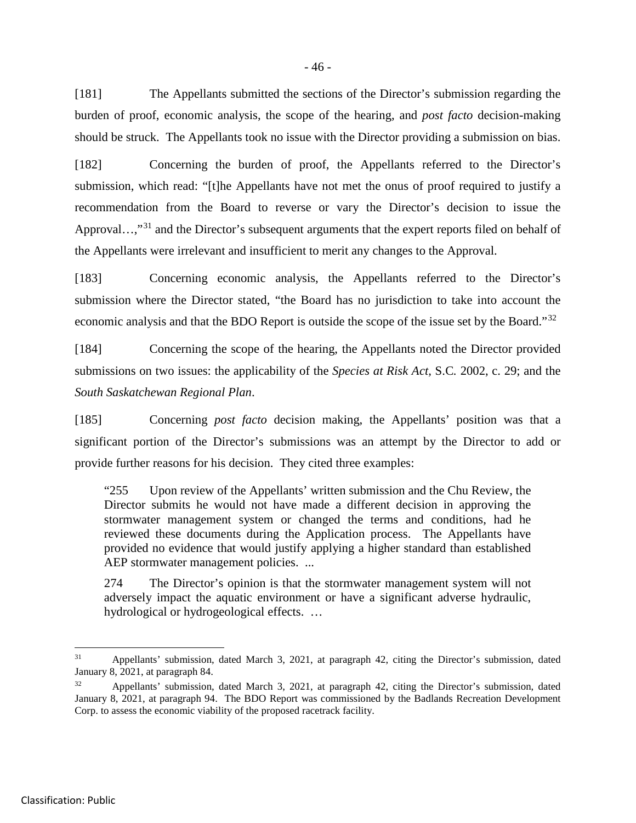[181] The Appellants submitted the sections of the Director's submission regarding the burden of proof, economic analysis, the scope of the hearing, and *post facto* decision-making should be struck. The Appellants took no issue with the Director providing a submission on bias.

[182] Concerning the burden of proof, the Appellants referred to the Director's submission, which read: "[t]he Appellants have not met the onus of proof required to justify a recommendation from the Board to reverse or vary the Director's decision to issue the Approval…,"<sup>[31](#page-51-0)</sup> and the Director's subsequent arguments that the expert reports filed on behalf of the Appellants were irrelevant and insufficient to merit any changes to the Approval.

[183] Concerning economic analysis, the Appellants referred to the Director's submission where the Director stated, "the Board has no jurisdiction to take into account the economic analysis and that the BDO Report is outside the scope of the issue set by the Board."<sup>[32](#page-51-1)</sup>

[184] Concerning the scope of the hearing, the Appellants noted the Director provided submissions on two issues: the applicability of the *Species at Risk Act,* S.C*.* 2002, c. 29; and the *South Saskatchewan Regional Plan*.

[185] Concerning *post facto* decision making, the Appellants' position was that a significant portion of the Director's submissions was an attempt by the Director to add or provide further reasons for his decision. They cited three examples:

"255 Upon review of the Appellants' written submission and the Chu Review, the Director submits he would not have made a different decision in approving the stormwater management system or changed the terms and conditions, had he reviewed these documents during the Application process. The Appellants have provided no evidence that would justify applying a higher standard than established AEP stormwater management policies. ...

274 The Director's opinion is that the stormwater management system will not adversely impact the aquatic environment or have a significant adverse hydraulic, hydrological or hydrogeological effects. …

<span id="page-51-0"></span> <sup>31</sup> Appellants' submission, dated March 3, 2021, at paragraph 42, citing the Director's submission, dated January 8, 2021, at paragraph 84.

<span id="page-51-1"></span>Appellants' submission, dated March 3, 2021, at paragraph 42, citing the Director's submission, dated January 8, 2021, at paragraph 94. The BDO Report was commissioned by the Badlands Recreation Development Corp. to assess the economic viability of the proposed racetrack facility.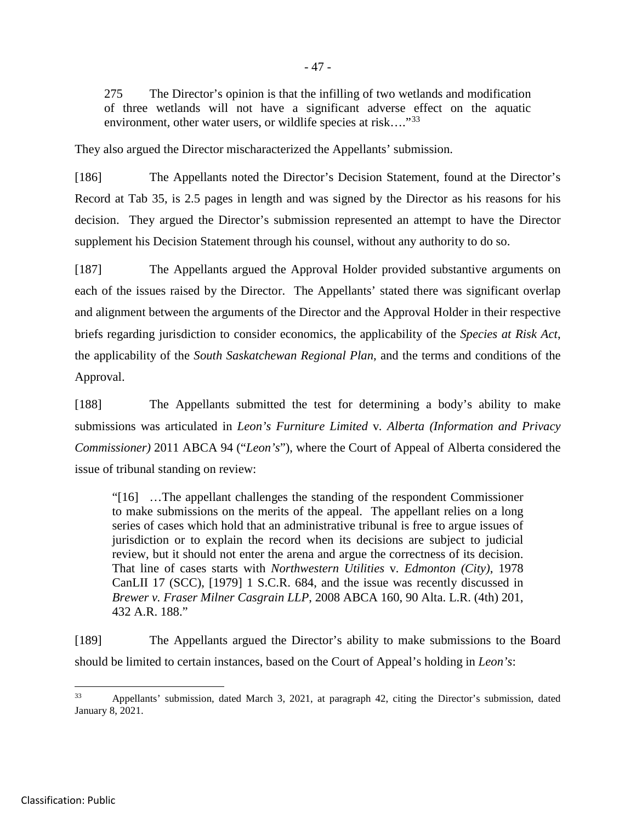275 The Director's opinion is that the infilling of two wetlands and modification of three wetlands will not have a significant adverse effect on the aquatic environment, other water users, or wildlife species at risk...."<sup>[33](#page-52-0)</sup>

They also argued the Director mischaracterized the Appellants' submission.

[186] The Appellants noted the Director's Decision Statement, found at the Director's Record at Tab 35, is 2.5 pages in length and was signed by the Director as his reasons for his decision. They argued the Director's submission represented an attempt to have the Director supplement his Decision Statement through his counsel, without any authority to do so.

[187] The Appellants argued the Approval Holder provided substantive arguments on each of the issues raised by the Director. The Appellants' stated there was significant overlap and alignment between the arguments of the Director and the Approval Holder in their respective briefs regarding jurisdiction to consider economics, the applicability of the *Species at Risk Act*, the applicability of the *South Saskatchewan Regional Plan*, and the terms and conditions of the Approval.

[188] The Appellants submitted the test for determining a body's ability to make submissions was articulated in *Leon's Furniture Limited* v*. Alberta (Information and Privacy Commissioner)* 2011 ABCA 94 ("*Leon's*"), where the Court of Appeal of Alberta considered the issue of tribunal standing on review:

"[16] …The appellant challenges the standing of the respondent Commissioner to make submissions on the merits of the appeal. The appellant relies on a long series of cases which hold that an administrative tribunal is free to argue issues of jurisdiction or to explain the record when its decisions are subject to judicial review, but it should not enter the arena and argue the correctness of its decision. That line of cases starts with *Northwestern Utilities* v*. Edmonton (City)*, 1978 CanLII 17 (SCC), [1979] 1 S.C.R. 684, and the issue was recently discussed in *Brewer v. Fraser Milner Casgrain LLP*, 2008 ABCA 160, 90 Alta. L.R. (4th) 201, 432 A.R. 188."

[189] The Appellants argued the Director's ability to make submissions to the Board should be limited to certain instances, based on the Court of Appeal's holding in *Leon's*:

<span id="page-52-0"></span> <sup>33</sup> Appellants' submission, dated March 3, 2021, at paragraph 42, citing the Director's submission, dated January 8, 2021.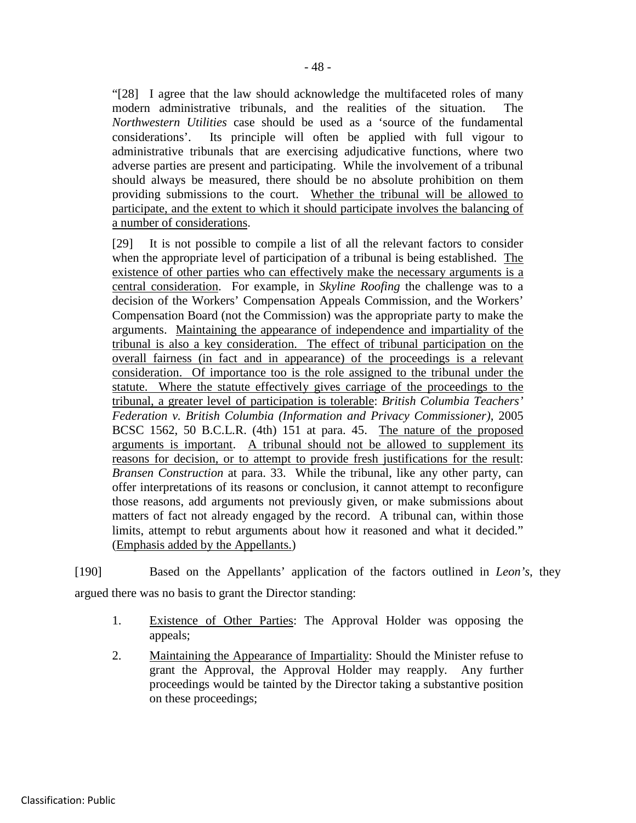"[28] I agree that the law should acknowledge the multifaceted roles of many modern administrative tribunals, and the realities of the situation. The *Northwestern Utilities* case should be used as a 'source of the fundamental considerations'. Its principle will often be applied with full vigour to administrative tribunals that are exercising adjudicative functions, where two adverse parties are present and participating. While the involvement of a tribunal should always be measured, there should be no absolute prohibition on them providing submissions to the court. Whether the tribunal will be allowed to participate, and the extent to which it should participate involves the balancing of a number of considerations.

[29] It is not possible to compile a list of all the relevant factors to consider when the appropriate level of participation of a tribunal is being established. The existence of other parties who can effectively make the necessary arguments is a central consideration. For example, in *Skyline Roofing* the challenge was to a decision of the Workers' Compensation Appeals Commission, and the Workers' Compensation Board (not the Commission) was the appropriate party to make the arguments. Maintaining the appearance of independence and impartiality of the tribunal is also a key consideration. The effect of tribunal participation on the overall fairness (in fact and in appearance) of the proceedings is a relevant consideration. Of importance too is the role assigned to the tribunal under the statute. Where the statute effectively gives carriage of the proceedings to the tribunal, a greater level of participation is tolerable: *British Columbia Teachers' Federation v. British Columbia (Information and Privacy Commissioner)*, 2005 BCSC 1562, 50 B.C.L.R. (4th) 151 at para. 45. The nature of the proposed arguments is important. A tribunal should not be allowed to supplement its reasons for decision, or to attempt to provide fresh justifications for the result: *Bransen Construction* at para. 33. While the tribunal, like any other party, can offer interpretations of its reasons or conclusion, it cannot attempt to reconfigure those reasons, add arguments not previously given, or make submissions about matters of fact not already engaged by the record. A tribunal can, within those limits, attempt to rebut arguments about how it reasoned and what it decided." (Emphasis added by the Appellants.)

[190] Based on the Appellants' application of the factors outlined in *Leon's*, they argued there was no basis to grant the Director standing:

- 1. Existence of Other Parties: The Approval Holder was opposing the appeals;
- 2. Maintaining the Appearance of Impartiality: Should the Minister refuse to grant the Approval, the Approval Holder may reapply. Any further proceedings would be tainted by the Director taking a substantive position on these proceedings;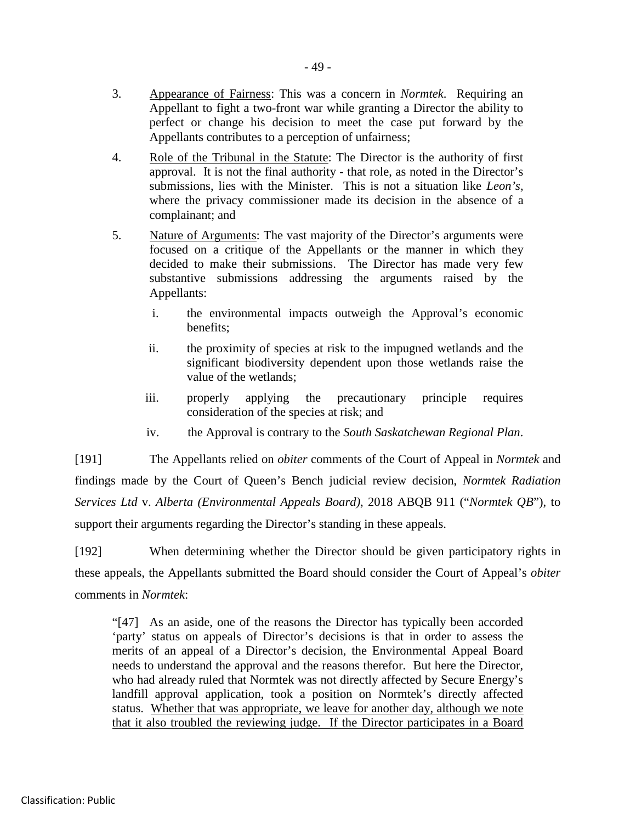- 4. Role of the Tribunal in the Statute: The Director is the authority of first approval. It is not the final authority - that role, as noted in the Director's submissions, lies with the Minister. This is not a situation like *Leon's,* where the privacy commissioner made its decision in the absence of a complainant; and
- 5. Nature of Arguments: The vast majority of the Director's arguments were focused on a critique of the Appellants or the manner in which they decided to make their submissions. The Director has made very few substantive submissions addressing the arguments raised by the Appellants:
	- i. the environmental impacts outweigh the Approval's economic benefits;
	- ii. the proximity of species at risk to the impugned wetlands and the significant biodiversity dependent upon those wetlands raise the value of the wetlands;
	- iii. properly applying the precautionary principle requires consideration of the species at risk; and
	- iv. the Approval is contrary to the *South Saskatchewan Regional Plan*.

[191] The Appellants relied on *obiter* comments of the Court of Appeal in *Normtek* and findings made by the Court of Queen's Bench judicial review decision, *Normtek Radiation Services Ltd* v. *Alberta (Environmental Appeals Board)*, 2018 ABQB 911 ("*Normtek QB*"), to support their arguments regarding the Director's standing in these appeals.

[192] When determining whether the Director should be given participatory rights in these appeals, the Appellants submitted the Board should consider the Court of Appeal's *obiter*  comments in *Normtek*:

"[47] As an aside, one of the reasons the Director has typically been accorded 'party' status on appeals of Director's decisions is that in order to assess the merits of an appeal of a Director's decision, the Environmental Appeal Board needs to understand the approval and the reasons therefor. But here the Director, who had already ruled that Normtek was not directly affected by Secure Energy's landfill approval application, took a position on Normtek's directly affected status. Whether that was appropriate, we leave for another day, although we note that it also troubled the reviewing judge. If the Director participates in a Board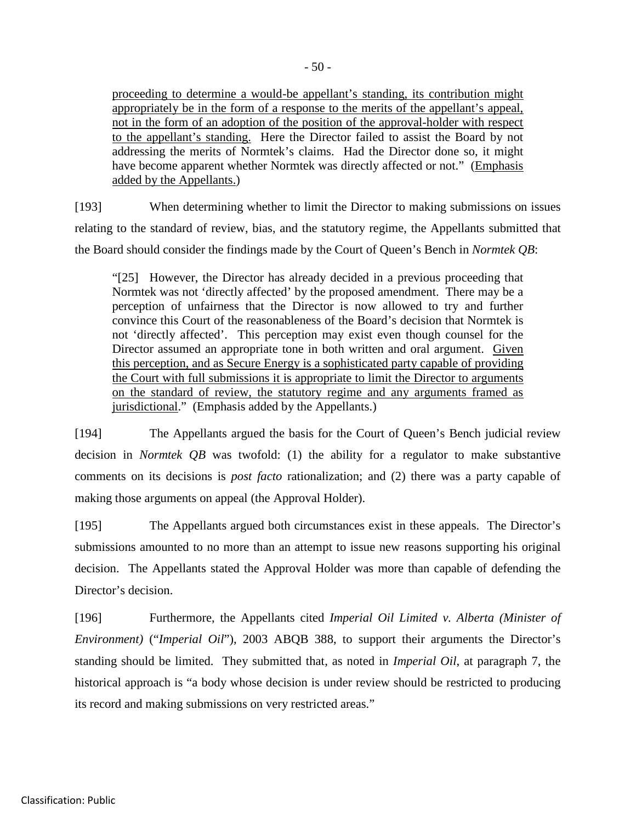proceeding to determine a would-be appellant's standing, its contribution might appropriately be in the form of a response to the merits of the appellant's appeal, not in the form of an adoption of the position of the approval-holder with respect to the appellant's standing. Here the Director failed to assist the Board by not addressing the merits of Normtek's claims. Had the Director done so, it might have become apparent whether Normtek was directly affected or not." (Emphasis added by the Appellants.)

[193] When determining whether to limit the Director to making submissions on issues relating to the standard of review, bias, and the statutory regime, the Appellants submitted that the Board should consider the findings made by the Court of Queen's Bench in *Normtek QB*:

"[25] However, the Director has already decided in a previous proceeding that Normtek was not 'directly affected' by the proposed amendment. There may be a perception of unfairness that the Director is now allowed to try and further convince this Court of the reasonableness of the Board's decision that Normtek is not 'directly affected'. This perception may exist even though counsel for the Director assumed an appropriate tone in both written and oral argument. Given this perception, and as Secure Energy is a sophisticated party capable of providing the Court with full submissions it is appropriate to limit the Director to arguments on the standard of review, the statutory regime and any arguments framed as jurisdictional." (Emphasis added by the Appellants.)

[194] The Appellants argued the basis for the Court of Queen's Bench judicial review decision in *Normtek QB* was twofold: (1) the ability for a regulator to make substantive comments on its decisions is *post facto* rationalization; and (2) there was a party capable of making those arguments on appeal (the Approval Holder).

[195] The Appellants argued both circumstances exist in these appeals. The Director's submissions amounted to no more than an attempt to issue new reasons supporting his original decision. The Appellants stated the Approval Holder was more than capable of defending the Director's decision.

[196] Furthermore, the Appellants cited *Imperial Oil Limited v. Alberta (Minister of Environment)* ("*Imperial Oil*"), 2003 ABQB 388, to support their arguments the Director's standing should be limited. They submitted that, as noted in *Imperial Oil*, at paragraph 7, the historical approach is "a body whose decision is under review should be restricted to producing its record and making submissions on very restricted areas."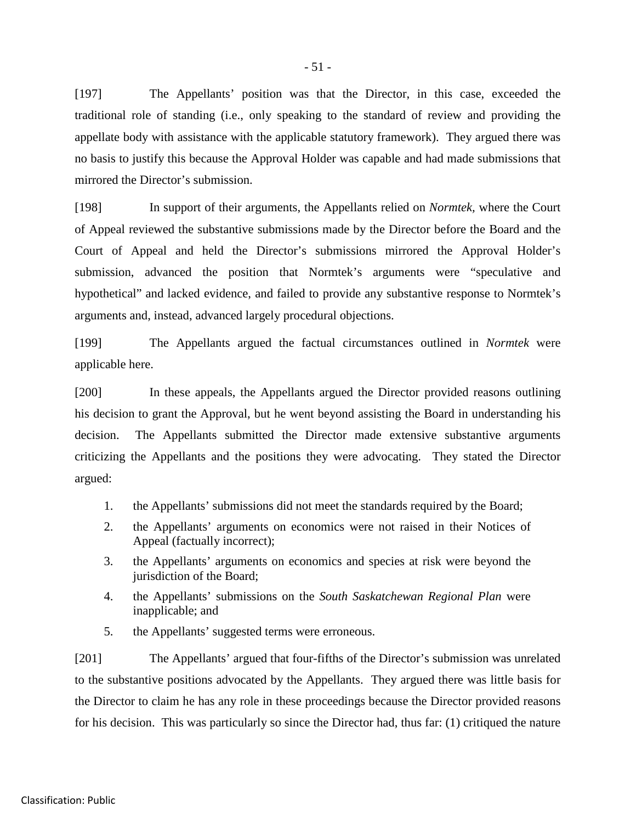[197] The Appellants' position was that the Director, in this case, exceeded the traditional role of standing (i.e., only speaking to the standard of review and providing the appellate body with assistance with the applicable statutory framework). They argued there was no basis to justify this because the Approval Holder was capable and had made submissions that mirrored the Director's submission.

[198] In support of their arguments, the Appellants relied on *Normtek,* where the Court of Appeal reviewed the substantive submissions made by the Director before the Board and the Court of Appeal and held the Director's submissions mirrored the Approval Holder's submission, advanced the position that Normtek's arguments were "speculative and hypothetical" and lacked evidence, and failed to provide any substantive response to Normtek's arguments and, instead, advanced largely procedural objections.

[199] The Appellants argued the factual circumstances outlined in *Normtek* were applicable here.

[200] In these appeals, the Appellants argued the Director provided reasons outlining his decision to grant the Approval, but he went beyond assisting the Board in understanding his decision. The Appellants submitted the Director made extensive substantive arguments criticizing the Appellants and the positions they were advocating. They stated the Director argued:

- 1. the Appellants' submissions did not meet the standards required by the Board;
- 2. the Appellants' arguments on economics were not raised in their Notices of Appeal (factually incorrect);
- 3. the Appellants' arguments on economics and species at risk were beyond the jurisdiction of the Board;
- 4. the Appellants' submissions on the *South Saskatchewan Regional Plan* were inapplicable; and
- 5. the Appellants' suggested terms were erroneous.

[201] The Appellants' argued that four-fifths of the Director's submission was unrelated to the substantive positions advocated by the Appellants. They argued there was little basis for the Director to claim he has any role in these proceedings because the Director provided reasons for his decision. This was particularly so since the Director had, thus far: (1) critiqued the nature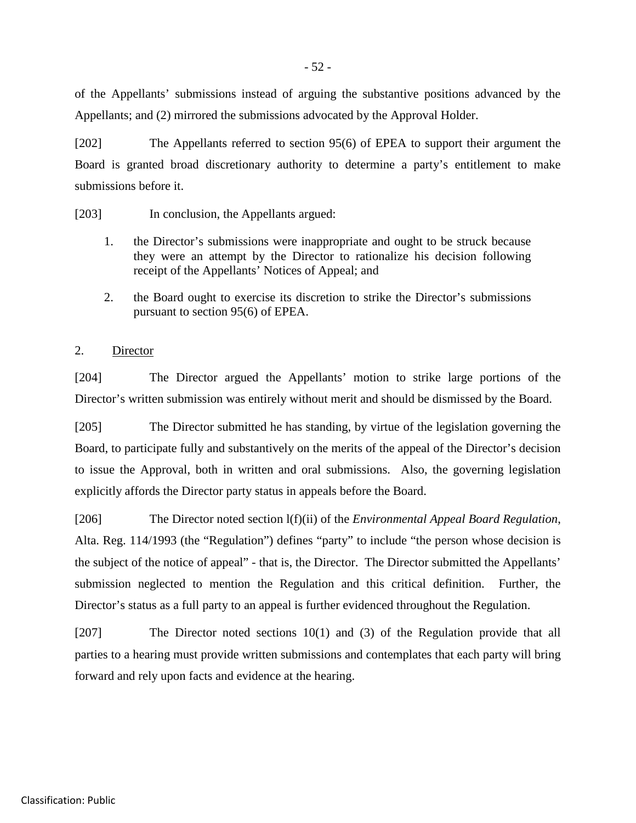of the Appellants' submissions instead of arguing the substantive positions advanced by the Appellants; and (2) mirrored the submissions advocated by the Approval Holder.

[202] The Appellants referred to section 95(6) of EPEA to support their argument the Board is granted broad discretionary authority to determine a party's entitlement to make submissions before it.

[203] In conclusion, the Appellants argued:

- 1. the Director's submissions were inappropriate and ought to be struck because they were an attempt by the Director to rationalize his decision following receipt of the Appellants' Notices of Appeal; and
- 2. the Board ought to exercise its discretion to strike the Director's submissions pursuant to section 95(6) of EPEA.

#### 2. Director

[204] The Director argued the Appellants' motion to strike large portions of the Director's written submission was entirely without merit and should be dismissed by the Board.

[205] The Director submitted he has standing, by virtue of the legislation governing the Board, to participate fully and substantively on the merits of the appeal of the Director's decision to issue the Approval, both in written and oral submissions. Also, the governing legislation explicitly affords the Director party status in appeals before the Board.

[206] The Director noted section l(f)(ii) of the *Environmental Appeal Board Regulation*, Alta. Reg. 114/1993 (the "Regulation") defines "party" to include "the person whose decision is the subject of the notice of appeal" - that is, the Director. The Director submitted the Appellants' submission neglected to mention the Regulation and this critical definition. Further, the Director's status as a full party to an appeal is further evidenced throughout the Regulation.

[207] The Director noted sections 10(1) and (3) of the Regulation provide that all parties to a hearing must provide written submissions and contemplates that each party will bring forward and rely upon facts and evidence at the hearing.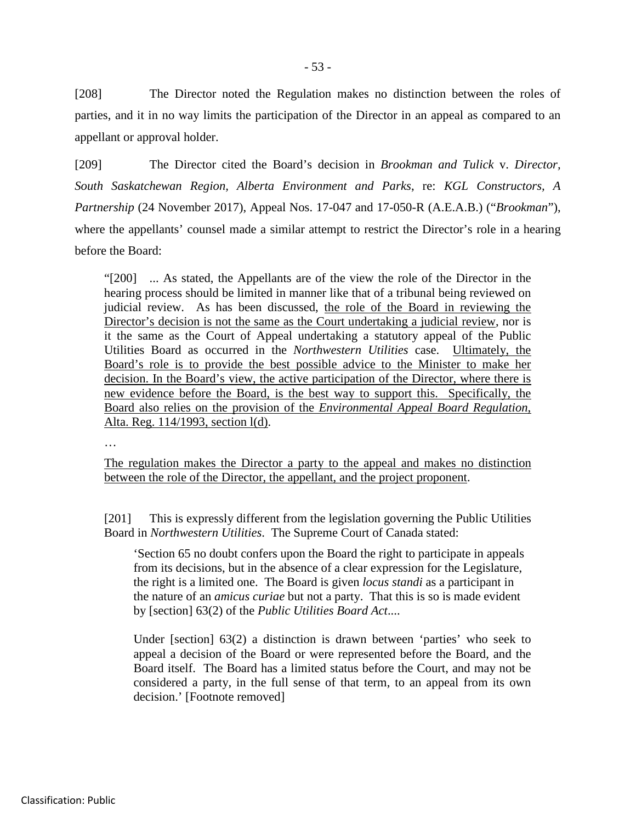[208] The Director noted the Regulation makes no distinction between the roles of parties, and it in no way limits the participation of the Director in an appeal as compared to an appellant or approval holder.

[209] The Director cited the Board's decision in *Brookman and Tulick* v. *Director, South Saskatchewan Region, Alberta Environment and Parks*, re: *KGL Constructors, A Partnership* (24 November 2017), Appeal Nos. 17-047 and 17-050-R (A.E.A.B.) ("*Brookman*"), where the appellants' counsel made a similar attempt to restrict the Director's role in a hearing before the Board:

"[200] ... As stated, the Appellants are of the view the role of the Director in the hearing process should be limited in manner like that of a tribunal being reviewed on judicial review. As has been discussed, the role of the Board in reviewing the Director's decision is not the same as the Court undertaking a judicial review, nor is it the same as the Court of Appeal undertaking a statutory appeal of the Public Utilities Board as occurred in the *Northwestern Utilities* case. Ultimately, the Board's role is to provide the best possible advice to the Minister to make her decision. In the Board's view, the active participation of the Director, where there is new evidence before the Board, is the best way to support this. Specifically, the Board also relies on the provision of the *Environmental Appeal Board Regulation*, Alta. Reg. 114/1993, section l(d).

…

The regulation makes the Director a party to the appeal and makes no distinction between the role of the Director, the appellant, and the project proponent.

[201] This is expressly different from the legislation governing the Public Utilities Board in *Northwestern Utilities*. The Supreme Court of Canada stated:

'Section 65 no doubt confers upon the Board the right to participate in appeals from its decisions, but in the absence of a clear expression for the Legislature, the right is a limited one. The Board is given *locus standi* as a participant in the nature of an *amicus curiae* but not a party. That this is so is made evident by [section] 63(2) of the *Public Utilities Board Act*....

Under [section] 63(2) a distinction is drawn between 'parties' who seek to appeal a decision of the Board or were represented before the Board, and the Board itself. The Board has a limited status before the Court, and may not be considered a party, in the full sense of that term, to an appeal from its own decision.' [Footnote removed]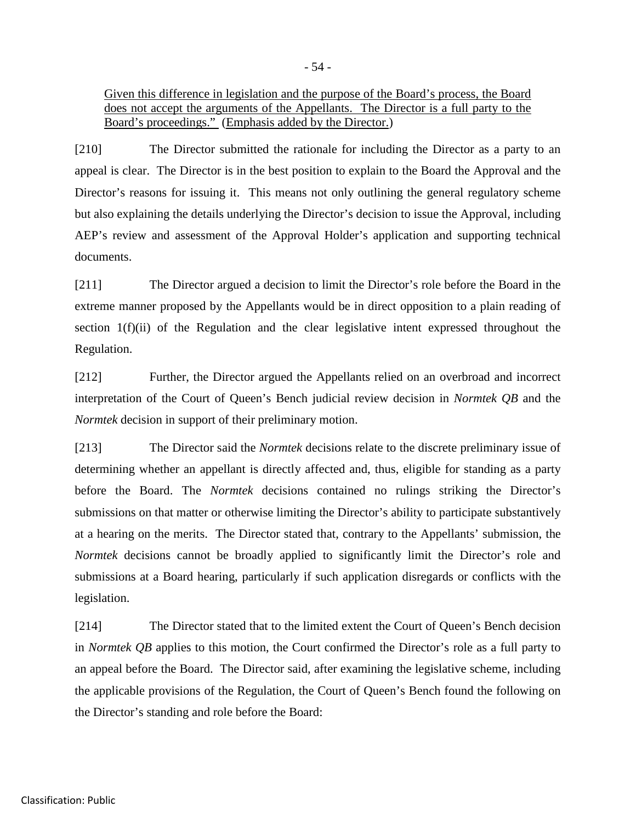Given this difference in legislation and the purpose of the Board's process, the Board does not accept the arguments of the Appellants. The Director is a full party to the Board's proceedings." (Emphasis added by the Director.)

[210] The Director submitted the rationale for including the Director as a party to an appeal is clear. The Director is in the best position to explain to the Board the Approval and the Director's reasons for issuing it. This means not only outlining the general regulatory scheme but also explaining the details underlying the Director's decision to issue the Approval, including AEP's review and assessment of the Approval Holder's application and supporting technical documents.

[211] The Director argued a decision to limit the Director's role before the Board in the extreme manner proposed by the Appellants would be in direct opposition to a plain reading of section 1(f)(ii) of the Regulation and the clear legislative intent expressed throughout the Regulation.

[212] Further, the Director argued the Appellants relied on an overbroad and incorrect interpretation of the Court of Queen's Bench judicial review decision in *Normtek QB* and the *Normtek* decision in support of their preliminary motion.

[213] The Director said the *Normtek* decisions relate to the discrete preliminary issue of determining whether an appellant is directly affected and, thus, eligible for standing as a party before the Board. The *Normtek* decisions contained no rulings striking the Director's submissions on that matter or otherwise limiting the Director's ability to participate substantively at a hearing on the merits. The Director stated that, contrary to the Appellants' submission, the *Normtek* decisions cannot be broadly applied to significantly limit the Director's role and submissions at a Board hearing, particularly if such application disregards or conflicts with the legislation.

[214] The Director stated that to the limited extent the Court of Queen's Bench decision in *Normtek QB* applies to this motion, the Court confirmed the Director's role as a full party to an appeal before the Board. The Director said, after examining the legislative scheme, including the applicable provisions of the Regulation, the Court of Queen's Bench found the following on the Director's standing and role before the Board: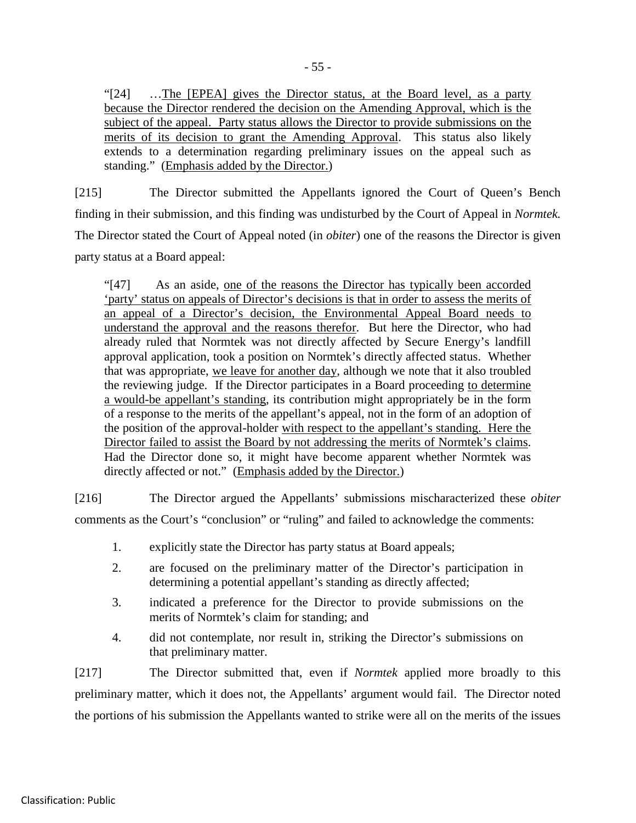"[24] …The [EPEA] gives the Director status, at the Board level, as a party because the Director rendered the decision on the Amending Approval, which is the subject of the appeal. Party status allows the Director to provide submissions on the merits of its decision to grant the Amending Approval. This status also likely extends to a determination regarding preliminary issues on the appeal such as standing." (Emphasis added by the Director.)

[215] The Director submitted the Appellants ignored the Court of Queen's Bench finding in their submission, and this finding was undisturbed by the Court of Appeal in *Normtek.* The Director stated the Court of Appeal noted (in *obiter*) one of the reasons the Director is given party status at a Board appeal:

"[47] As an aside, one of the reasons the Director has typically been accorded 'party' status on appeals of Director's decisions is that in order to assess the merits of an appeal of a Director's decision, the Environmental Appeal Board needs to understand the approval and the reasons therefor. But here the Director, who had already ruled that Normtek was not directly affected by Secure Energy's landfill approval application, took a position on Normtek's directly affected status. Whether that was appropriate, we leave for another day, although we note that it also troubled the reviewing judge. If the Director participates in a Board proceeding to determine a would-be appellant's standing, its contribution might appropriately be in the form of a response to the merits of the appellant's appeal, not in the form of an adoption of the position of the approval-holder with respect to the appellant's standing. Here the Director failed to assist the Board by not addressing the merits of Normtek's claims. Had the Director done so, it might have become apparent whether Normtek was directly affected or not." (Emphasis added by the Director.)

[216] The Director argued the Appellants' submissions mischaracterized these *obiter* comments as the Court's "conclusion" or "ruling" and failed to acknowledge the comments:

- 1. explicitly state the Director has party status at Board appeals;
- 2. are focused on the preliminary matter of the Director's participation in determining a potential appellant's standing as directly affected;
- 3. indicated a preference for the Director to provide submissions on the merits of Normtek's claim for standing; and
- 4. did not contemplate, nor result in, striking the Director's submissions on that preliminary matter.

[217] The Director submitted that, even if *Normtek* applied more broadly to this preliminary matter, which it does not, the Appellants' argument would fail. The Director noted the portions of his submission the Appellants wanted to strike were all on the merits of the issues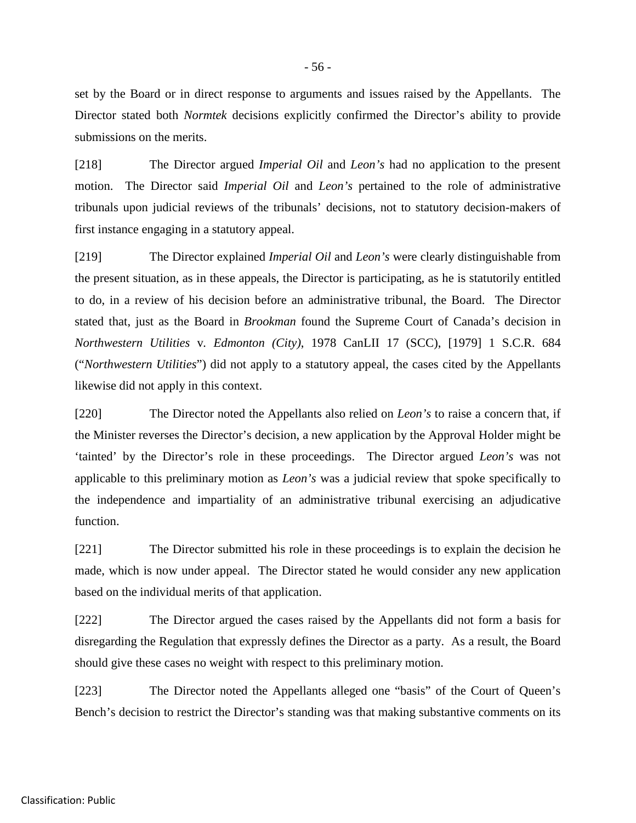set by the Board or in direct response to arguments and issues raised by the Appellants. The Director stated both *Normtek* decisions explicitly confirmed the Director's ability to provide submissions on the merits.

[218] The Director argued *Imperial Oil* and *Leon's* had no application to the present motion. The Director said *Imperial Oil* and *Leon's* pertained to the role of administrative tribunals upon judicial reviews of the tribunals' decisions, not to statutory decision-makers of first instance engaging in a statutory appeal.

[219] The Director explained *Imperial Oil* and *Leon's* were clearly distinguishable from the present situation, as in these appeals, the Director is participating, as he is statutorily entitled to do, in a review of his decision before an administrative tribunal, the Board. The Director stated that, just as the Board in *Brookman* found the Supreme Court of Canada's decision in *Northwestern Utilities* v*. Edmonton (City)*, 1978 CanLII 17 (SCC), [1979] 1 S.C.R. 684 ("*Northwestern Utilities*") did not apply to a statutory appeal, the cases cited by the Appellants likewise did not apply in this context.

[220] The Director noted the Appellants also relied on *Leon's* to raise a concern that, if the Minister reverses the Director's decision, a new application by the Approval Holder might be 'tainted' by the Director's role in these proceedings. The Director argued *Leon's* was not applicable to this preliminary motion as *Leon's* was a judicial review that spoke specifically to the independence and impartiality of an administrative tribunal exercising an adjudicative function.

[221] The Director submitted his role in these proceedings is to explain the decision he made, which is now under appeal. The Director stated he would consider any new application based on the individual merits of that application.

[222] The Director argued the cases raised by the Appellants did not form a basis for disregarding the Regulation that expressly defines the Director as a party. As a result, the Board should give these cases no weight with respect to this preliminary motion.

[223] The Director noted the Appellants alleged one "basis" of the Court of Queen's Bench's decision to restrict the Director's standing was that making substantive comments on its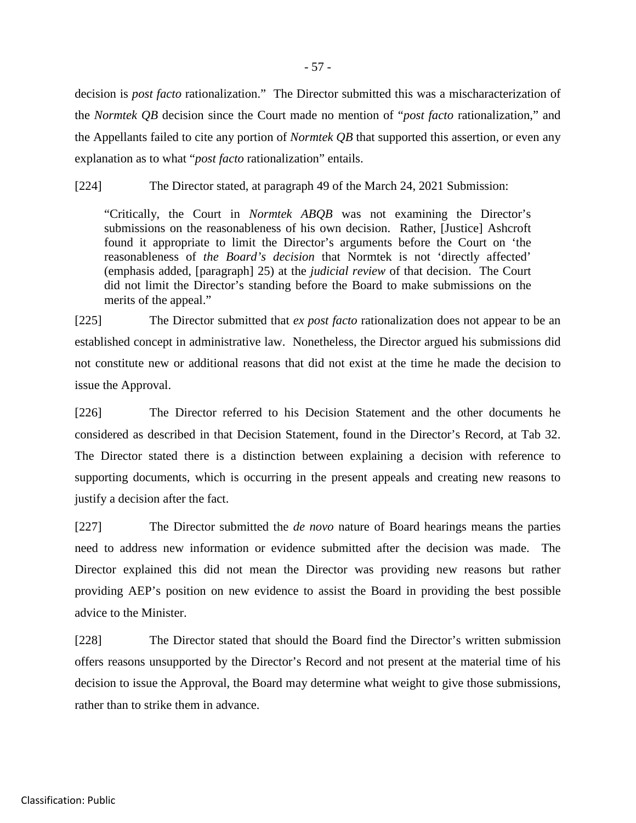decision is *post facto* rationalization." The Director submitted this was a mischaracterization of the *Normtek QB* decision since the Court made no mention of "*post facto* rationalization," and the Appellants failed to cite any portion of *Normtek QB* that supported this assertion, or even any explanation as to what "*post facto* rationalization" entails.

[224] The Director stated, at paragraph 49 of the March 24, 2021 Submission:

"Critically, the Court in *Normtek ABQB* was not examining the Director's submissions on the reasonableness of his own decision. Rather, [Justice] Ashcroft found it appropriate to limit the Director's arguments before the Court on 'the reasonableness of *the Board's decision* that Normtek is not 'directly affected' (emphasis added, [paragraph] 25) at the *judicial review* of that decision. The Court did not limit the Director's standing before the Board to make submissions on the merits of the appeal."

[225] The Director submitted that *ex post facto* rationalization does not appear to be an established concept in administrative law. Nonetheless, the Director argued his submissions did not constitute new or additional reasons that did not exist at the time he made the decision to issue the Approval.

[226] The Director referred to his Decision Statement and the other documents he considered as described in that Decision Statement, found in the Director's Record, at Tab 32. The Director stated there is a distinction between explaining a decision with reference to supporting documents, which is occurring in the present appeals and creating new reasons to justify a decision after the fact.

[227] The Director submitted the *de novo* nature of Board hearings means the parties need to address new information or evidence submitted after the decision was made. The Director explained this did not mean the Director was providing new reasons but rather providing AEP's position on new evidence to assist the Board in providing the best possible advice to the Minister.

[228] The Director stated that should the Board find the Director's written submission offers reasons unsupported by the Director's Record and not present at the material time of his decision to issue the Approval, the Board may determine what weight to give those submissions, rather than to strike them in advance.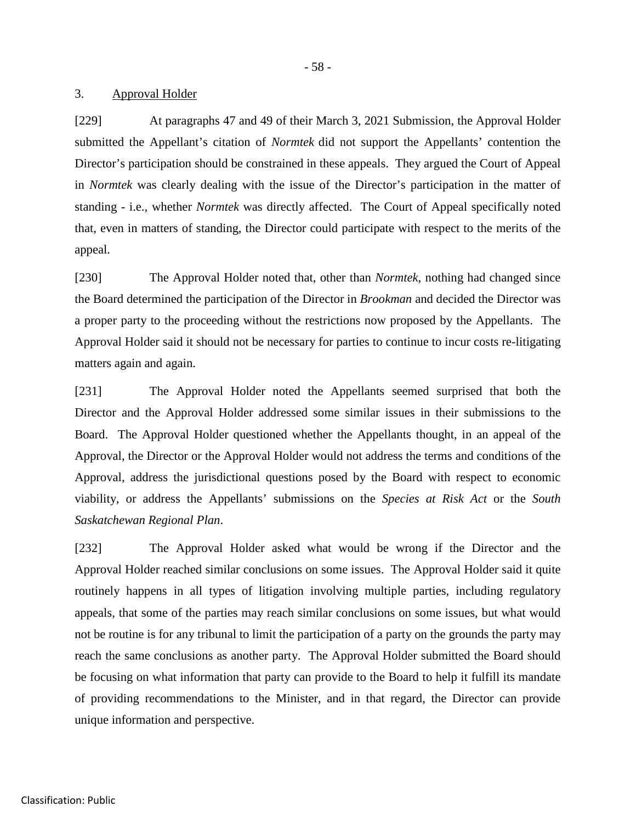- 58 -

#### 3. Approval Holder

[229] At paragraphs 47 and 49 of their March 3, 2021 Submission, the Approval Holder submitted the Appellant's citation of *Normtek* did not support the Appellants' contention the Director's participation should be constrained in these appeals. They argued the Court of Appeal in *Normtek* was clearly dealing with the issue of the Director's participation in the matter of standing - i.e., whether *Normtek* was directly affected. The Court of Appeal specifically noted that, even in matters of standing, the Director could participate with respect to the merits of the appeal.

[230] The Approval Holder noted that, other than *Normtek*, nothing had changed since the Board determined the participation of the Director in *Brookman* and decided the Director was a proper party to the proceeding without the restrictions now proposed by the Appellants. The Approval Holder said it should not be necessary for parties to continue to incur costs re-litigating matters again and again.

[231] The Approval Holder noted the Appellants seemed surprised that both the Director and the Approval Holder addressed some similar issues in their submissions to the Board. The Approval Holder questioned whether the Appellants thought, in an appeal of the Approval, the Director or the Approval Holder would not address the terms and conditions of the Approval, address the jurisdictional questions posed by the Board with respect to economic viability, or address the Appellants' submissions on the *Species at Risk Act* or the *South Saskatchewan Regional Plan*.

[232] The Approval Holder asked what would be wrong if the Director and the Approval Holder reached similar conclusions on some issues. The Approval Holder said it quite routinely happens in all types of litigation involving multiple parties, including regulatory appeals, that some of the parties may reach similar conclusions on some issues, but what would not be routine is for any tribunal to limit the participation of a party on the grounds the party may reach the same conclusions as another party. The Approval Holder submitted the Board should be focusing on what information that party can provide to the Board to help it fulfill its mandate of providing recommendations to the Minister, and in that regard, the Director can provide unique information and perspective.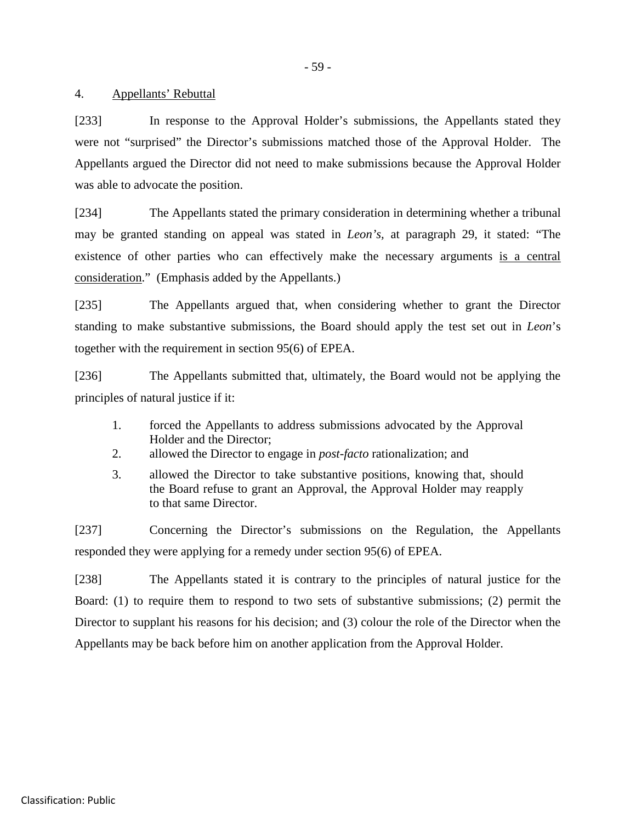- 59 -

## 4. Appellants' Rebuttal

[233] In response to the Approval Holder's submissions, the Appellants stated they were not "surprised" the Director's submissions matched those of the Approval Holder. The Appellants argued the Director did not need to make submissions because the Approval Holder was able to advocate the position.

[234] The Appellants stated the primary consideration in determining whether a tribunal may be granted standing on appeal was stated in *Leon's,* at paragraph 29, it stated: "The existence of other parties who can effectively make the necessary arguments is a central consideration." (Emphasis added by the Appellants.)

[235] The Appellants argued that, when considering whether to grant the Director standing to make substantive submissions, the Board should apply the test set out in *Leon*'s together with the requirement in section 95(6) of EPEA.

[236] The Appellants submitted that, ultimately, the Board would not be applying the principles of natural justice if it:

- 1. forced the Appellants to address submissions advocated by the Approval Holder and the Director;
- 2. allowed the Director to engage in *post-facto* rationalization; and
- 3. allowed the Director to take substantive positions, knowing that, should the Board refuse to grant an Approval, the Approval Holder may reapply to that same Director.

[237] Concerning the Director's submissions on the Regulation, the Appellants responded they were applying for a remedy under section 95(6) of EPEA.

[238] The Appellants stated it is contrary to the principles of natural justice for the Board: (1) to require them to respond to two sets of substantive submissions; (2) permit the Director to supplant his reasons for his decision; and (3) colour the role of the Director when the Appellants may be back before him on another application from the Approval Holder.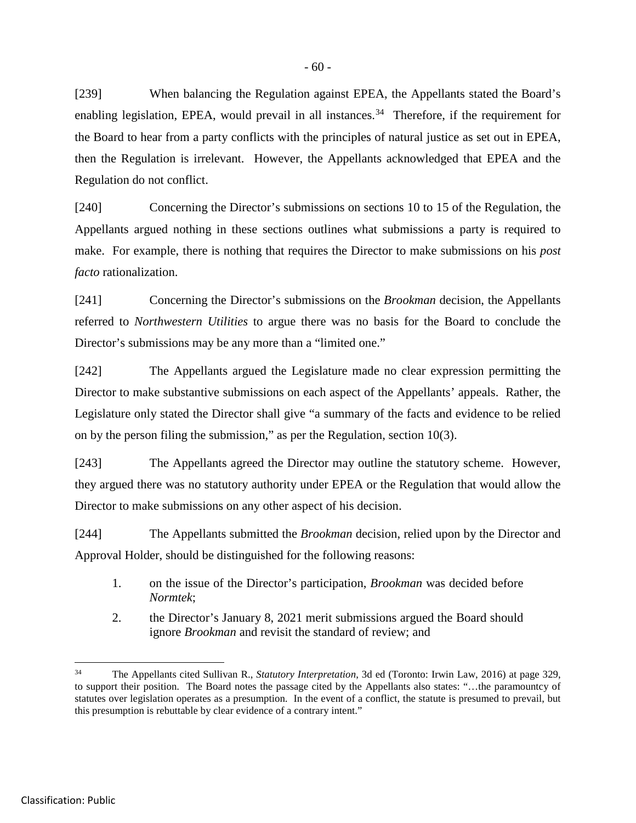[239] When balancing the Regulation against EPEA, the Appellants stated the Board's enabling legislation, EPEA, would prevail in all instances.<sup>[34](#page-65-0)</sup> Therefore, if the requirement for the Board to hear from a party conflicts with the principles of natural justice as set out in EPEA, then the Regulation is irrelevant. However, the Appellants acknowledged that EPEA and the Regulation do not conflict.

[240] Concerning the Director's submissions on sections 10 to 15 of the Regulation, the Appellants argued nothing in these sections outlines what submissions a party is required to make. For example, there is nothing that requires the Director to make submissions on his *post facto* rationalization.

[241] Concerning the Director's submissions on the *Brookman* decision, the Appellants referred to *Northwestern Utilities* to argue there was no basis for the Board to conclude the Director's submissions may be any more than a "limited one."

[242] The Appellants argued the Legislature made no clear expression permitting the Director to make substantive submissions on each aspect of the Appellants' appeals. Rather, the Legislature only stated the Director shall give "a summary of the facts and evidence to be relied on by the person filing the submission," as per the Regulation, section 10(3).

[243] The Appellants agreed the Director may outline the statutory scheme. However, they argued there was no statutory authority under EPEA or the Regulation that would allow the Director to make submissions on any other aspect of his decision.

[244] The Appellants submitted the *Brookman* decision, relied upon by the Director and Approval Holder, should be distinguished for the following reasons:

- 1. on the issue of the Director's participation, *Brookman* was decided before *Normtek*;
- 2. the Director's January 8, 2021 merit submissions argued the Board should ignore *Brookman* and revisit the standard of review; and

<span id="page-65-0"></span> <sup>34</sup> The Appellants cited Sullivan R., *Statutory Interpretation*, 3d ed (Toronto: Irwin Law, 2016) at page 329, to support their position. The Board notes the passage cited by the Appellants also states: "…the paramountcy of statutes over legislation operates as a presumption. In the event of a conflict, the statute is presumed to prevail, but this presumption is rebuttable by clear evidence of a contrary intent."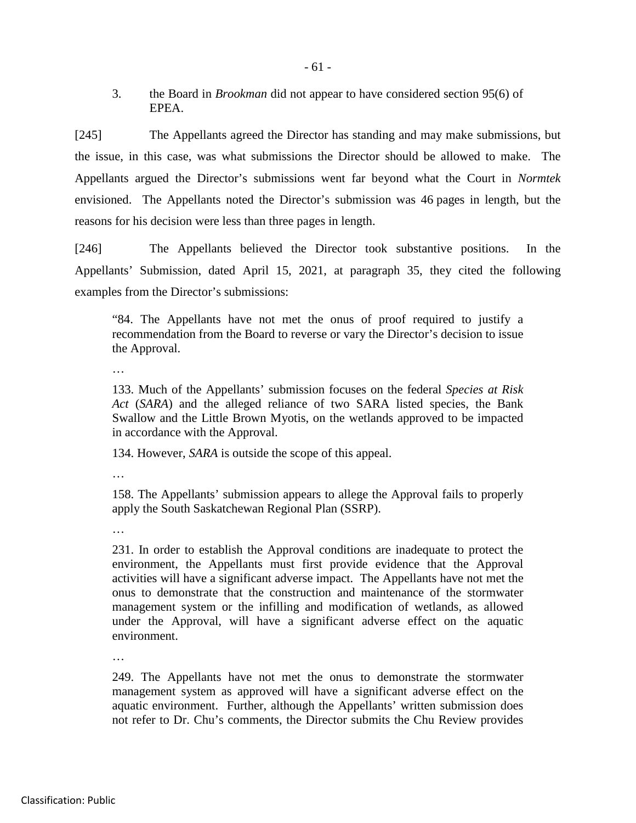3. the Board in *Brookman* did not appear to have considered section 95(6) of EPEA.

[245] The Appellants agreed the Director has standing and may make submissions, but the issue, in this case, was what submissions the Director should be allowed to make. The Appellants argued the Director's submissions went far beyond what the Court in *Normtek*  envisioned. The Appellants noted the Director's submission was 46 pages in length, but the reasons for his decision were less than three pages in length.

[246] The Appellants believed the Director took substantive positions. In the Appellants' Submission, dated April 15, 2021, at paragraph 35, they cited the following examples from the Director's submissions:

"84. The Appellants have not met the onus of proof required to justify a recommendation from the Board to reverse or vary the Director's decision to issue the Approval.

…

133. Much of the Appellants' submission focuses on the federal *Species at Risk Act* (*SARA*) and the alleged reliance of two SARA listed species, the Bank Swallow and the Little Brown Myotis, on the wetlands approved to be impacted in accordance with the Approval.

134. However, *SARA* is outside the scope of this appeal.

…

158. The Appellants' submission appears to allege the Approval fails to properly apply the South Saskatchewan Regional Plan (SSRP).

…

231. In order to establish the Approval conditions are inadequate to protect the environment, the Appellants must first provide evidence that the Approval activities will have a significant adverse impact. The Appellants have not met the onus to demonstrate that the construction and maintenance of the stormwater management system or the infilling and modification of wetlands, as allowed under the Approval, will have a significant adverse effect on the aquatic environment.

…

249. The Appellants have not met the onus to demonstrate the stormwater management system as approved will have a significant adverse effect on the aquatic environment. Further, although the Appellants' written submission does not refer to Dr. Chu's comments, the Director submits the Chu Review provides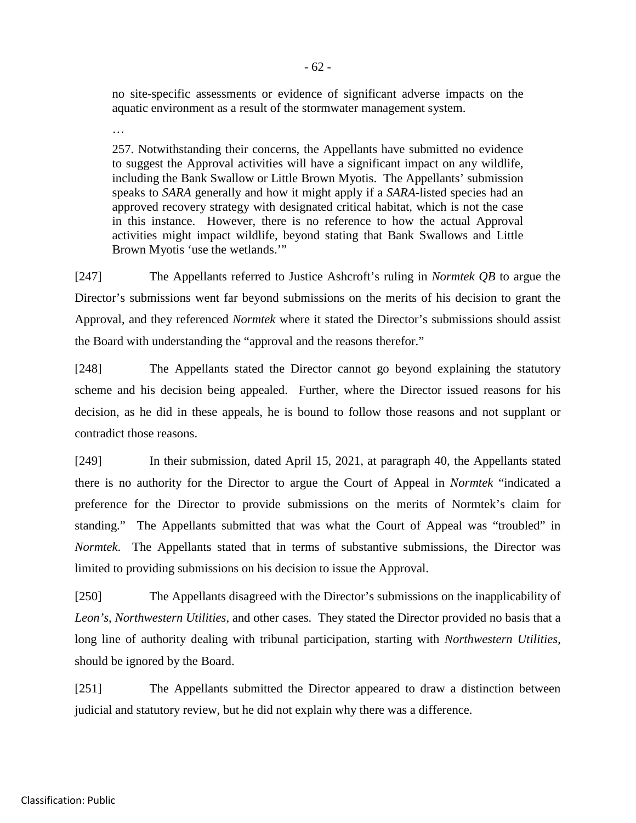no site-specific assessments or evidence of significant adverse impacts on the aquatic environment as a result of the stormwater management system.

…

257. Notwithstanding their concerns, the Appellants have submitted no evidence to suggest the Approval activities will have a significant impact on any wildlife, including the Bank Swallow or Little Brown Myotis. The Appellants' submission speaks to *SARA* generally and how it might apply if a *SARA*-listed species had an approved recovery strategy with designated critical habitat, which is not the case in this instance. However, there is no reference to how the actual Approval activities might impact wildlife, beyond stating that Bank Swallows and Little Brown Myotis 'use the wetlands.'"

[247] The Appellants referred to Justice Ashcroft's ruling in *Normtek QB* to argue the Director's submissions went far beyond submissions on the merits of his decision to grant the Approval, and they referenced *Normtek* where it stated the Director's submissions should assist the Board with understanding the "approval and the reasons therefor."

[248] The Appellants stated the Director cannot go beyond explaining the statutory scheme and his decision being appealed. Further, where the Director issued reasons for his decision, as he did in these appeals, he is bound to follow those reasons and not supplant or contradict those reasons.

[249] In their submission, dated April 15, 2021, at paragraph 40, the Appellants stated there is no authority for the Director to argue the Court of Appeal in *Normtek* "indicated a preference for the Director to provide submissions on the merits of Normtek's claim for standing." The Appellants submitted that was what the Court of Appeal was "troubled" in *Normtek*. The Appellants stated that in terms of substantive submissions, the Director was limited to providing submissions on his decision to issue the Approval.

[250] The Appellants disagreed with the Director's submissions on the inapplicability of *Leon's*, *Northwestern Utilities*, and other cases. They stated the Director provided no basis that a long line of authority dealing with tribunal participation, starting with *Northwestern Utilities*, should be ignored by the Board.

[251] The Appellants submitted the Director appeared to draw a distinction between judicial and statutory review, but he did not explain why there was a difference.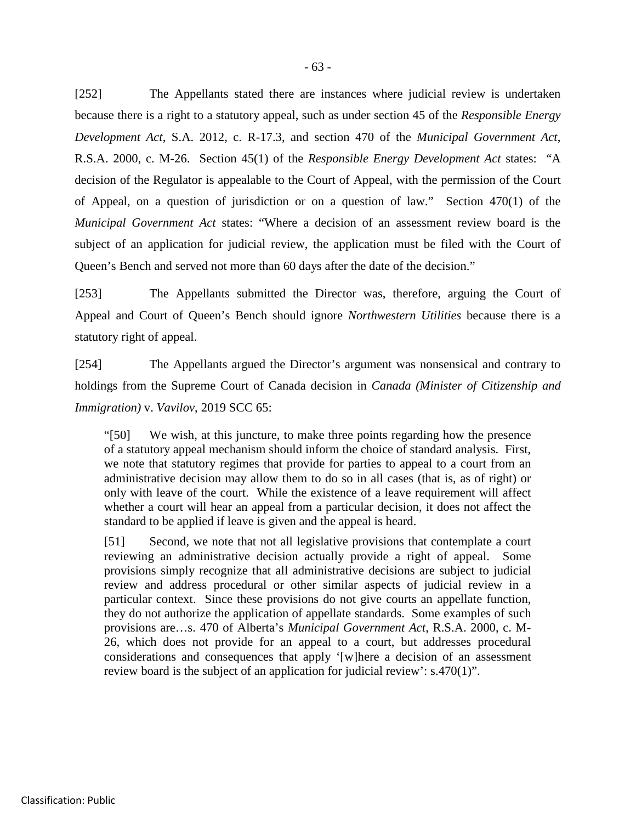[252] The Appellants stated there are instances where judicial review is undertaken because there is a right to a statutory appeal, such as under section 45 of the *Responsible Energy Development Act*, S.A. 2012, c. R-17.3, and section 470 of the *Municipal Government Act*, R.S.A. 2000, c. M-26. Section 45(1) of the *Responsible Energy Development Act* states: "A decision of the Regulator is appealable to the Court of Appeal, with the permission of the Court of Appeal, on a question of jurisdiction or on a question of law." Section 470(1) of the *Municipal Government Act* states: "Where a decision of an assessment review board is the subject of an application for judicial review, the application must be filed with the Court of Queen's Bench and served not more than 60 days after the date of the decision."

[253] The Appellants submitted the Director was, therefore, arguing the Court of Appeal and Court of Queen's Bench should ignore *Northwestern Utilities* because there is a statutory right of appeal.

[254] The Appellants argued the Director's argument was nonsensical and contrary to holdings from the Supreme Court of Canada decision in *Canada (Minister of Citizenship and Immigration)* v. *Vavilov*, 2019 SCC 65:

"[50] We wish, at this juncture, to make three points regarding how the presence of a statutory appeal mechanism should inform the choice of standard analysis. First, we note that statutory regimes that provide for parties to appeal to a court from an administrative decision may allow them to do so in all cases (that is, as of right) or only with leave of the court. While the existence of a leave requirement will affect whether a court will hear an appeal from a particular decision, it does not affect the standard to be applied if leave is given and the appeal is heard.

[51] Second, we note that not all legislative provisions that contemplate a court reviewing an administrative decision actually provide a right of appeal. Some provisions simply recognize that all administrative decisions are subject to judicial review and address procedural or other similar aspects of judicial review in a particular context. Since these provisions do not give courts an appellate function, they do not authorize the application of appellate standards. Some examples of such provisions are…s. 470 of Alberta's *Municipal Government Act*, R.S.A. 2000, c. M-26, which does not provide for an appeal to a court, but addresses procedural considerations and consequences that apply '[w]here a decision of an assessment review board is the subject of an application for judicial review': s.470(1)".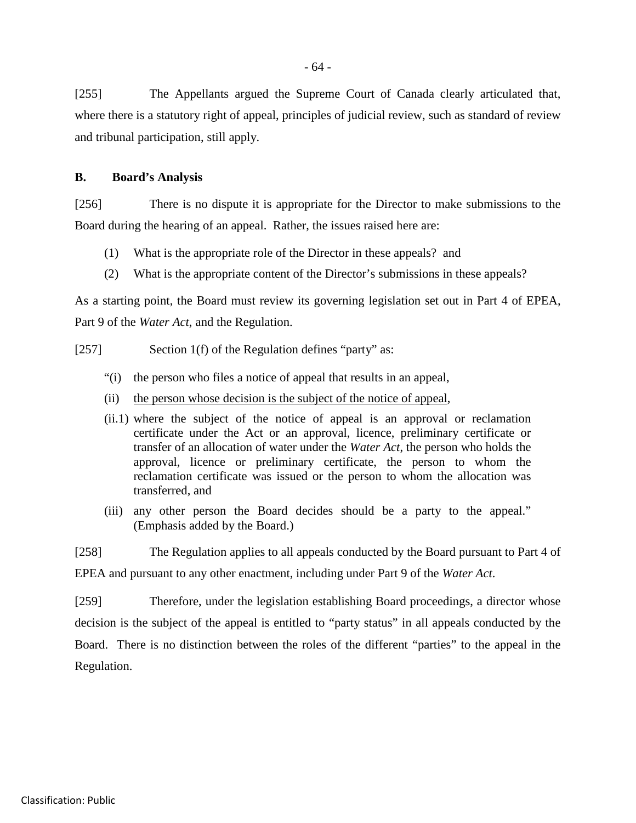- 64 -

[255] The Appellants argued the Supreme Court of Canada clearly articulated that, where there is a statutory right of appeal, principles of judicial review, such as standard of review and tribunal participation, still apply.

## **B. Board's Analysis**

[256] There is no dispute it is appropriate for the Director to make submissions to the Board during the hearing of an appeal. Rather, the issues raised here are:

- (1) What is the appropriate role of the Director in these appeals? and
- (2) What is the appropriate content of the Director's submissions in these appeals?

As a starting point, the Board must review its governing legislation set out in Part 4 of EPEA, Part 9 of the *Water Act*, and the Regulation.

- [257] Section 1(f) of the Regulation defines "party" as:
	- "(i) the person who files a notice of appeal that results in an appeal,
	- (ii) the person whose decision is the subject of the notice of appeal,
	- (ii.1) where the subject of the notice of appeal is an approval or reclamation certificate under the Act or an approval, licence, preliminary certificate or transfer of an allocation of water under the *Water Act*, the person who holds the approval, licence or preliminary certificate, the person to whom the reclamation certificate was issued or the person to whom the allocation was transferred, and
	- (iii) any other person the Board decides should be a party to the appeal." (Emphasis added by the Board.)

[258] The Regulation applies to all appeals conducted by the Board pursuant to Part 4 of EPEA and pursuant to any other enactment, including under Part 9 of the *Water Act*.

[259] Therefore, under the legislation establishing Board proceedings, a director whose decision is the subject of the appeal is entitled to "party status" in all appeals conducted by the Board. There is no distinction between the roles of the different "parties" to the appeal in the Regulation.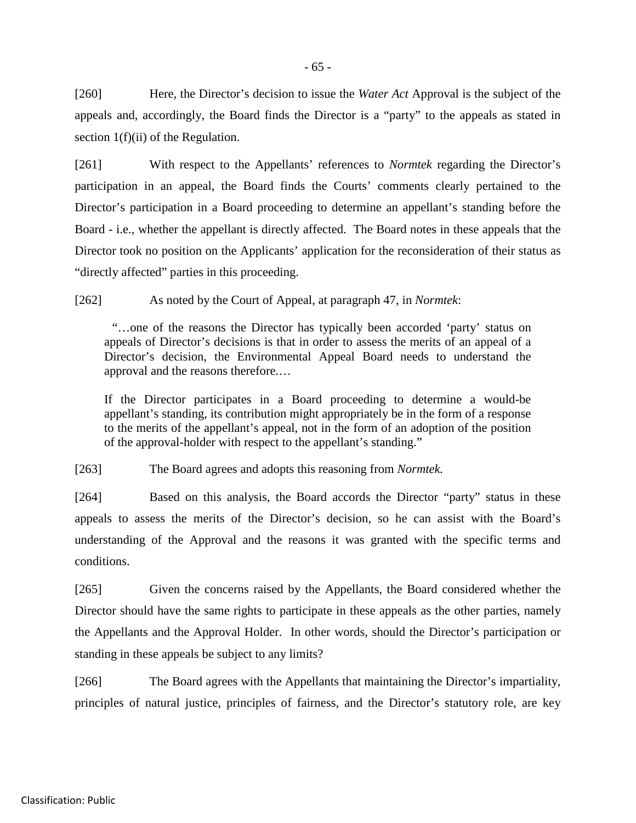[260] Here, the Director's decision to issue the *Water Act* Approval is the subject of the appeals and, accordingly, the Board finds the Director is a "party" to the appeals as stated in section 1(f)(ii) of the Regulation.

[261] With respect to the Appellants' references to *Normtek* regarding the Director's participation in an appeal, the Board finds the Courts' comments clearly pertained to the Director's participation in a Board proceeding to determine an appellant's standing before the Board - i.e., whether the appellant is directly affected. The Board notes in these appeals that the Director took no position on the Applicants' application for the reconsideration of their status as "directly affected" parties in this proceeding.

[262] As noted by the Court of Appeal, at paragraph 47, in *Normtek*:

"…one of the reasons the Director has typically been accorded 'party' status on appeals of Director's decisions is that in order to assess the merits of an appeal of a Director's decision, the Environmental Appeal Board needs to understand the approval and the reasons therefore.…

If the Director participates in a Board proceeding to determine a would-be appellant's standing, its contribution might appropriately be in the form of a response to the merits of the appellant's appeal, not in the form of an adoption of the position of the approval-holder with respect to the appellant's standing."

[263] The Board agrees and adopts this reasoning from *Normtek.*

[264] Based on this analysis, the Board accords the Director "party" status in these appeals to assess the merits of the Director's decision, so he can assist with the Board's understanding of the Approval and the reasons it was granted with the specific terms and conditions.

[265] Given the concerns raised by the Appellants, the Board considered whether the Director should have the same rights to participate in these appeals as the other parties, namely the Appellants and the Approval Holder. In other words, should the Director's participation or standing in these appeals be subject to any limits?

[266] The Board agrees with the Appellants that maintaining the Director's impartiality, principles of natural justice, principles of fairness, and the Director's statutory role, are key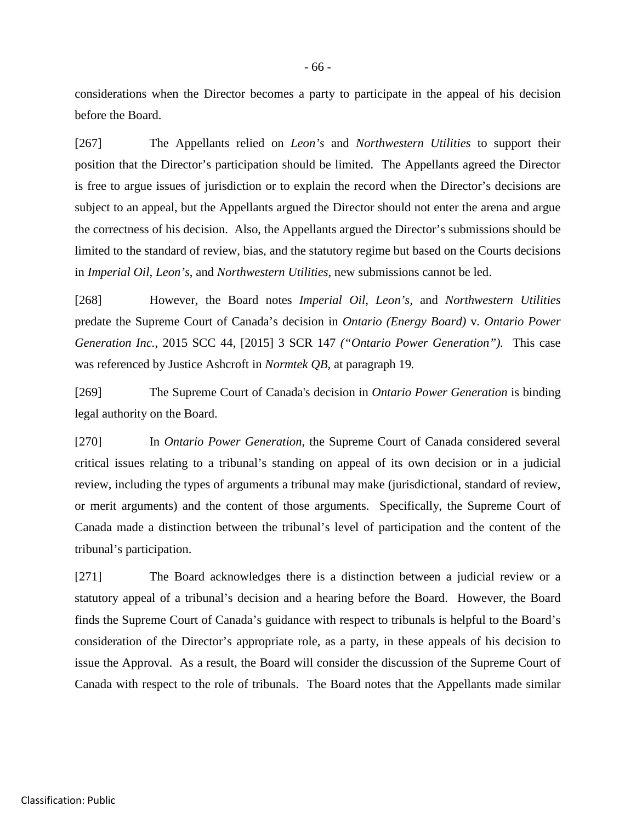considerations when the Director becomes a party to participate in the appeal of his decision before the Board.

[267] The Appellants relied on *Leon's* and *Northwestern Utilities* to support their position that the Director's participation should be limited. The Appellants agreed the Director is free to argue issues of jurisdiction or to explain the record when the Director's decisions are subject to an appeal, but the Appellants argued the Director should not enter the arena and argue the correctness of his decision. Also, the Appellants argued the Director's submissions should be limited to the standard of review, bias, and the statutory regime but based on the Courts decisions in *Imperial Oil*, *Leon's*, and *Northwestern Utilities*, new submissions cannot be led.

[268] However, the Board notes *Imperial Oil, Leon's,* and *Northwestern Utilities* predate the Supreme Court of Canada's decision in *Ontario (Energy Board)* v*. Ontario Power Generation Inc.*, 2015 SCC 44, [2015] 3 SCR 147 *("Ontario Power Generation").* This case was referenced by Justice Ashcroft in *Normtek QB,* at paragraph 19*.*

[269] The Supreme Court of Canada's decision in *Ontario Power Generation* is binding legal authority on the Board.

[270] In *Ontario Power Generation*, the Supreme Court of Canada considered several critical issues relating to a tribunal's standing on appeal of its own decision or in a judicial review, including the types of arguments a tribunal may make (jurisdictional, standard of review, or merit arguments) and the content of those arguments. Specifically, the Supreme Court of Canada made a distinction between the tribunal's level of participation and the content of the tribunal's participation.

[271] The Board acknowledges there is a distinction between a judicial review or a statutory appeal of a tribunal's decision and a hearing before the Board. However, the Board finds the Supreme Court of Canada's guidance with respect to tribunals is helpful to the Board's consideration of the Director's appropriate role, as a party, in these appeals of his decision to issue the Approval. As a result, the Board will consider the discussion of the Supreme Court of Canada with respect to the role of tribunals. The Board notes that the Appellants made similar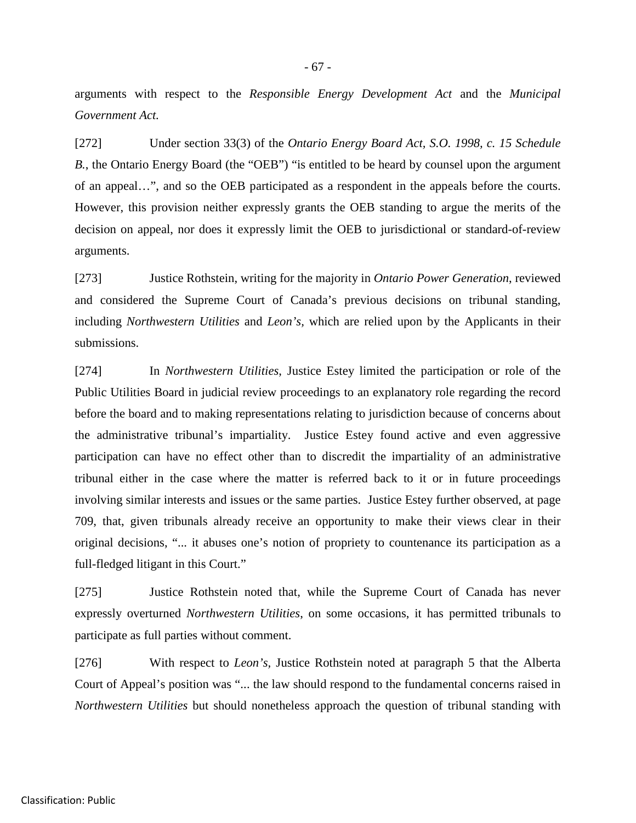arguments with respect to the *Responsible Energy Development Act* and the *Municipal Government Act.*

[272] Under section 33(3) of the *Ontario Energy Board Act, S.O. 1998, c. 15 Schedule B.*, the Ontario Energy Board (the "OEB") "is entitled to be heard by counsel upon the argument of an appeal…", and so the OEB participated as a respondent in the appeals before the courts. However, this provision neither expressly grants the OEB standing to argue the merits of the decision on appeal, nor does it expressly limit the OEB to jurisdictional or standard-of-review arguments.

[273] Justice Rothstein, writing for the majority in *Ontario Power Generation*, reviewed and considered the Supreme Court of Canada's previous decisions on tribunal standing, including *Northwestern Utilities* and *Leon's,* which are relied upon by the Applicants in their submissions.

[274] In *Northwestern Utilities*, Justice Estey limited the participation or role of the Public Utilities Board in judicial review proceedings to an explanatory role regarding the record before the board and to making representations relating to jurisdiction because of concerns about the administrative tribunal's impartiality. Justice Estey found active and even aggressive participation can have no effect other than to discredit the impartiality of an administrative tribunal either in the case where the matter is referred back to it or in future proceedings involving similar interests and issues or the same parties. Justice Estey further observed, at page 709, that, given tribunals already receive an opportunity to make their views clear in their original decisions, "... it abuses one's notion of propriety to countenance its participation as a full-fledged litigant in this Court."

[275] Justice Rothstein noted that, while the Supreme Court of Canada has never expressly overturned *Northwestern Utilities*, on some occasions, it has permitted tribunals to participate as full parties without comment.

[276] With respect to *Leon's,* Justice Rothstein noted at paragraph 5 that the Alberta Court of Appeal's position was "... the law should respond to the fundamental concerns raised in *Northwestern Utilities* but should nonetheless approach the question of tribunal standing with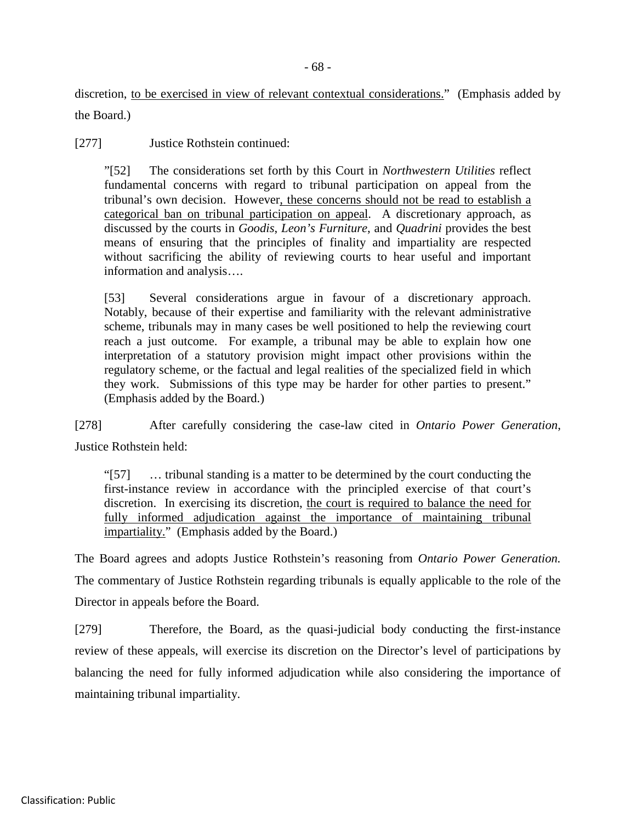discretion, to be exercised in view of relevant contextual considerations." (Emphasis added by the Board.)

[277] Justice Rothstein continued:

"[52] The considerations set forth by this Court in *Northwestern Utilities* reflect fundamental concerns with regard to tribunal participation on appeal from the tribunal's own decision. However, these concerns should not be read to establish a categorical ban on tribunal participation on appeal. A discretionary approach, as discussed by the courts in *Goodis*, *Leon's Furniture*, and *Quadrini* provides the best means of ensuring that the principles of finality and impartiality are respected without sacrificing the ability of reviewing courts to hear useful and important information and analysis….

[53] Several considerations argue in favour of a discretionary approach. Notably, because of their expertise and familiarity with the relevant administrative scheme, tribunals may in many cases be well positioned to help the reviewing court reach a just outcome. For example, a tribunal may be able to explain how one interpretation of a statutory provision might impact other provisions within the regulatory scheme, or the factual and legal realities of the specialized field in which they work. Submissions of this type may be harder for other parties to present." (Emphasis added by the Board.)

[278] After carefully considering the case-law cited in *Ontario Power Generation*, Justice Rothstein held:

"[57] … tribunal standing is a matter to be determined by the court conducting the first-instance review in accordance with the principled exercise of that court's discretion. In exercising its discretion, the court is required to balance the need for fully informed adjudication against the importance of maintaining tribunal impartiality." (Emphasis added by the Board.)

The Board agrees and adopts Justice Rothstein's reasoning from *Ontario Power Generation.*  The commentary of Justice Rothstein regarding tribunals is equally applicable to the role of the Director in appeals before the Board.

[279] Therefore, the Board, as the quasi-judicial body conducting the first-instance review of these appeals, will exercise its discretion on the Director's level of participations by balancing the need for fully informed adjudication while also considering the importance of maintaining tribunal impartiality.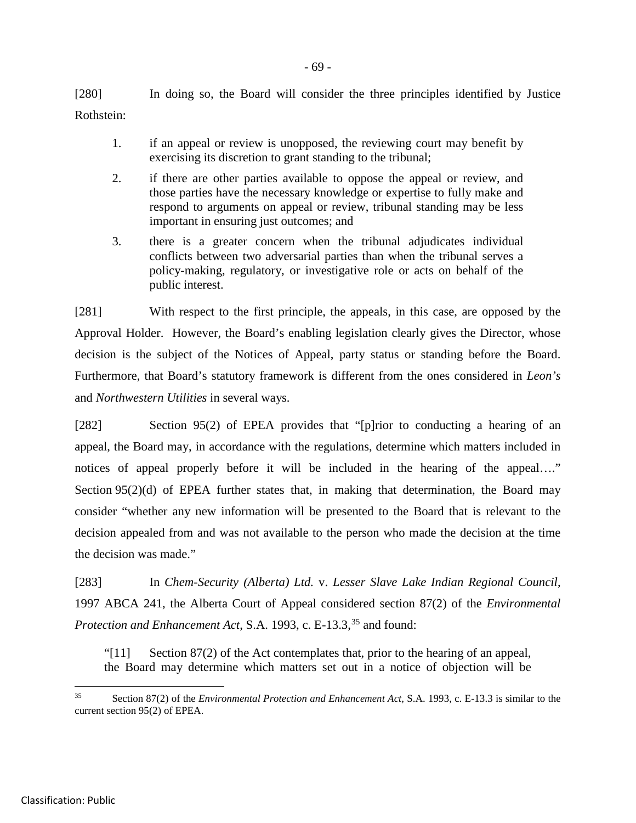[280] In doing so, the Board will consider the three principles identified by Justice Rothstein:

- 1. if an appeal or review is unopposed, the reviewing court may benefit by exercising its discretion to grant standing to the tribunal;
- 2. if there are other parties available to oppose the appeal or review, and those parties have the necessary knowledge or expertise to fully make and respond to arguments on appeal or review, tribunal standing may be less important in ensuring just outcomes; and
- 3. there is a greater concern when the tribunal adjudicates individual conflicts between two adversarial parties than when the tribunal serves a policy-making, regulatory, or investigative role or acts on behalf of the public interest.

[281] With respect to the first principle, the appeals, in this case, are opposed by the Approval Holder. However, the Board's enabling legislation clearly gives the Director, whose decision is the subject of the Notices of Appeal, party status or standing before the Board. Furthermore, that Board's statutory framework is different from the ones considered in *Leon's*  and *Northwestern Utilities* in several ways.

[282] Section 95(2) of EPEA provides that "[p]rior to conducting a hearing of an appeal, the Board may, in accordance with the regulations, determine which matters included in notices of appeal properly before it will be included in the hearing of the appeal…." Section 95(2)(d) of EPEA further states that, in making that determination, the Board may consider "whether any new information will be presented to the Board that is relevant to the decision appealed from and was not available to the person who made the decision at the time the decision was made."

[283] In *Chem-Security (Alberta) Ltd.* v. *Lesser Slave Lake Indian Regional Council*, 1997 ABCA 241, the Alberta Court of Appeal considered section 87(2) of the *Environmental Protection and Enhancement Act*, S.A. 1993, c. E-13.3, [35](#page-74-0) and found:

"[11] Section 87(2) of the Act contemplates that, prior to the hearing of an appeal, the Board may determine which matters set out in a notice of objection will be

<span id="page-74-0"></span> <sup>35</sup> Section 87(2) of the *Environmental Protection and Enhancement Act*, S.A. 1993, c. E-13.3 is similar to the current section 95(2) of EPEA.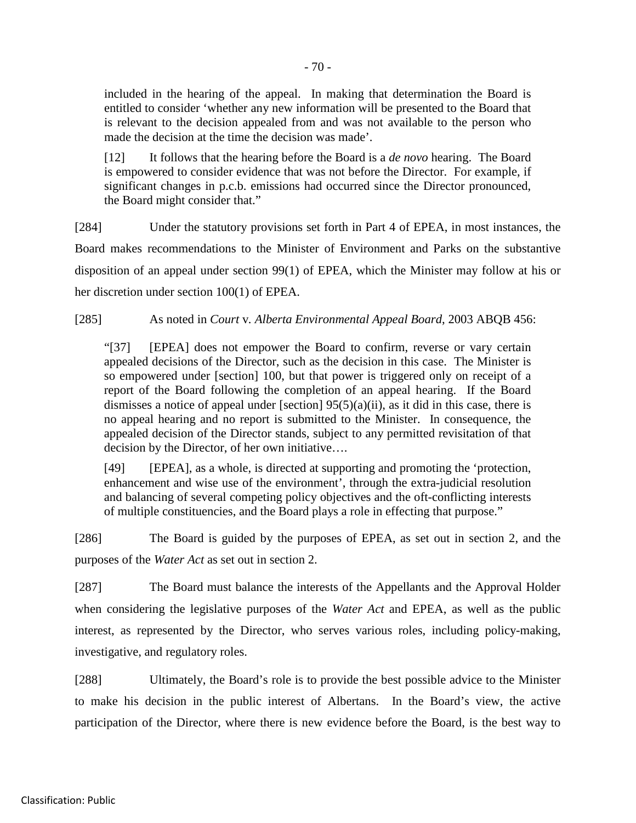included in the hearing of the appeal. In making that determination the Board is entitled to consider 'whether any new information will be presented to the Board that is relevant to the decision appealed from and was not available to the person who made the decision at the time the decision was made'.

[12] It follows that the hearing before the Board is a *de novo* hearing. The Board is empowered to consider evidence that was not before the Director. For example, if significant changes in p.c.b. emissions had occurred since the Director pronounced, the Board might consider that."

[284] Under the statutory provisions set forth in Part 4 of EPEA, in most instances, the Board makes recommendations to the Minister of Environment and Parks on the substantive disposition of an appeal under section 99(1) of EPEA, which the Minister may follow at his or her discretion under section 100(1) of EPEA.

[285] As noted in *Court* v*. Alberta Environmental Appeal Board*, 2003 ABQB 456:

"[37] [EPEA] does not empower the Board to confirm, reverse or vary certain appealed decisions of the Director, such as the decision in this case. The Minister is so empowered under [section] 100, but that power is triggered only on receipt of a report of the Board following the completion of an appeal hearing. If the Board dismisses a notice of appeal under [section]  $95(5)(a)(ii)$ , as it did in this case, there is no appeal hearing and no report is submitted to the Minister. In consequence, the appealed decision of the Director stands, subject to any permitted revisitation of that decision by the Director, of her own initiative….

[49] [EPEA], as a whole, is directed at supporting and promoting the 'protection, enhancement and wise use of the environment', through the extra-judicial resolution and balancing of several competing policy objectives and the oft-conflicting interests of multiple constituencies, and the Board plays a role in effecting that purpose."

[286] The Board is guided by the purposes of EPEA, as set out in section 2, and the purposes of the *Water Act* as set out in section 2.

[287] The Board must balance the interests of the Appellants and the Approval Holder when considering the legislative purposes of the *Water Act* and EPEA, as well as the public interest, as represented by the Director, who serves various roles, including policy-making, investigative, and regulatory roles.

[288] Ultimately, the Board's role is to provide the best possible advice to the Minister to make his decision in the public interest of Albertans. In the Board's view, the active participation of the Director, where there is new evidence before the Board, is the best way to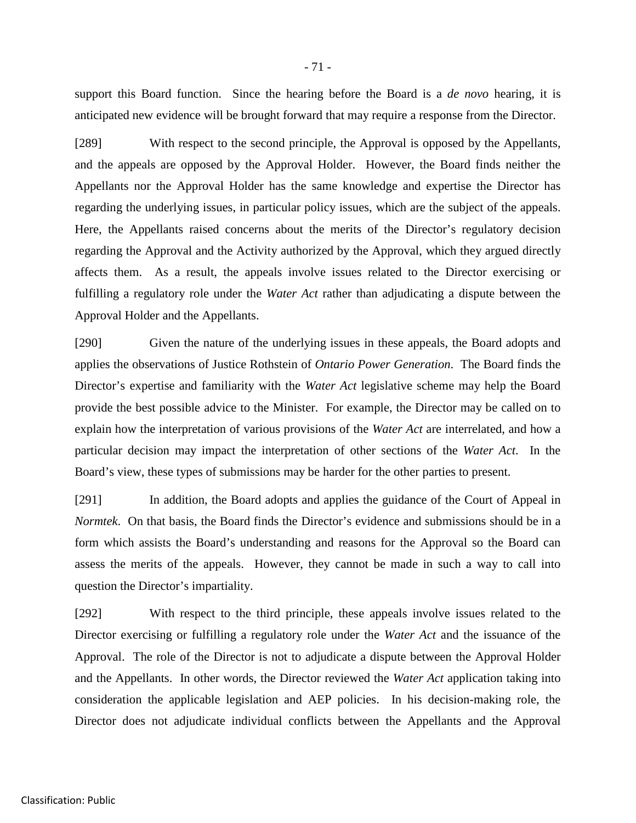support this Board function. Since the hearing before the Board is a *de novo* hearing, it is anticipated new evidence will be brought forward that may require a response from the Director.

[289] With respect to the second principle, the Approval is opposed by the Appellants, and the appeals are opposed by the Approval Holder. However, the Board finds neither the Appellants nor the Approval Holder has the same knowledge and expertise the Director has regarding the underlying issues, in particular policy issues, which are the subject of the appeals. Here, the Appellants raised concerns about the merits of the Director's regulatory decision regarding the Approval and the Activity authorized by the Approval, which they argued directly affects them. As a result, the appeals involve issues related to the Director exercising or fulfilling a regulatory role under the *Water Act* rather than adjudicating a dispute between the Approval Holder and the Appellants.

[290] Given the nature of the underlying issues in these appeals, the Board adopts and applies the observations of Justice Rothstein of *Ontario Power Generation*. The Board finds the Director's expertise and familiarity with the *Water Act* legislative scheme may help the Board provide the best possible advice to the Minister. For example, the Director may be called on to explain how the interpretation of various provisions of the *Water Act* are interrelated, and how a particular decision may impact the interpretation of other sections of the *Water Act*. In the Board's view, these types of submissions may be harder for the other parties to present.

[291] In addition, the Board adopts and applies the guidance of the Court of Appeal in *Normtek*. On that basis, the Board finds the Director's evidence and submissions should be in a form which assists the Board's understanding and reasons for the Approval so the Board can assess the merits of the appeals. However, they cannot be made in such a way to call into question the Director's impartiality.

[292] With respect to the third principle, these appeals involve issues related to the Director exercising or fulfilling a regulatory role under the *Water Act* and the issuance of the Approval. The role of the Director is not to adjudicate a dispute between the Approval Holder and the Appellants. In other words, the Director reviewed the *Water Act* application taking into consideration the applicable legislation and AEP policies. In his decision-making role, the Director does not adjudicate individual conflicts between the Appellants and the Approval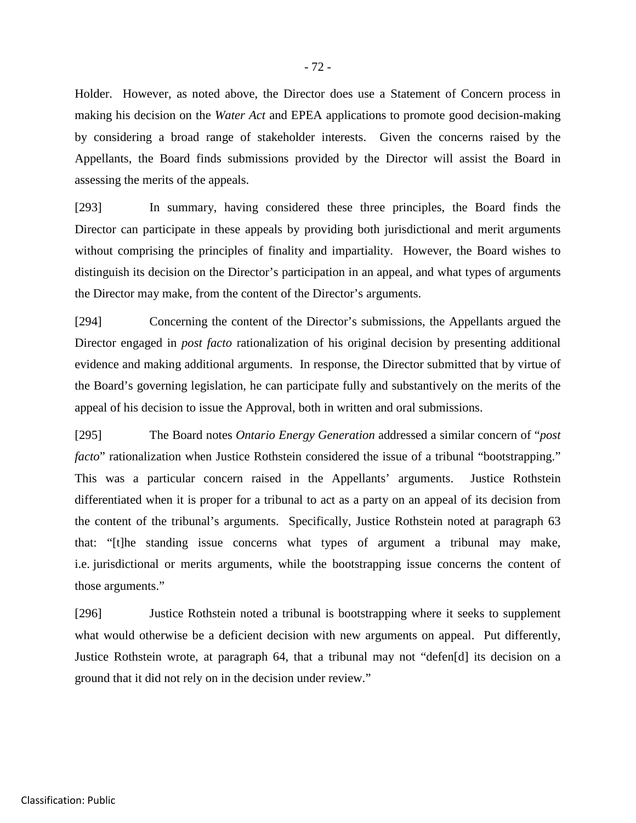Holder. However, as noted above, the Director does use a Statement of Concern process in making his decision on the *Water Act* and EPEA applications to promote good decision-making by considering a broad range of stakeholder interests. Given the concerns raised by the Appellants, the Board finds submissions provided by the Director will assist the Board in assessing the merits of the appeals.

[293] In summary, having considered these three principles, the Board finds the Director can participate in these appeals by providing both jurisdictional and merit arguments without comprising the principles of finality and impartiality. However, the Board wishes to distinguish its decision on the Director's participation in an appeal, and what types of arguments the Director may make, from the content of the Director's arguments.

[294] Concerning the content of the Director's submissions, the Appellants argued the Director engaged in *post facto* rationalization of his original decision by presenting additional evidence and making additional arguments. In response, the Director submitted that by virtue of the Board's governing legislation, he can participate fully and substantively on the merits of the appeal of his decision to issue the Approval, both in written and oral submissions.

[295] The Board notes *Ontario Energy Generation* addressed a similar concern of "*post facto*" rationalization when Justice Rothstein considered the issue of a tribunal "bootstrapping." This was a particular concern raised in the Appellants' arguments. Justice Rothstein differentiated when it is proper for a tribunal to act as a party on an appeal of its decision from the content of the tribunal's arguments. Specifically, Justice Rothstein noted at paragraph 63 that: "[t]he standing issue concerns what types of argument a tribunal may make, i.e. jurisdictional or merits arguments, while the bootstrapping issue concerns the content of those arguments."

[296] Justice Rothstein noted a tribunal is bootstrapping where it seeks to supplement what would otherwise be a deficient decision with new arguments on appeal. Put differently, Justice Rothstein wrote, at paragraph 64, that a tribunal may not "defen[d] its decision on a ground that it did not rely on in the decision under review."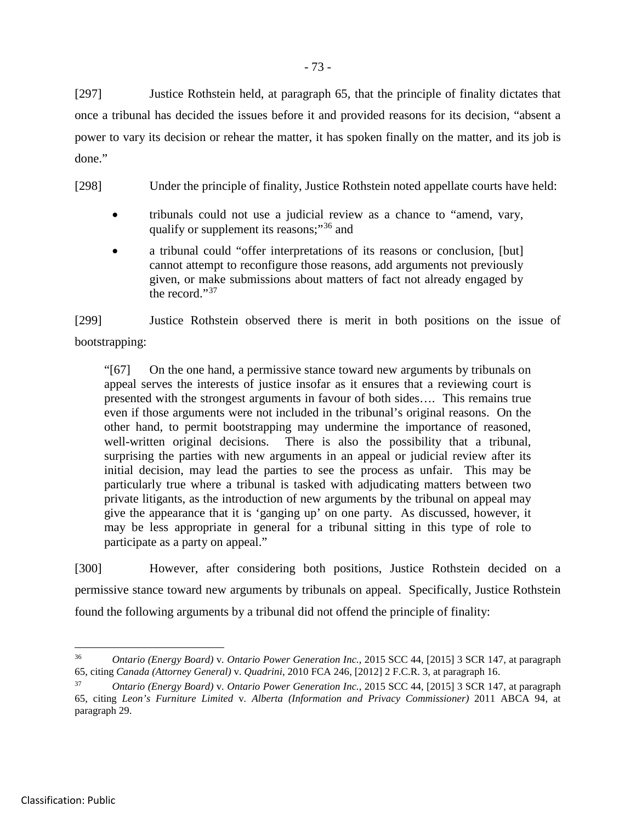[297] Justice Rothstein held, at paragraph 65, that the principle of finality dictates that once a tribunal has decided the issues before it and provided reasons for its decision, "absent a power to vary its decision or rehear the matter, it has spoken finally on the matter, and its job is done."

[298] Under the principle of finality, Justice Rothstein noted appellate courts have held:

- tribunals could not use a judicial review as a chance to "amend, vary, qualify or supplement its reasons;"[36](#page-78-0) and
- a tribunal could "offer interpretations of its reasons or conclusion, [but] cannot attempt to reconfigure those reasons, add arguments not previously given, or make submissions about matters of fact not already engaged by the record."[37](#page-78-1)

[299] Justice Rothstein observed there is merit in both positions on the issue of bootstrapping:

"[67] On the one hand, a permissive stance toward new arguments by tribunals on appeal serves the interests of justice insofar as it ensures that a reviewing court is presented with the strongest arguments in favour of both sides…. This remains true even if those arguments were not included in the tribunal's original reasons. On the other hand, to permit bootstrapping may undermine the importance of reasoned, well-written original decisions. There is also the possibility that a tribunal, surprising the parties with new arguments in an appeal or judicial review after its initial decision, may lead the parties to see the process as unfair. This may be particularly true where a tribunal is tasked with adjudicating matters between two private litigants, as the introduction of new arguments by the tribunal on appeal may give the appearance that it is 'ganging up' on one party. As discussed, however, it may be less appropriate in general for a tribunal sitting in this type of role to participate as a party on appeal."

[300] However, after considering both positions, Justice Rothstein decided on a permissive stance toward new arguments by tribunals on appeal. Specifically, Justice Rothstein found the following arguments by a tribunal did not offend the principle of finality:

<span id="page-78-0"></span> <sup>36</sup> *Ontario (Energy Board)* v*. Ontario Power Generation Inc.*, 2015 SCC 44, [2015] 3 SCR 147, at paragraph 65, citing *Canada (Attorney General)* v. *Quadrini*, 2010 FCA 246, [2012] 2 F.C.R. 3, at paragraph 16.

<span id="page-78-1"></span><sup>37</sup> *Ontario (Energy Board)* v*. Ontario Power Generation Inc.*, 2015 SCC 44, [2015] 3 SCR 147, at paragraph 65, citing *Leon's Furniture Limited* v*. Alberta (Information and Privacy Commissioner)* 2011 ABCA 94, at paragraph 29.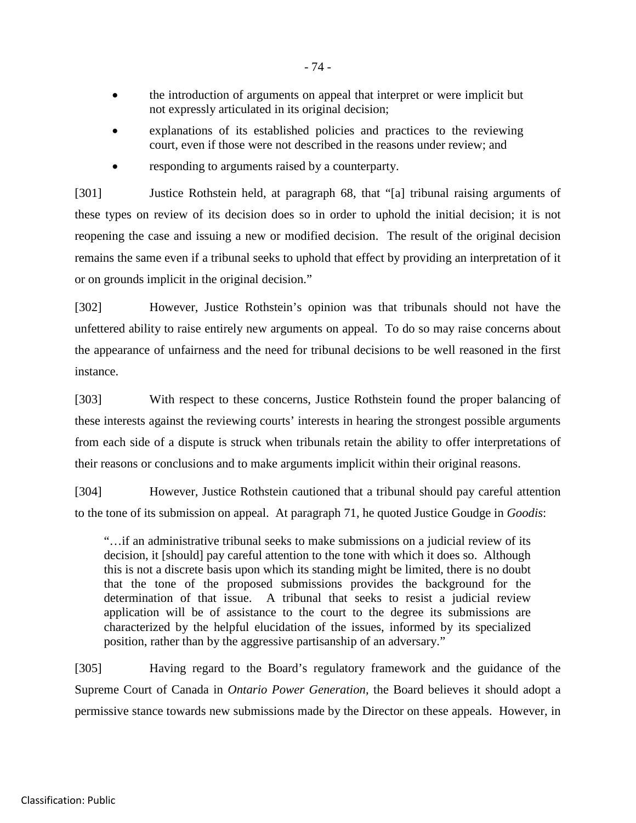- the introduction of arguments on appeal that interpret or were implicit but not expressly articulated in its original decision;
- explanations of its established policies and practices to the reviewing court, even if those were not described in the reasons under review; and
- responding to arguments raised by a counterparty.

[301] Justice Rothstein held, at paragraph 68, that "[a] tribunal raising arguments of these types on review of its decision does so in order to uphold the initial decision; it is not reopening the case and issuing a new or modified decision. The result of the original decision remains the same even if a tribunal seeks to uphold that effect by providing an interpretation of it or on grounds implicit in the original decision."

[302] However, Justice Rothstein's opinion was that tribunals should not have the unfettered ability to raise entirely new arguments on appeal. To do so may raise concerns about the appearance of unfairness and the need for tribunal decisions to be well reasoned in the first instance.

[303] With respect to these concerns, Justice Rothstein found the proper balancing of these interests against the reviewing courts' interests in hearing the strongest possible arguments from each side of a dispute is struck when tribunals retain the ability to offer interpretations of their reasons or conclusions and to make arguments implicit within their original reasons.

[304] However, Justice Rothstein cautioned that a tribunal should pay careful attention to the tone of its submission on appeal. At paragraph 71, he quoted Justice Goudge in *Goodis*:

"…if an administrative tribunal seeks to make submissions on a judicial review of its decision, it [should] pay careful attention to the tone with which it does so. Although this is not a discrete basis upon which its standing might be limited, there is no doubt that the tone of the proposed submissions provides the background for the determination of that issue. A tribunal that seeks to resist a judicial review application will be of assistance to the court to the degree its submissions are characterized by the helpful elucidation of the issues, informed by its specialized position, rather than by the aggressive partisanship of an adversary."

[305] Having regard to the Board's regulatory framework and the guidance of the Supreme Court of Canada in *Ontario Power Generation*, the Board believes it should adopt a permissive stance towards new submissions made by the Director on these appeals. However, in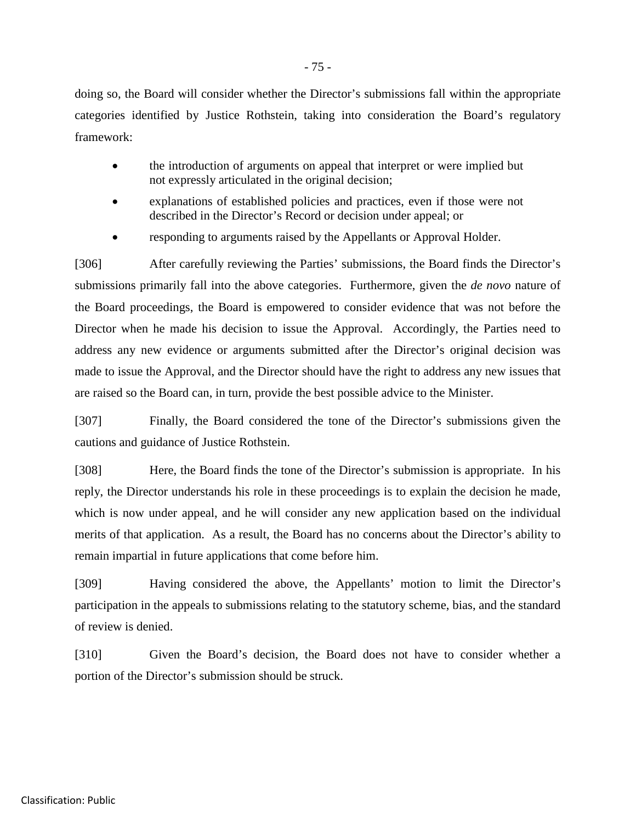doing so, the Board will consider whether the Director's submissions fall within the appropriate categories identified by Justice Rothstein, taking into consideration the Board's regulatory framework:

- the introduction of arguments on appeal that interpret or were implied but not expressly articulated in the original decision;
- explanations of established policies and practices, even if those were not described in the Director's Record or decision under appeal; or
- responding to arguments raised by the Appellants or Approval Holder.

[306] After carefully reviewing the Parties' submissions, the Board finds the Director's submissions primarily fall into the above categories. Furthermore, given the *de novo* nature of the Board proceedings, the Board is empowered to consider evidence that was not before the Director when he made his decision to issue the Approval. Accordingly, the Parties need to address any new evidence or arguments submitted after the Director's original decision was made to issue the Approval, and the Director should have the right to address any new issues that are raised so the Board can, in turn, provide the best possible advice to the Minister.

[307] Finally, the Board considered the tone of the Director's submissions given the cautions and guidance of Justice Rothstein.

[308] Here, the Board finds the tone of the Director's submission is appropriate. In his reply, the Director understands his role in these proceedings is to explain the decision he made, which is now under appeal, and he will consider any new application based on the individual merits of that application. As a result, the Board has no concerns about the Director's ability to remain impartial in future applications that come before him.

[309] Having considered the above, the Appellants' motion to limit the Director's participation in the appeals to submissions relating to the statutory scheme, bias, and the standard of review is denied.

[310] Given the Board's decision, the Board does not have to consider whether a portion of the Director's submission should be struck.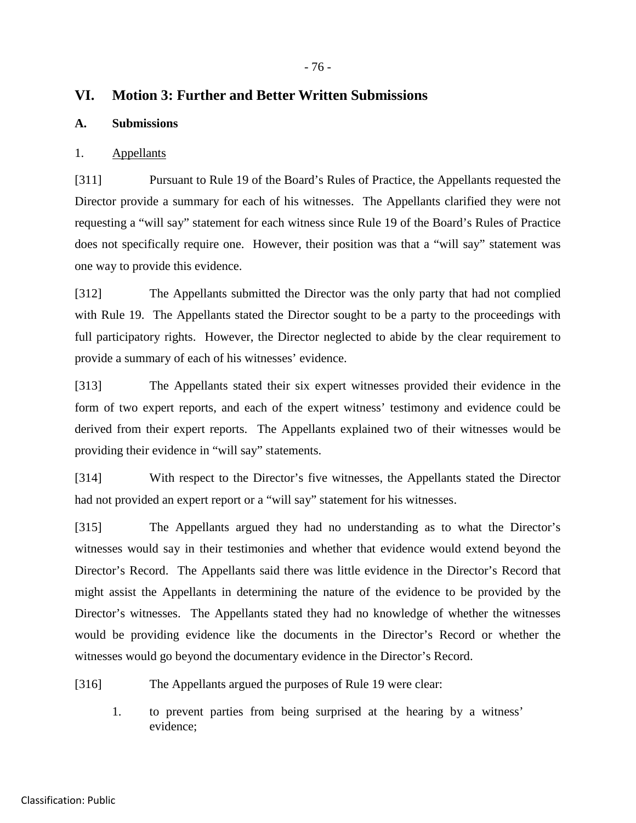# **VI. Motion 3: Further and Better Written Submissions**

#### **A. Submissions**

#### 1. Appellants

[311] Pursuant to Rule 19 of the Board's Rules of Practice, the Appellants requested the Director provide a summary for each of his witnesses. The Appellants clarified they were not requesting a "will say" statement for each witness since Rule 19 of the Board's Rules of Practice does not specifically require one. However, their position was that a "will say" statement was one way to provide this evidence.

[312] The Appellants submitted the Director was the only party that had not complied with Rule 19. The Appellants stated the Director sought to be a party to the proceedings with full participatory rights. However, the Director neglected to abide by the clear requirement to provide a summary of each of his witnesses' evidence.

[313] The Appellants stated their six expert witnesses provided their evidence in the form of two expert reports, and each of the expert witness' testimony and evidence could be derived from their expert reports. The Appellants explained two of their witnesses would be providing their evidence in "will say" statements.

[314] With respect to the Director's five witnesses, the Appellants stated the Director had not provided an expert report or a "will say" statement for his witnesses.

[315] The Appellants argued they had no understanding as to what the Director's witnesses would say in their testimonies and whether that evidence would extend beyond the Director's Record. The Appellants said there was little evidence in the Director's Record that might assist the Appellants in determining the nature of the evidence to be provided by the Director's witnesses. The Appellants stated they had no knowledge of whether the witnesses would be providing evidence like the documents in the Director's Record or whether the witnesses would go beyond the documentary evidence in the Director's Record.

[316] The Appellants argued the purposes of Rule 19 were clear:

1. to prevent parties from being surprised at the hearing by a witness' evidence;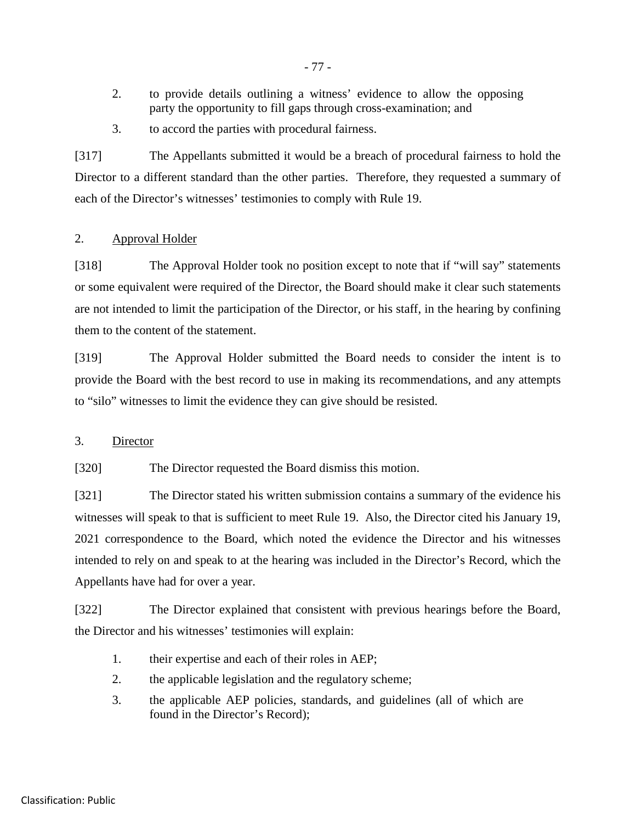- 2. to provide details outlining a witness' evidence to allow the opposing party the opportunity to fill gaps through cross-examination; and
- 3. to accord the parties with procedural fairness.

[317] The Appellants submitted it would be a breach of procedural fairness to hold the Director to a different standard than the other parties. Therefore, they requested a summary of each of the Director's witnesses' testimonies to comply with Rule 19.

### 2. Approval Holder

[318] The Approval Holder took no position except to note that if "will say" statements or some equivalent were required of the Director, the Board should make it clear such statements are not intended to limit the participation of the Director, or his staff, in the hearing by confining them to the content of the statement.

[319] The Approval Holder submitted the Board needs to consider the intent is to provide the Board with the best record to use in making its recommendations, and any attempts to "silo" witnesses to limit the evidence they can give should be resisted.

### 3. Director

[320] The Director requested the Board dismiss this motion.

[321] The Director stated his written submission contains a summary of the evidence his witnesses will speak to that is sufficient to meet Rule 19. Also, the Director cited his January 19, 2021 correspondence to the Board, which noted the evidence the Director and his witnesses intended to rely on and speak to at the hearing was included in the Director's Record, which the Appellants have had for over a year.

[322] The Director explained that consistent with previous hearings before the Board, the Director and his witnesses' testimonies will explain:

- 1. their expertise and each of their roles in AEP;
- 2. the applicable legislation and the regulatory scheme;
- 3. the applicable AEP policies, standards, and guidelines (all of which are found in the Director's Record);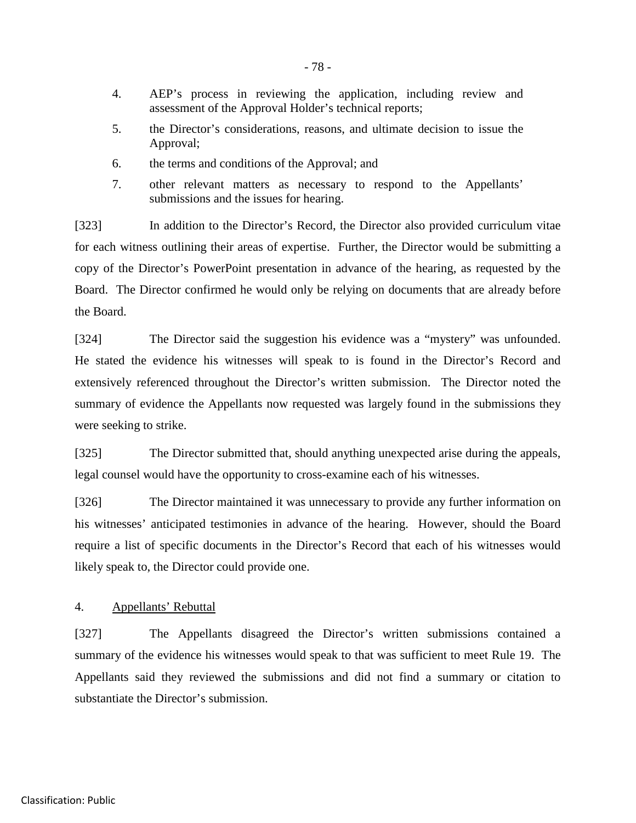- 4. AEP's process in reviewing the application, including review and assessment of the Approval Holder's technical reports;
- 5. the Director's considerations, reasons, and ultimate decision to issue the Approval;
- 6. the terms and conditions of the Approval; and
- 7. other relevant matters as necessary to respond to the Appellants' submissions and the issues for hearing.

[323] In addition to the Director's Record, the Director also provided curriculum vitae for each witness outlining their areas of expertise. Further, the Director would be submitting a copy of the Director's PowerPoint presentation in advance of the hearing, as requested by the Board. The Director confirmed he would only be relying on documents that are already before the Board.

[324] The Director said the suggestion his evidence was a "mystery" was unfounded. He stated the evidence his witnesses will speak to is found in the Director's Record and extensively referenced throughout the Director's written submission. The Director noted the summary of evidence the Appellants now requested was largely found in the submissions they were seeking to strike.

[325] The Director submitted that, should anything unexpected arise during the appeals, legal counsel would have the opportunity to cross-examine each of his witnesses.

[326] The Director maintained it was unnecessary to provide any further information on his witnesses' anticipated testimonies in advance of the hearing. However, should the Board require a list of specific documents in the Director's Record that each of his witnesses would likely speak to, the Director could provide one.

### 4. Appellants' Rebuttal

[327] The Appellants disagreed the Director's written submissions contained a summary of the evidence his witnesses would speak to that was sufficient to meet Rule 19. The Appellants said they reviewed the submissions and did not find a summary or citation to substantiate the Director's submission.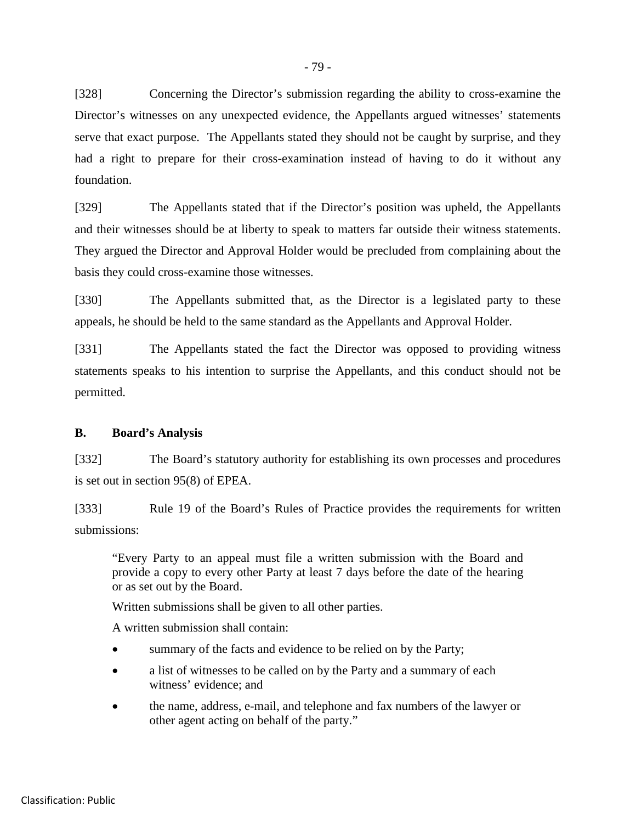[328] Concerning the Director's submission regarding the ability to cross-examine the Director's witnesses on any unexpected evidence, the Appellants argued witnesses' statements serve that exact purpose. The Appellants stated they should not be caught by surprise, and they had a right to prepare for their cross-examination instead of having to do it without any foundation.

[329] The Appellants stated that if the Director's position was upheld, the Appellants and their witnesses should be at liberty to speak to matters far outside their witness statements. They argued the Director and Approval Holder would be precluded from complaining about the basis they could cross-examine those witnesses.

[330] The Appellants submitted that, as the Director is a legislated party to these appeals, he should be held to the same standard as the Appellants and Approval Holder.

[331] The Appellants stated the fact the Director was opposed to providing witness statements speaks to his intention to surprise the Appellants, and this conduct should not be permitted.

### **B. Board's Analysis**

[332] The Board's statutory authority for establishing its own processes and procedures is set out in section 95(8) of EPEA.

[333] Rule 19 of the Board's Rules of Practice provides the requirements for written submissions:

"Every Party to an appeal must file a written submission with the Board and provide a copy to every other Party at least 7 days before the date of the hearing or as set out by the Board.

Written submissions shall be given to all other parties.

A written submission shall contain:

- summary of the facts and evidence to be relied on by the Party;
- a list of witnesses to be called on by the Party and a summary of each witness' evidence; and
- the name, address, e-mail, and telephone and fax numbers of the lawyer or other agent acting on behalf of the party."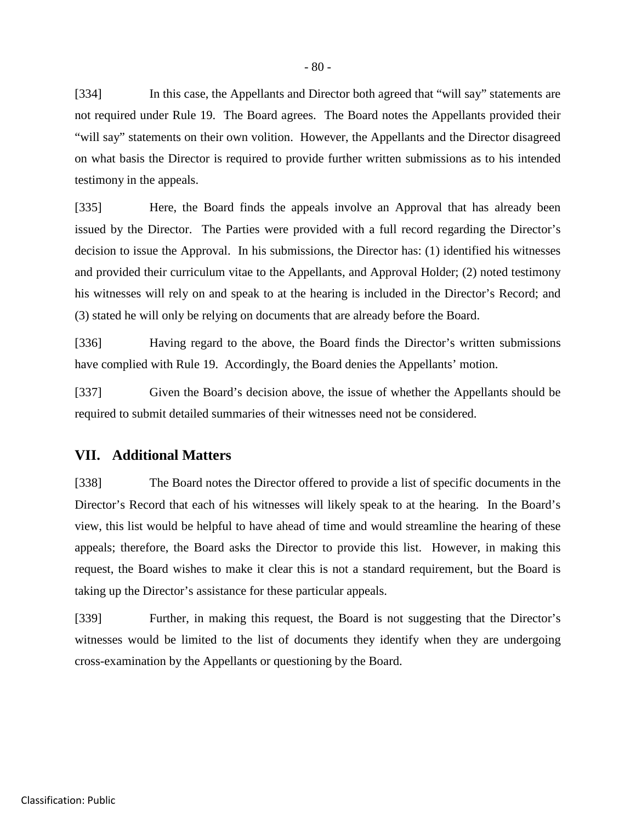[334] In this case, the Appellants and Director both agreed that "will say" statements are not required under Rule 19. The Board agrees. The Board notes the Appellants provided their "will say" statements on their own volition. However, the Appellants and the Director disagreed on what basis the Director is required to provide further written submissions as to his intended testimony in the appeals.

[335] Here, the Board finds the appeals involve an Approval that has already been issued by the Director. The Parties were provided with a full record regarding the Director's decision to issue the Approval. In his submissions, the Director has: (1) identified his witnesses and provided their curriculum vitae to the Appellants, and Approval Holder; (2) noted testimony his witnesses will rely on and speak to at the hearing is included in the Director's Record; and (3) stated he will only be relying on documents that are already before the Board.

[336] Having regard to the above, the Board finds the Director's written submissions have complied with Rule 19. Accordingly, the Board denies the Appellants' motion.

[337] Given the Board's decision above, the issue of whether the Appellants should be required to submit detailed summaries of their witnesses need not be considered.

### **VII. Additional Matters**

[338] The Board notes the Director offered to provide a list of specific documents in the Director's Record that each of his witnesses will likely speak to at the hearing. In the Board's view, this list would be helpful to have ahead of time and would streamline the hearing of these appeals; therefore, the Board asks the Director to provide this list. However, in making this request, the Board wishes to make it clear this is not a standard requirement, but the Board is taking up the Director's assistance for these particular appeals.

[339] Further, in making this request, the Board is not suggesting that the Director's witnesses would be limited to the list of documents they identify when they are undergoing cross-examination by the Appellants or questioning by the Board.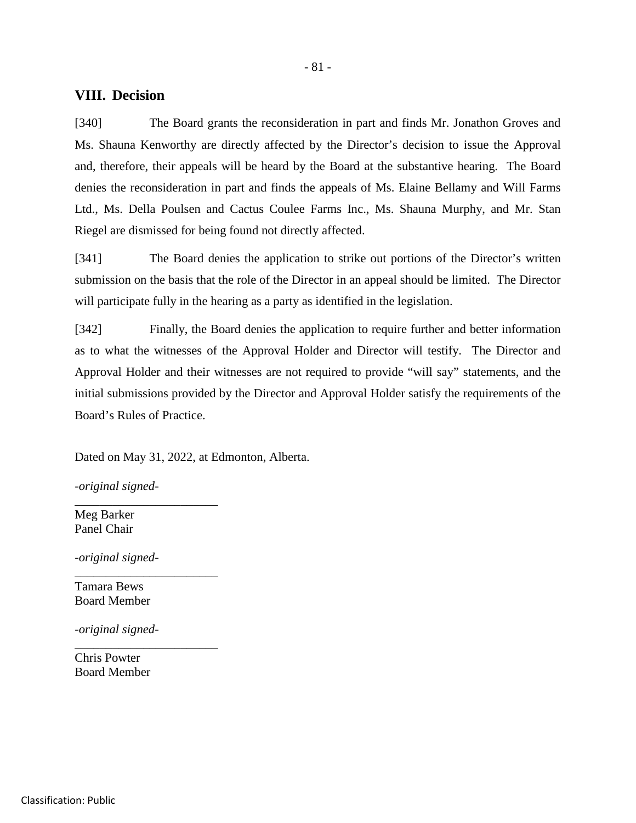## **VIII. Decision**

[340] The Board grants the reconsideration in part and finds Mr. Jonathon Groves and Ms. Shauna Kenworthy are directly affected by the Director's decision to issue the Approval and, therefore, their appeals will be heard by the Board at the substantive hearing. The Board denies the reconsideration in part and finds the appeals of Ms. Elaine Bellamy and Will Farms Ltd., Ms. Della Poulsen and Cactus Coulee Farms Inc., Ms. Shauna Murphy, and Mr. Stan Riegel are dismissed for being found not directly affected.

[341] The Board denies the application to strike out portions of the Director's written submission on the basis that the role of the Director in an appeal should be limited. The Director will participate fully in the hearing as a party as identified in the legislation.

[342] Finally, the Board denies the application to require further and better information as to what the witnesses of the Approval Holder and Director will testify. The Director and Approval Holder and their witnesses are not required to provide "will say" statements, and the initial submissions provided by the Director and Approval Holder satisfy the requirements of the Board's Rules of Practice.

Dated on May 31, 2022, at Edmonton, Alberta.

*-original signed-*

\_\_\_\_\_\_\_\_\_\_\_\_\_\_\_\_\_\_\_\_\_\_\_

\_\_\_\_\_\_\_\_\_\_\_\_\_\_\_\_\_\_\_\_\_\_\_

\_\_\_\_\_\_\_\_\_\_\_\_\_\_\_\_\_\_\_\_\_\_\_

Meg Barker Panel Chair

*-original signed-*

Tamara Bews Board Member

*-original signed-*

Chris Powter Board Member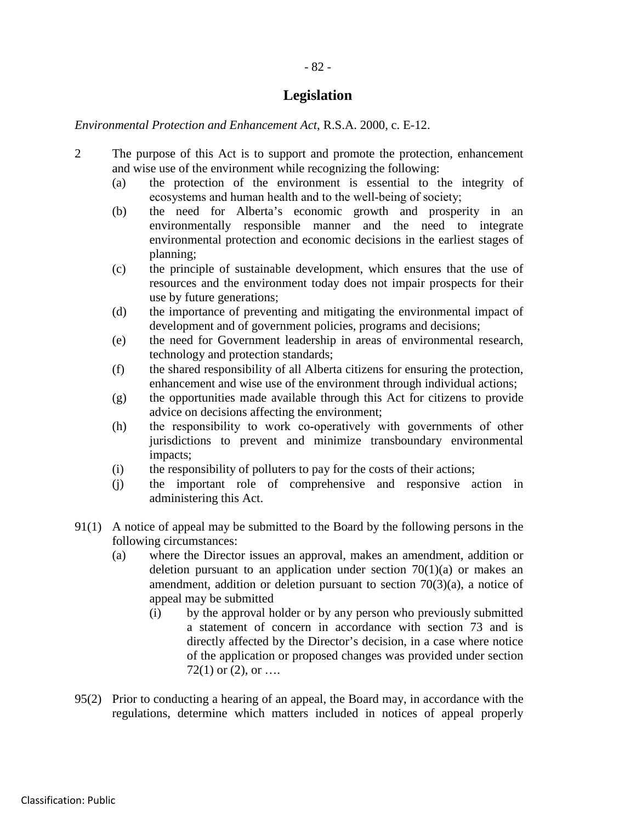# **Legislation**

*Environmental Protection and Enhancement Act*, R.S.A. 2000, c. E-12.

- 2 The purpose of this Act is to support and promote the protection, enhancement and wise use of the environment while recognizing the following:
	- (a) the protection of the environment is essential to the integrity of ecosystems and human health and to the well-being of society;
	- (b) the need for Alberta's economic growth and prosperity in an environmentally responsible manner and the need to integrate environmental protection and economic decisions in the earliest stages of planning;
	- (c) the principle of sustainable development, which ensures that the use of resources and the environment today does not impair prospects for their use by future generations;
	- (d) the importance of preventing and mitigating the environmental impact of development and of government policies, programs and decisions;
	- (e) the need for Government leadership in areas of environmental research, technology and protection standards;
	- (f) the shared responsibility of all Alberta citizens for ensuring the protection, enhancement and wise use of the environment through individual actions;
	- (g) the opportunities made available through this Act for citizens to provide advice on decisions affecting the environment;
	- (h) the responsibility to work co-operatively with governments of other jurisdictions to prevent and minimize transboundary environmental impacts;
	- (i) the responsibility of polluters to pay for the costs of their actions;
	- (j) the important role of comprehensive and responsive action in administering this Act.
- 91(1) A notice of appeal may be submitted to the Board by the following persons in the following circumstances:
	- (a) where the Director issues an approval, makes an amendment, addition or deletion pursuant to an application under section  $70(1)(a)$  or makes an amendment, addition or deletion pursuant to section 70(3)(a), a notice of appeal may be submitted
		- (i) by the approval holder or by any person who previously submitted a statement of concern in accordance with section 73 and is directly affected by the Director's decision, in a case where notice of the application or proposed changes was provided under section 72(1) or  $(2)$ , or  $\dots$
- 95(2) Prior to conducting a hearing of an appeal, the Board may, in accordance with the regulations, determine which matters included in notices of appeal properly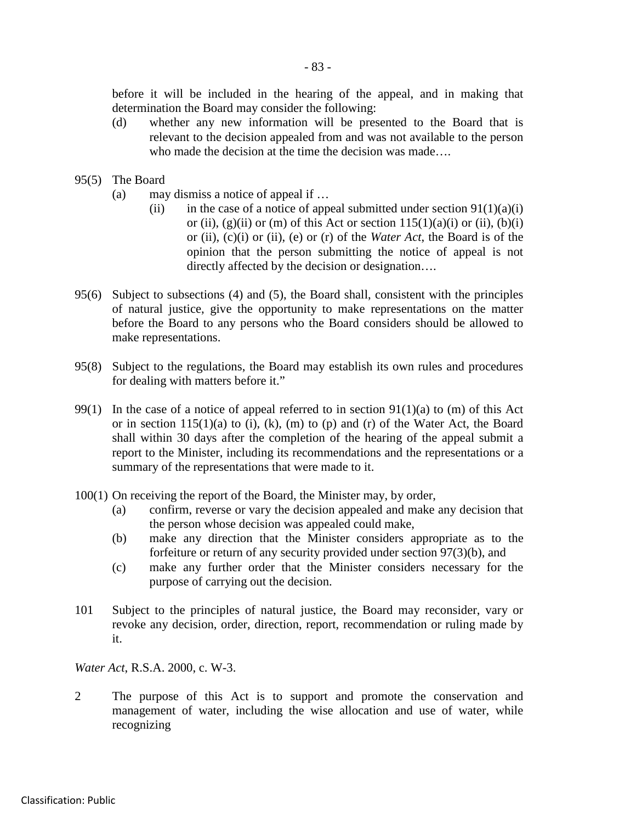before it will be included in the hearing of the appeal, and in making that determination the Board may consider the following:

- (d) whether any new information will be presented to the Board that is relevant to the decision appealed from and was not available to the person who made the decision at the time the decision was made….
- 95(5) The Board
	- (a) may dismiss a notice of appeal if …
		- (ii) in the case of a notice of appeal submitted under section  $91(1)(a)(i)$ or (ii),  $(g)(ii)$  or (m) of this Act or section  $115(1)(a)(i)$  or (ii),  $(b)(i)$ or (ii), (c)(i) or (ii), (e) or (r) of the *Water Act*, the Board is of the opinion that the person submitting the notice of appeal is not directly affected by the decision or designation….
- 95(6) Subject to subsections (4) and (5), the Board shall, consistent with the principles of natural justice, give the opportunity to make representations on the matter before the Board to any persons who the Board considers should be allowed to make representations.
- 95(8) Subject to the regulations, the Board may establish its own rules and procedures for dealing with matters before it."
- 99(1) In the case of a notice of appeal referred to in section  $91(1)(a)$  to (m) of this Act or in section  $115(1)(a)$  to (i), (k), (m) to (p) and (r) of the Water Act, the Board shall within 30 days after the completion of the hearing of the appeal submit a report to the Minister, including its recommendations and the representations or a summary of the representations that were made to it.
- 100(1) On receiving the report of the Board, the Minister may, by order,
	- (a) confirm, reverse or vary the decision appealed and make any decision that the person whose decision was appealed could make,
	- (b) make any direction that the Minister considers appropriate as to the forfeiture or return of any security provided under section 97(3)(b), and
	- (c) make any further order that the Minister considers necessary for the purpose of carrying out the decision.
- 101 Subject to the principles of natural justice, the Board may reconsider, vary or revoke any decision, order, direction, report, recommendation or ruling made by it.

*Water Act*, R.S.A. 2000, c. W-3.

2 The purpose of this Act is to support and promote the conservation and management of water, including the wise allocation and use of water, while recognizing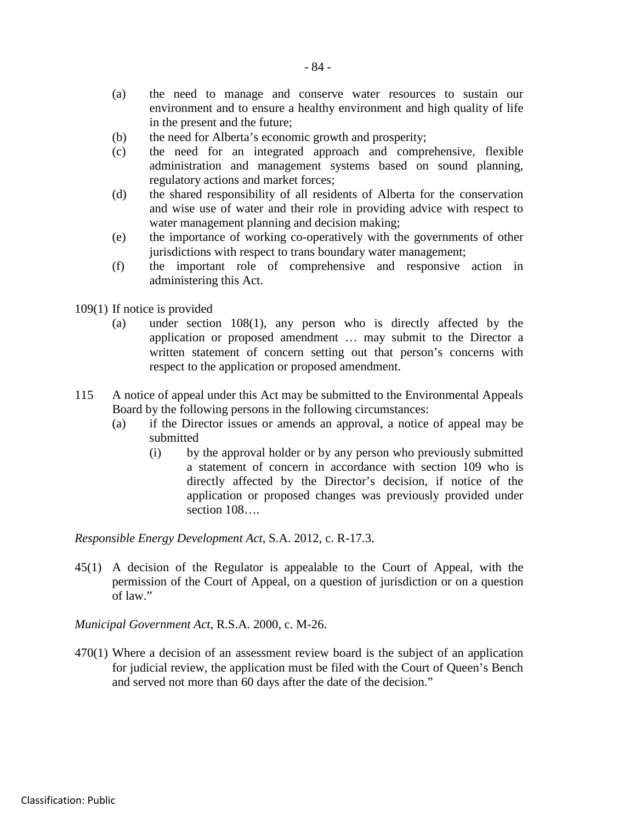- (a) the need to manage and conserve water resources to sustain our environment and to ensure a healthy environment and high quality of life in the present and the future;
- (b) the need for Alberta's economic growth and prosperity;
- (c) the need for an integrated approach and comprehensive, flexible administration and management systems based on sound planning, regulatory actions and market forces;
- (d) the shared responsibility of all residents of Alberta for the conservation and wise use of water and their role in providing advice with respect to water management planning and decision making;
- (e) the importance of working co-operatively with the governments of other jurisdictions with respect to trans boundary water management;
- (f) the important role of comprehensive and responsive action in administering this Act.
- 109(1) If notice is provided
	- (a) under section 108(1), any person who is directly affected by the application or proposed amendment … may submit to the Director a written statement of concern setting out that person's concerns with respect to the application or proposed amendment.
- 115 A notice of appeal under this Act may be submitted to the Environmental Appeals Board by the following persons in the following circumstances:
	- (a) if the Director issues or amends an approval, a notice of appeal may be submitted
		- (i) by the approval holder or by any person who previously submitted a statement of concern in accordance with section 109 who is directly affected by the Director's decision, if notice of the application or proposed changes was previously provided under section  $108...$

*Responsible Energy Development Act,* S.A. 2012, c. R-17.3.

45(1) A decision of the Regulator is appealable to the Court of Appeal, with the permission of the Court of Appeal, on a question of jurisdiction or on a question of law."

*Municipal Government Act*, R.S.A. 2000, c. M-26.

470(1) Where a decision of an assessment review board is the subject of an application for judicial review, the application must be filed with the Court of Queen's Bench and served not more than 60 days after the date of the decision."